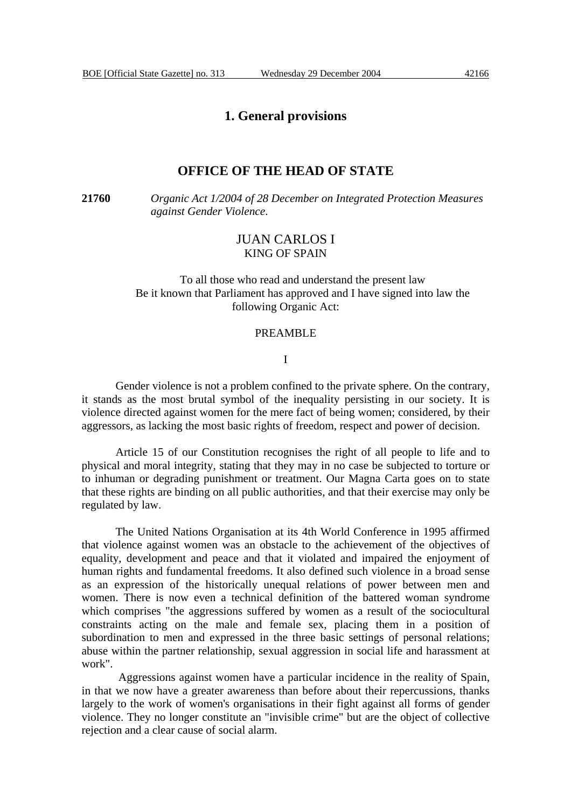## **1. General provisions**

### **OFFICE OF THE HEAD OF STATE**

**21760** *Organic Act 1/2004 of 28 December on Integrated Protection Measures against Gender Violence*.

# JUAN CARLOS I KING OF SPAIN

To all those who read and understand the present law Be it known that Parliament has approved and I have signed into law the following Organic Act:

#### PREAMBLE

#### I

Gender violence is not a problem confined to the private sphere. On the contrary, it stands as the most brutal symbol of the inequality persisting in our society. It is violence directed against women for the mere fact of being women; considered, by their aggressors, as lacking the most basic rights of freedom, respect and power of decision.

Article 15 of our Constitution recognises the right of all people to life and to physical and moral integrity, stating that they may in no case be subjected to torture or to inhuman or degrading punishment or treatment. Our Magna Carta goes on to state that these rights are binding on all public authorities, and that their exercise may only be regulated by law.

The United Nations Organisation at its 4th World Conference in 1995 affirmed that violence against women was an obstacle to the achievement of the objectives of equality, development and peace and that it violated and impaired the enjoyment of human rights and fundamental freedoms. It also defined such violence in a broad sense as an expression of the historically unequal relations of power between men and women. There is now even a technical definition of the battered woman syndrome which comprises "the aggressions suffered by women as a result of the sociocultural constraints acting on the male and female sex, placing them in a position of subordination to men and expressed in the three basic settings of personal relations; abuse within the partner relationship, sexual aggression in social life and harassment at work".

 Aggressions against women have a particular incidence in the reality of Spain, in that we now have a greater awareness than before about their repercussions, thanks largely to the work of women's organisations in their fight against all forms of gender violence. They no longer constitute an "invisible crime" but are the object of collective rejection and a clear cause of social alarm.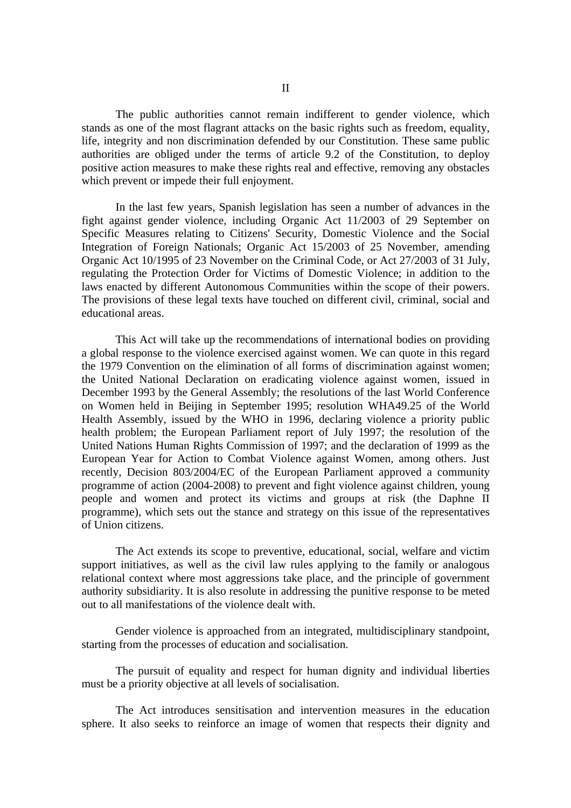The public authorities cannot remain indifferent to gender violence, which stands as one of the most flagrant attacks on the basic rights such as freedom, equality, life, integrity and non discrimination defended by our Constitution. These same public authorities are obliged under the terms of article 9.2 of the Constitution, to deploy positive action measures to make these rights real and effective, removing any obstacles which prevent or impede their full enjoyment.

 In the last few years, Spanish legislation has seen a number of advances in the fight against gender violence, including Organic Act 11/2003 of 29 September on Specific Measures relating to Citizens' Security, Domestic Violence and the Social Integration of Foreign Nationals; Organic Act 15/2003 of 25 November, amending Organic Act 10/1995 of 23 November on the Criminal Code, or Act 27/2003 of 31 July, regulating the Protection Order for Victims of Domestic Violence; in addition to the laws enacted by different Autonomous Communities within the scope of their powers. The provisions of these legal texts have touched on different civil, criminal, social and educational areas.

 This Act will take up the recommendations of international bodies on providing a global response to the violence exercised against women. We can quote in this regard the 1979 Convention on the elimination of all forms of discrimination against women; the United National Declaration on eradicating violence against women, issued in December 1993 by the General Assembly; the resolutions of the last World Conference on Women held in Beijing in September 1995; resolution WHA49.25 of the World Health Assembly, issued by the WHO in 1996, declaring violence a priority public health problem; the European Parliament report of July 1997; the resolution of the United Nations Human Rights Commission of 1997; and the declaration of 1999 as the European Year for Action to Combat Violence against Women, among others. Just recently, Decision 803/2004/EC of the European Parliament approved a community programme of action (2004-2008) to prevent and fight violence against children, young people and women and protect its victims and groups at risk (the Daphne II programme), which sets out the stance and strategy on this issue of the representatives of Union citizens.

 The Act extends its scope to preventive, educational, social, welfare and victim support initiatives, as well as the civil law rules applying to the family or analogous relational context where most aggressions take place, and the principle of government authority subsidiarity. It is also resolute in addressing the punitive response to be meted out to all manifestations of the violence dealt with.

 Gender violence is approached from an integrated, multidisciplinary standpoint, starting from the processes of education and socialisation.

 The pursuit of equality and respect for human dignity and individual liberties must be a priority objective at all levels of socialisation.

 The Act introduces sensitisation and intervention measures in the education sphere. It also seeks to reinforce an image of women that respects their dignity and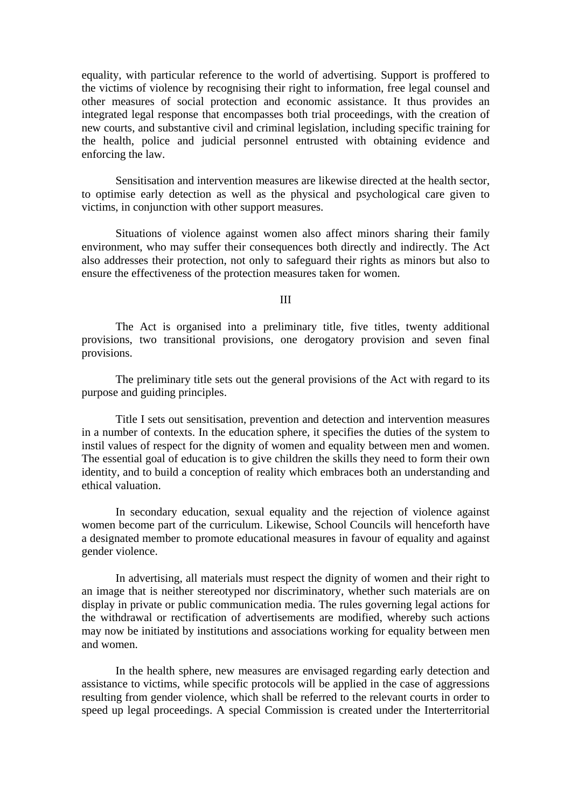equality, with particular reference to the world of advertising. Support is proffered to the victims of violence by recognising their right to information, free legal counsel and other measures of social protection and economic assistance. It thus provides an integrated legal response that encompasses both trial proceedings, with the creation of new courts, and substantive civil and criminal legislation, including specific training for the health, police and judicial personnel entrusted with obtaining evidence and enforcing the law.

 Sensitisation and intervention measures are likewise directed at the health sector, to optimise early detection as well as the physical and psychological care given to victims, in conjunction with other support measures.

 Situations of violence against women also affect minors sharing their family environment, who may suffer their consequences both directly and indirectly. The Act also addresses their protection, not only to safeguard their rights as minors but also to ensure the effectiveness of the protection measures taken for women.

III

 The Act is organised into a preliminary title, five titles, twenty additional provisions, two transitional provisions, one derogatory provision and seven final provisions.

 The preliminary title sets out the general provisions of the Act with regard to its purpose and guiding principles.

 Title I sets out sensitisation, prevention and detection and intervention measures in a number of contexts. In the education sphere, it specifies the duties of the system to instil values of respect for the dignity of women and equality between men and women. The essential goal of education is to give children the skills they need to form their own identity, and to build a conception of reality which embraces both an understanding and ethical valuation.

 In secondary education, sexual equality and the rejection of violence against women become part of the curriculum. Likewise, School Councils will henceforth have a designated member to promote educational measures in favour of equality and against gender violence.

 In advertising, all materials must respect the dignity of women and their right to an image that is neither stereotyped nor discriminatory, whether such materials are on display in private or public communication media. The rules governing legal actions for the withdrawal or rectification of advertisements are modified, whereby such actions may now be initiated by institutions and associations working for equality between men and women.

 In the health sphere, new measures are envisaged regarding early detection and assistance to victims, while specific protocols will be applied in the case of aggressions resulting from gender violence, which shall be referred to the relevant courts in order to speed up legal proceedings. A special Commission is created under the Interterritorial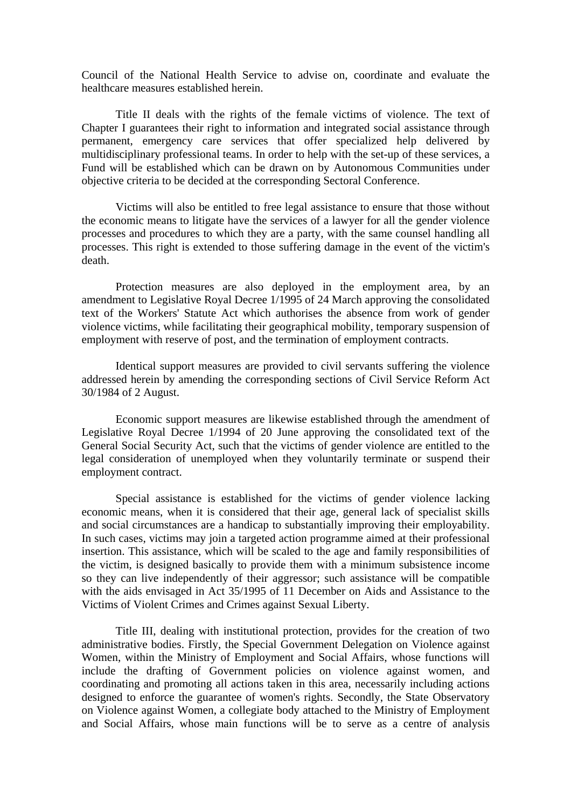Council of the National Health Service to advise on, coordinate and evaluate the healthcare measures established herein.

 Title II deals with the rights of the female victims of violence. The text of Chapter I guarantees their right to information and integrated social assistance through permanent, emergency care services that offer specialized help delivered by multidisciplinary professional teams. In order to help with the set-up of these services, a Fund will be established which can be drawn on by Autonomous Communities under objective criteria to be decided at the corresponding Sectoral Conference.

 Victims will also be entitled to free legal assistance to ensure that those without the economic means to litigate have the services of a lawyer for all the gender violence processes and procedures to which they are a party, with the same counsel handling all processes. This right is extended to those suffering damage in the event of the victim's death.

 Protection measures are also deployed in the employment area, by an amendment to Legislative Royal Decree 1/1995 of 24 March approving the consolidated text of the Workers' Statute Act which authorises the absence from work of gender violence victims, while facilitating their geographical mobility, temporary suspension of employment with reserve of post, and the termination of employment contracts.

 Identical support measures are provided to civil servants suffering the violence addressed herein by amending the corresponding sections of Civil Service Reform Act 30/1984 of 2 August.

 Economic support measures are likewise established through the amendment of Legislative Royal Decree 1/1994 of 20 June approving the consolidated text of the General Social Security Act, such that the victims of gender violence are entitled to the legal consideration of unemployed when they voluntarily terminate or suspend their employment contract.

 Special assistance is established for the victims of gender violence lacking economic means, when it is considered that their age, general lack of specialist skills and social circumstances are a handicap to substantially improving their employability. In such cases, victims may join a targeted action programme aimed at their professional insertion. This assistance, which will be scaled to the age and family responsibilities of the victim, is designed basically to provide them with a minimum subsistence income so they can live independently of their aggressor; such assistance will be compatible with the aids envisaged in Act 35/1995 of 11 December on Aids and Assistance to the Victims of Violent Crimes and Crimes against Sexual Liberty.

 Title III, dealing with institutional protection, provides for the creation of two administrative bodies. Firstly, the Special Government Delegation on Violence against Women, within the Ministry of Employment and Social Affairs, whose functions will include the drafting of Government policies on violence against women, and coordinating and promoting all actions taken in this area, necessarily including actions designed to enforce the guarantee of women's rights. Secondly, the State Observatory on Violence against Women, a collegiate body attached to the Ministry of Employment and Social Affairs, whose main functions will be to serve as a centre of analysis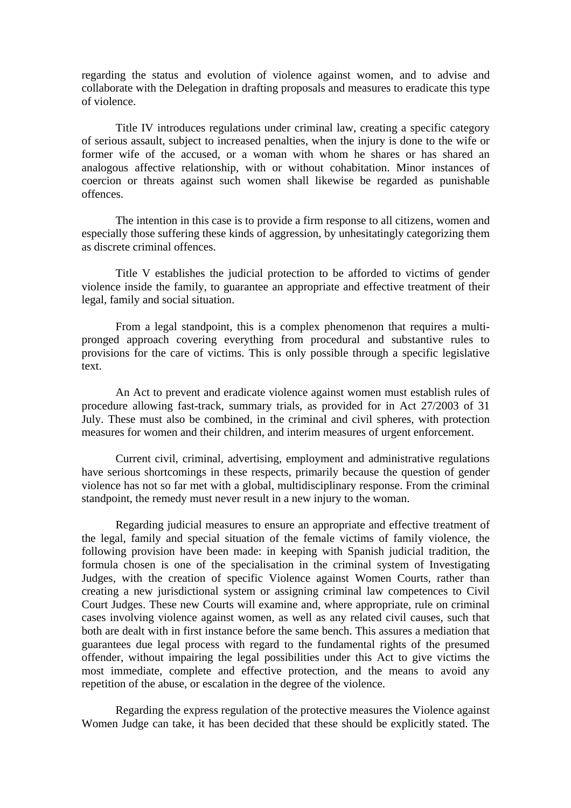regarding the status and evolution of violence against women, and to advise and collaborate with the Delegation in drafting proposals and measures to eradicate this type of violence.

 Title IV introduces regulations under criminal law, creating a specific category of serious assault, subject to increased penalties, when the injury is done to the wife or former wife of the accused, or a woman with whom he shares or has shared an analogous affective relationship, with or without cohabitation. Minor instances of coercion or threats against such women shall likewise be regarded as punishable offences.

 The intention in this case is to provide a firm response to all citizens, women and especially those suffering these kinds of aggression, by unhesitatingly categorizing them as discrete criminal offences.

 Title V establishes the judicial protection to be afforded to victims of gender violence inside the family, to guarantee an appropriate and effective treatment of their legal, family and social situation.

 From a legal standpoint, this is a complex phenomenon that requires a multipronged approach covering everything from procedural and substantive rules to provisions for the care of victims. This is only possible through a specific legislative text.

 An Act to prevent and eradicate violence against women must establish rules of procedure allowing fast-track, summary trials, as provided for in Act 27/2003 of 31 July. These must also be combined, in the criminal and civil spheres, with protection measures for women and their children, and interim measures of urgent enforcement.

 Current civil, criminal, advertising, employment and administrative regulations have serious shortcomings in these respects, primarily because the question of gender violence has not so far met with a global, multidisciplinary response. From the criminal standpoint, the remedy must never result in a new injury to the woman.

 Regarding judicial measures to ensure an appropriate and effective treatment of the legal, family and special situation of the female victims of family violence, the following provision have been made: in keeping with Spanish judicial tradition, the formula chosen is one of the specialisation in the criminal system of Investigating Judges, with the creation of specific Violence against Women Courts, rather than creating a new jurisdictional system or assigning criminal law competences to Civil Court Judges. These new Courts will examine and, where appropriate, rule on criminal cases involving violence against women, as well as any related civil causes, such that both are dealt with in first instance before the same bench. This assures a mediation that guarantees due legal process with regard to the fundamental rights of the presumed offender, without impairing the legal possibilities under this Act to give victims the most immediate, complete and effective protection, and the means to avoid any repetition of the abuse, or escalation in the degree of the violence.

 Regarding the express regulation of the protective measures the Violence against Women Judge can take, it has been decided that these should be explicitly stated. The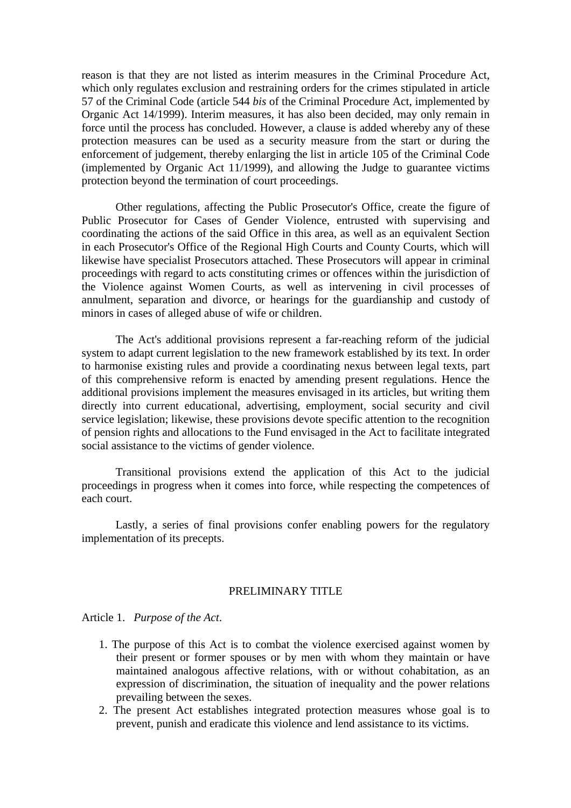reason is that they are not listed as interim measures in the Criminal Procedure Act, which only regulates exclusion and restraining orders for the crimes stipulated in article 57 of the Criminal Code (article 544 *bis* of the Criminal Procedure Act, implemented by Organic Act 14/1999). Interim measures, it has also been decided, may only remain in force until the process has concluded. However, a clause is added whereby any of these protection measures can be used as a security measure from the start or during the enforcement of judgement, thereby enlarging the list in article 105 of the Criminal Code (implemented by Organic Act 11/1999), and allowing the Judge to guarantee victims protection beyond the termination of court proceedings.

 Other regulations, affecting the Public Prosecutor's Office, create the figure of Public Prosecutor for Cases of Gender Violence, entrusted with supervising and coordinating the actions of the said Office in this area, as well as an equivalent Section in each Prosecutor's Office of the Regional High Courts and County Courts, which will likewise have specialist Prosecutors attached. These Prosecutors will appear in criminal proceedings with regard to acts constituting crimes or offences within the jurisdiction of the Violence against Women Courts, as well as intervening in civil processes of annulment, separation and divorce, or hearings for the guardianship and custody of minors in cases of alleged abuse of wife or children.

 The Act's additional provisions represent a far-reaching reform of the judicial system to adapt current legislation to the new framework established by its text. In order to harmonise existing rules and provide a coordinating nexus between legal texts, part of this comprehensive reform is enacted by amending present regulations. Hence the additional provisions implement the measures envisaged in its articles, but writing them directly into current educational, advertising, employment, social security and civil service legislation; likewise, these provisions devote specific attention to the recognition of pension rights and allocations to the Fund envisaged in the Act to facilitate integrated social assistance to the victims of gender violence.

 Transitional provisions extend the application of this Act to the judicial proceedings in progress when it comes into force, while respecting the competences of each court.

 Lastly, a series of final provisions confer enabling powers for the regulatory implementation of its precepts.

# PRELIMINARY TITLE

Article 1. *Purpose of the Act*.

- 1. The purpose of this Act is to combat the violence exercised against women by their present or former spouses or by men with whom they maintain or have maintained analogous affective relations, with or without cohabitation, as an expression of discrimination, the situation of inequality and the power relations prevailing between the sexes.
- 2. The present Act establishes integrated protection measures whose goal is to prevent, punish and eradicate this violence and lend assistance to its victims.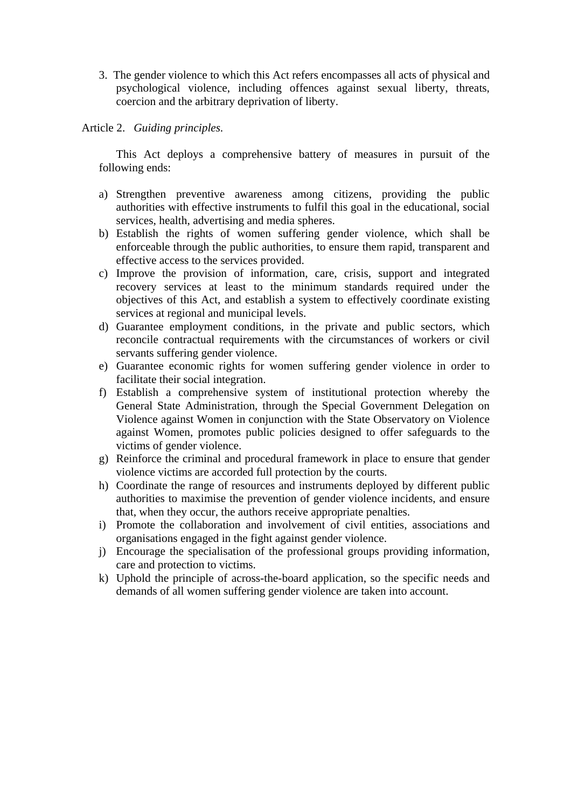3. The gender violence to which this Act refers encompasses all acts of physical and psychological violence, including offences against sexual liberty, threats, coercion and the arbitrary deprivation of liberty.

Article 2. *Guiding principles.*

This Act deploys a comprehensive battery of measures in pursuit of the following ends:

- a) Strengthen preventive awareness among citizens, providing the public authorities with effective instruments to fulfil this goal in the educational, social services, health, advertising and media spheres.
- b) Establish the rights of women suffering gender violence, which shall be enforceable through the public authorities, to ensure them rapid, transparent and effective access to the services provided.
- c) Improve the provision of information, care, crisis, support and integrated recovery services at least to the minimum standards required under the objectives of this Act, and establish a system to effectively coordinate existing services at regional and municipal levels.
- d) Guarantee employment conditions, in the private and public sectors, which reconcile contractual requirements with the circumstances of workers or civil servants suffering gender violence.
- e) Guarantee economic rights for women suffering gender violence in order to facilitate their social integration.
- f) Establish a comprehensive system of institutional protection whereby the General State Administration, through the Special Government Delegation on Violence against Women in conjunction with the State Observatory on Violence against Women, promotes public policies designed to offer safeguards to the victims of gender violence.
- g) Reinforce the criminal and procedural framework in place to ensure that gender violence victims are accorded full protection by the courts.
- h) Coordinate the range of resources and instruments deployed by different public authorities to maximise the prevention of gender violence incidents, and ensure that, when they occur, the authors receive appropriate penalties.
- i) Promote the collaboration and involvement of civil entities, associations and organisations engaged in the fight against gender violence.
- j) Encourage the specialisation of the professional groups providing information, care and protection to victims.
- k) Uphold the principle of across-the-board application, so the specific needs and demands of all women suffering gender violence are taken into account.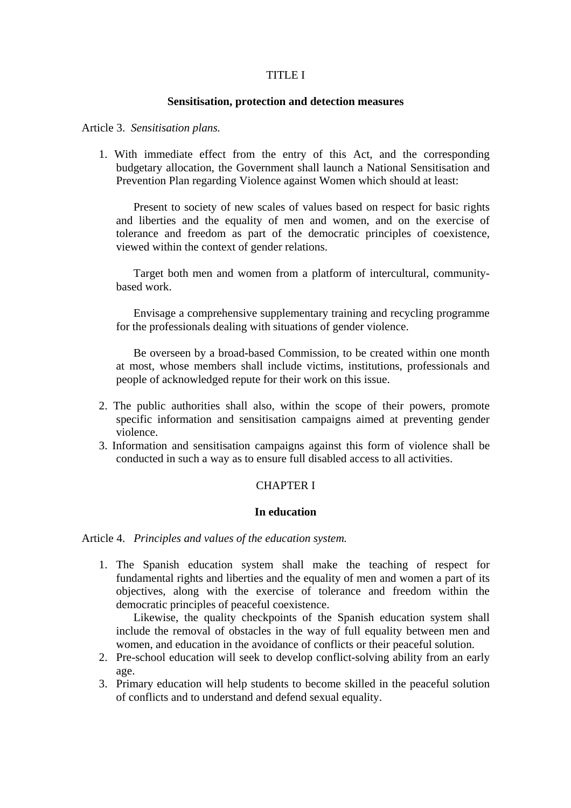# TITLE I

### **Sensitisation, protection and detection measures**

#### Article 3. *Sensitisation plans.*

1. With immediate effect from the entry of this Act, and the corresponding budgetary allocation, the Government shall launch a National Sensitisation and Prevention Plan regarding Violence against Women which should at least:

Present to society of new scales of values based on respect for basic rights and liberties and the equality of men and women, and on the exercise of tolerance and freedom as part of the democratic principles of coexistence, viewed within the context of gender relations.

Target both men and women from a platform of intercultural, communitybased work.

Envisage a comprehensive supplementary training and recycling programme for the professionals dealing with situations of gender violence.

Be overseen by a broad-based Commission, to be created within one month at most, whose members shall include victims, institutions, professionals and people of acknowledged repute for their work on this issue.

- 2. The public authorities shall also, within the scope of their powers, promote specific information and sensitisation campaigns aimed at preventing gender violence.
- 3. Information and sensitisation campaigns against this form of violence shall be conducted in such a way as to ensure full disabled access to all activities.

### CHAPTER I

#### **In education**

Article 4. *Principles and values of the education system.*

1. The Spanish education system shall make the teaching of respect for fundamental rights and liberties and the equality of men and women a part of its objectives, along with the exercise of tolerance and freedom within the democratic principles of peaceful coexistence.

Likewise, the quality checkpoints of the Spanish education system shall include the removal of obstacles in the way of full equality between men and women, and education in the avoidance of conflicts or their peaceful solution.

- 2. Pre-school education will seek to develop conflict-solving ability from an early age.
- 3. Primary education will help students to become skilled in the peaceful solution of conflicts and to understand and defend sexual equality.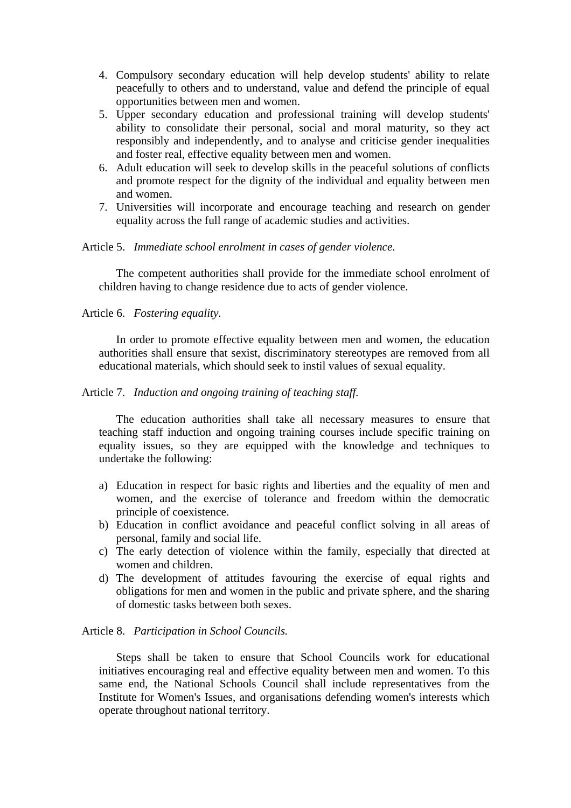- 4. Compulsory secondary education will help develop students' ability to relate peacefully to others and to understand, value and defend the principle of equal opportunities between men and women.
- 5. Upper secondary education and professional training will develop students' ability to consolidate their personal, social and moral maturity, so they act responsibly and independently, and to analyse and criticise gender inequalities and foster real, effective equality between men and women.
- 6. Adult education will seek to develop skills in the peaceful solutions of conflicts and promote respect for the dignity of the individual and equality between men and women.
- 7. Universities will incorporate and encourage teaching and research on gender equality across the full range of academic studies and activities.

# Article 5. *Immediate school enrolment in cases of gender violence.*

The competent authorities shall provide for the immediate school enrolment of children having to change residence due to acts of gender violence.

# Article 6. *Fostering equality.*

In order to promote effective equality between men and women, the education authorities shall ensure that sexist, discriminatory stereotypes are removed from all educational materials, which should seek to instil values of sexual equality.

### Article 7. *Induction and ongoing training of teaching staff.*

The education authorities shall take all necessary measures to ensure that teaching staff induction and ongoing training courses include specific training on equality issues, so they are equipped with the knowledge and techniques to undertake the following:

- a) Education in respect for basic rights and liberties and the equality of men and women, and the exercise of tolerance and freedom within the democratic principle of coexistence.
- b) Education in conflict avoidance and peaceful conflict solving in all areas of personal, family and social life.
- c) The early detection of violence within the family, especially that directed at women and children.
- d) The development of attitudes favouring the exercise of equal rights and obligations for men and women in the public and private sphere, and the sharing of domestic tasks between both sexes.

### Article 8. *Participation in School Councils.*

Steps shall be taken to ensure that School Councils work for educational initiatives encouraging real and effective equality between men and women. To this same end, the National Schools Council shall include representatives from the Institute for Women's Issues, and organisations defending women's interests which operate throughout national territory.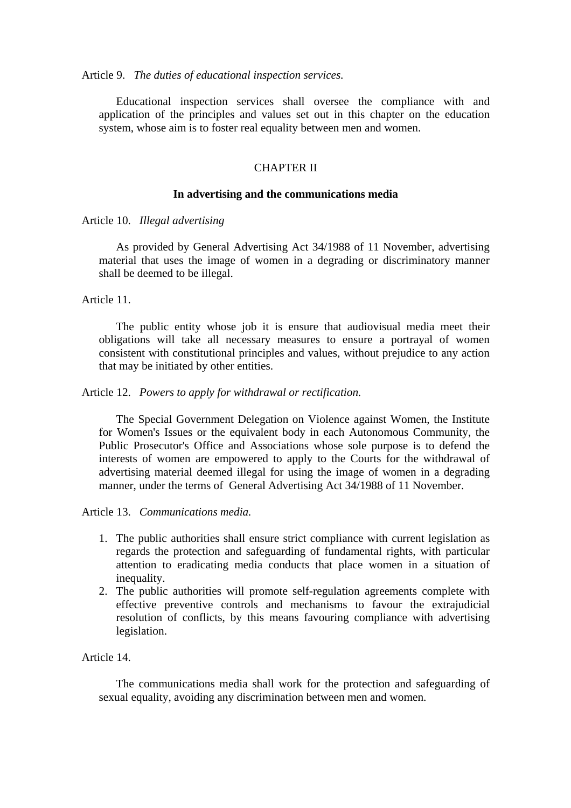#### Article 9. *The duties of educational inspection services.*

Educational inspection services shall oversee the compliance with and application of the principles and values set out in this chapter on the education system, whose aim is to foster real equality between men and women.

# CHAPTER II

#### **In advertising and the communications media**

Article 10. *Illegal advertising*

As provided by General Advertising Act 34/1988 of 11 November, advertising material that uses the image of women in a degrading or discriminatory manner shall be deemed to be illegal.

Article 11.

The public entity whose job it is ensure that audiovisual media meet their obligations will take all necessary measures to ensure a portrayal of women consistent with constitutional principles and values, without prejudice to any action that may be initiated by other entities.

Article 12. *Powers to apply for withdrawal or rectification.*

The Special Government Delegation on Violence against Women, the Institute for Women's Issues or the equivalent body in each Autonomous Community, the Public Prosecutor's Office and Associations whose sole purpose is to defend the interests of women are empowered to apply to the Courts for the withdrawal of advertising material deemed illegal for using the image of women in a degrading manner, under the terms of General Advertising Act 34/1988 of 11 November.

Article 13. *Communications media.* 

- 1. The public authorities shall ensure strict compliance with current legislation as regards the protection and safeguarding of fundamental rights, with particular attention to eradicating media conducts that place women in a situation of inequality.
- 2. The public authorities will promote self-regulation agreements complete with effective preventive controls and mechanisms to favour the extrajudicial resolution of conflicts, by this means favouring compliance with advertising legislation.

Article 14.

The communications media shall work for the protection and safeguarding of sexual equality, avoiding any discrimination between men and women.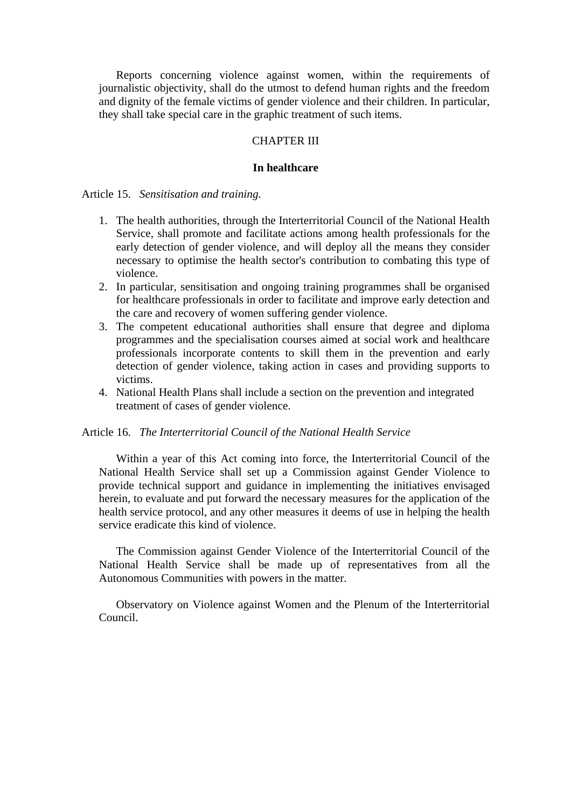Reports concerning violence against women, within the requirements of journalistic objectivity, shall do the utmost to defend human rights and the freedom and dignity of the female victims of gender violence and their children. In particular, they shall take special care in the graphic treatment of such items.

### CHAPTER III

#### **In healthcare**

Article 15. *Sensitisation and training.*

- 1. The health authorities, through the Interterritorial Council of the National Health Service, shall promote and facilitate actions among health professionals for the early detection of gender violence, and will deploy all the means they consider necessary to optimise the health sector's contribution to combating this type of violence.
- 2. In particular, sensitisation and ongoing training programmes shall be organised for healthcare professionals in order to facilitate and improve early detection and the care and recovery of women suffering gender violence.
- 3. The competent educational authorities shall ensure that degree and diploma programmes and the specialisation courses aimed at social work and healthcare professionals incorporate contents to skill them in the prevention and early detection of gender violence, taking action in cases and providing supports to victims.
- 4. National Health Plans shall include a section on the prevention and integrated treatment of cases of gender violence.

#### Article 16. *The Interterritorial Council of the National Health Service*

Within a year of this Act coming into force, the Interterritorial Council of the National Health Service shall set up a Commission against Gender Violence to provide technical support and guidance in implementing the initiatives envisaged herein, to evaluate and put forward the necessary measures for the application of the health service protocol, and any other measures it deems of use in helping the health service eradicate this kind of violence.

The Commission against Gender Violence of the Interterritorial Council of the National Health Service shall be made up of representatives from all the Autonomous Communities with powers in the matter.

Observatory on Violence against Women and the Plenum of the Interterritorial Council.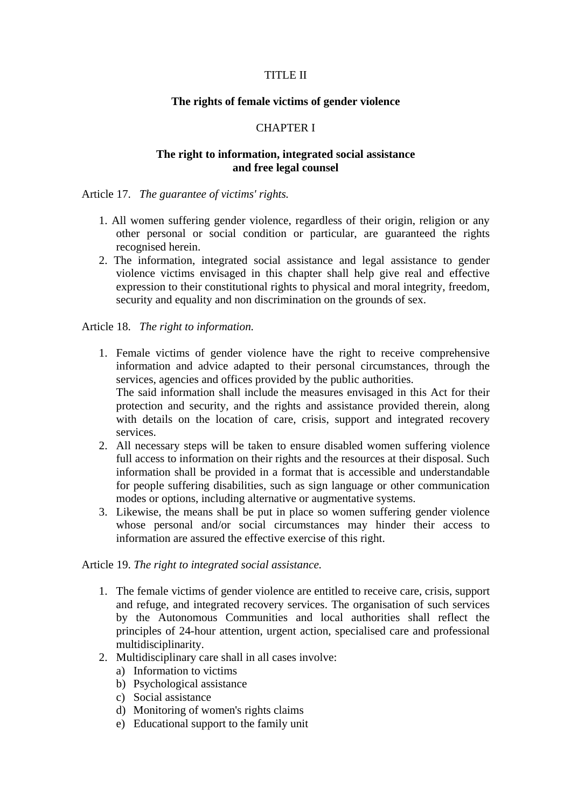# TITLE II

### **The rights of female victims of gender violence**

### CHAPTER I

# **The right to information, integrated social assistance and free legal counsel**

Article 17. *The guarantee of victims' rights.*

- 1. All women suffering gender violence, regardless of their origin, religion or any other personal or social condition or particular, are guaranteed the rights recognised herein.
- 2. The information, integrated social assistance and legal assistance to gender violence victims envisaged in this chapter shall help give real and effective expression to their constitutional rights to physical and moral integrity, freedom, security and equality and non discrimination on the grounds of sex.

Article 18. *The right to information.*

- 1. Female victims of gender violence have the right to receive comprehensive information and advice adapted to their personal circumstances, through the services, agencies and offices provided by the public authorities. The said information shall include the measures envisaged in this Act for their protection and security, and the rights and assistance provided therein, along with details on the location of care, crisis, support and integrated recovery services.
- 2. All necessary steps will be taken to ensure disabled women suffering violence full access to information on their rights and the resources at their disposal. Such information shall be provided in a format that is accessible and understandable for people suffering disabilities, such as sign language or other communication modes or options, including alternative or augmentative systems.
- 3. Likewise, the means shall be put in place so women suffering gender violence whose personal and/or social circumstances may hinder their access to information are assured the effective exercise of this right.

### Article 19. *The right to integrated social assistance.*

- 1. The female victims of gender violence are entitled to receive care, crisis, support and refuge, and integrated recovery services. The organisation of such services by the Autonomous Communities and local authorities shall reflect the principles of 24-hour attention, urgent action, specialised care and professional multidisciplinarity.
- 2. Multidisciplinary care shall in all cases involve:
	- a) Information to victims
	- b) Psychological assistance
	- c) Social assistance
	- d) Monitoring of women's rights claims
	- e) Educational support to the family unit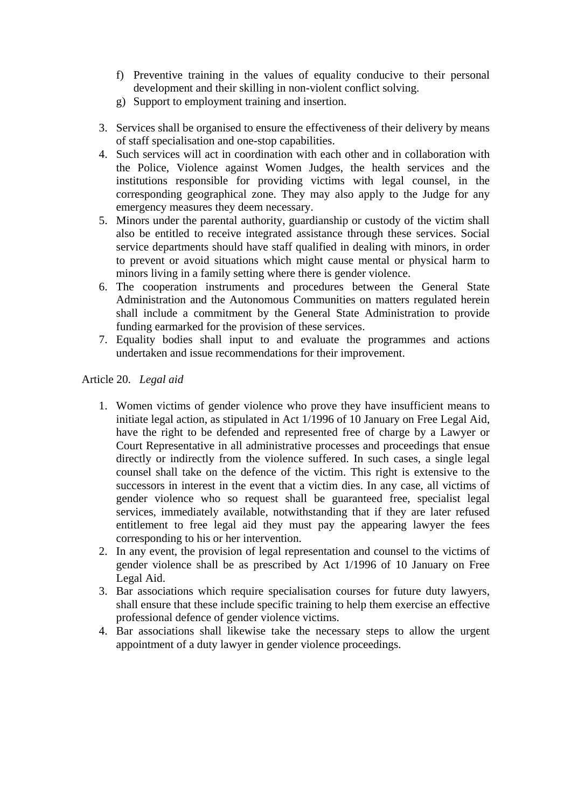- f) Preventive training in the values of equality conducive to their personal development and their skilling in non-violent conflict solving.
- g) Support to employment training and insertion.
- 3. Services shall be organised to ensure the effectiveness of their delivery by means of staff specialisation and one-stop capabilities.
- 4. Such services will act in coordination with each other and in collaboration with the Police, Violence against Women Judges, the health services and the institutions responsible for providing victims with legal counsel, in the corresponding geographical zone. They may also apply to the Judge for any emergency measures they deem necessary.
- 5. Minors under the parental authority, guardianship or custody of the victim shall also be entitled to receive integrated assistance through these services. Social service departments should have staff qualified in dealing with minors, in order to prevent or avoid situations which might cause mental or physical harm to minors living in a family setting where there is gender violence.
- 6. The cooperation instruments and procedures between the General State Administration and the Autonomous Communities on matters regulated herein shall include a commitment by the General State Administration to provide funding earmarked for the provision of these services.
- 7. Equality bodies shall input to and evaluate the programmes and actions undertaken and issue recommendations for their improvement.

Article 20. *Legal aid*

- 1. Women victims of gender violence who prove they have insufficient means to initiate legal action, as stipulated in Act 1/1996 of 10 January on Free Legal Aid, have the right to be defended and represented free of charge by a Lawyer or Court Representative in all administrative processes and proceedings that ensue directly or indirectly from the violence suffered. In such cases, a single legal counsel shall take on the defence of the victim. This right is extensive to the successors in interest in the event that a victim dies. In any case, all victims of gender violence who so request shall be guaranteed free, specialist legal services, immediately available, notwithstanding that if they are later refused entitlement to free legal aid they must pay the appearing lawyer the fees corresponding to his or her intervention.
- 2. In any event, the provision of legal representation and counsel to the victims of gender violence shall be as prescribed by Act 1/1996 of 10 January on Free Legal Aid.
- 3. Bar associations which require specialisation courses for future duty lawyers, shall ensure that these include specific training to help them exercise an effective professional defence of gender violence victims.
- 4. Bar associations shall likewise take the necessary steps to allow the urgent appointment of a duty lawyer in gender violence proceedings.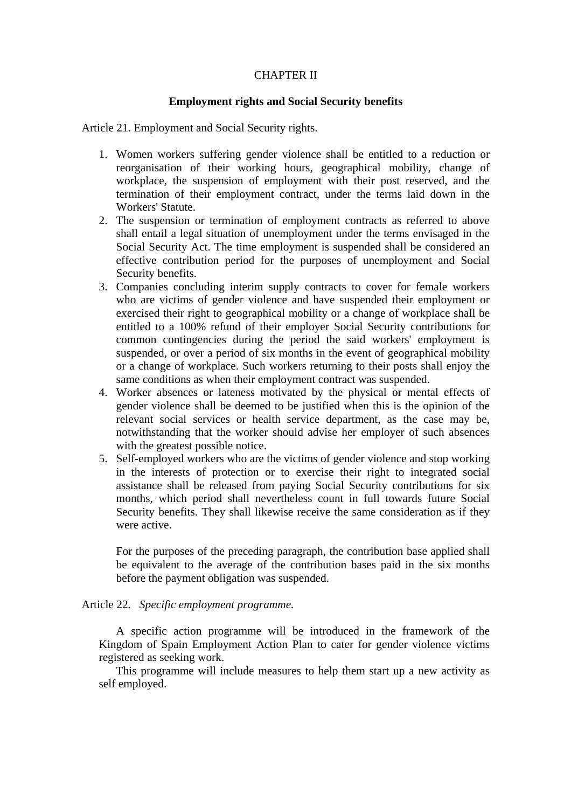# CHAPTER II

# **Employment rights and Social Security benefits**

Article 21. Employment and Social Security rights.

- 1. Women workers suffering gender violence shall be entitled to a reduction or reorganisation of their working hours, geographical mobility, change of workplace, the suspension of employment with their post reserved, and the termination of their employment contract, under the terms laid down in the Workers' Statute.
- 2. The suspension or termination of employment contracts as referred to above shall entail a legal situation of unemployment under the terms envisaged in the Social Security Act. The time employment is suspended shall be considered an effective contribution period for the purposes of unemployment and Social Security benefits.
- 3. Companies concluding interim supply contracts to cover for female workers who are victims of gender violence and have suspended their employment or exercised their right to geographical mobility or a change of workplace shall be entitled to a 100% refund of their employer Social Security contributions for common contingencies during the period the said workers' employment is suspended, or over a period of six months in the event of geographical mobility or a change of workplace. Such workers returning to their posts shall enjoy the same conditions as when their employment contract was suspended.
- 4. Worker absences or lateness motivated by the physical or mental effects of gender violence shall be deemed to be justified when this is the opinion of the relevant social services or health service department, as the case may be, notwithstanding that the worker should advise her employer of such absences with the greatest possible notice.
- 5. Self-employed workers who are the victims of gender violence and stop working in the interests of protection or to exercise their right to integrated social assistance shall be released from paying Social Security contributions for six months, which period shall nevertheless count in full towards future Social Security benefits. They shall likewise receive the same consideration as if they were active.

For the purposes of the preceding paragraph, the contribution base applied shall be equivalent to the average of the contribution bases paid in the six months before the payment obligation was suspended.

Article 22. *Specific employment programme.*

A specific action programme will be introduced in the framework of the Kingdom of Spain Employment Action Plan to cater for gender violence victims registered as seeking work.

This programme will include measures to help them start up a new activity as self employed.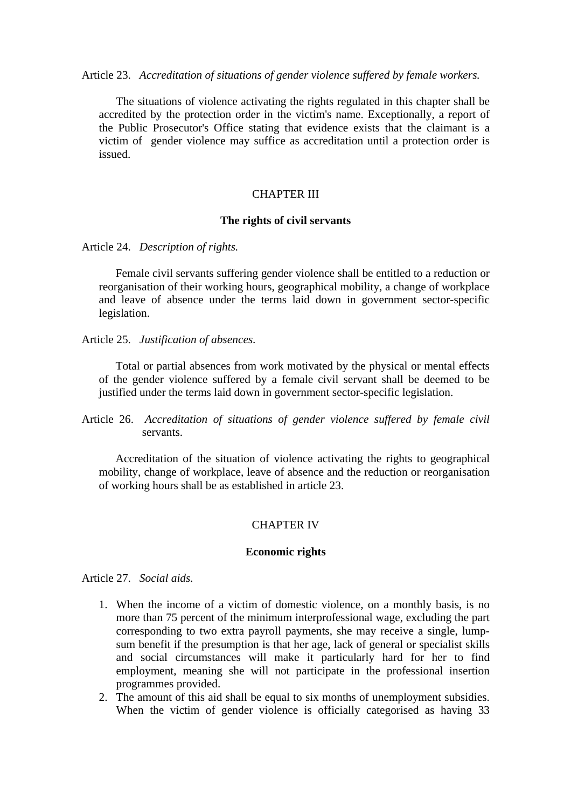Article 23. *Accreditation of situations of gender violence suffered by female workers.*

The situations of violence activating the rights regulated in this chapter shall be accredited by the protection order in the victim's name. Exceptionally, a report of the Public Prosecutor's Office stating that evidence exists that the claimant is a victim of gender violence may suffice as accreditation until a protection order is issued.

### CHAPTER III

### **The rights of civil servants**

Article 24. *Description of rights.*

Female civil servants suffering gender violence shall be entitled to a reduction or reorganisation of their working hours, geographical mobility, a change of workplace and leave of absence under the terms laid down in government sector-specific legislation.

Article 25. *Justification of absences*.

Total or partial absences from work motivated by the physical or mental effects of the gender violence suffered by a female civil servant shall be deemed to be justified under the terms laid down in government sector-specific legislation.

Article 26. *Accreditation of situations of gender violence suffered by female civil* servants.

Accreditation of the situation of violence activating the rights to geographical mobility, change of workplace, leave of absence and the reduction or reorganisation of working hours shall be as established in article 23.

### CHAPTER IV

#### **Economic rights**

Article 27. *Social aids.*

- 1. When the income of a victim of domestic violence, on a monthly basis, is no more than 75 percent of the minimum interprofessional wage, excluding the part corresponding to two extra payroll payments, she may receive a single, lumpsum benefit if the presumption is that her age, lack of general or specialist skills and social circumstances will make it particularly hard for her to find employment, meaning she will not participate in the professional insertion programmes provided.
- 2. The amount of this aid shall be equal to six months of unemployment subsidies. When the victim of gender violence is officially categorised as having 33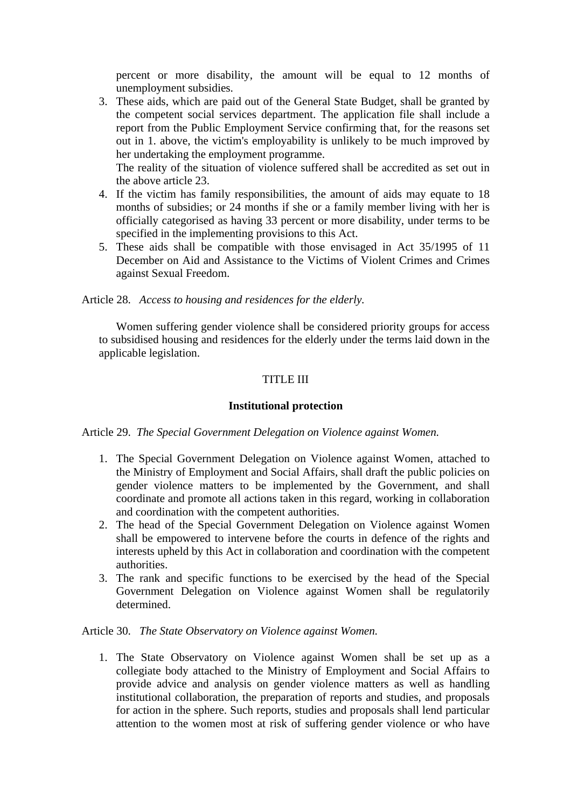percent or more disability, the amount will be equal to 12 months of unemployment subsidies.

3. These aids, which are paid out of the General State Budget, shall be granted by the competent social services department. The application file shall include a report from the Public Employment Service confirming that, for the reasons set out in 1. above, the victim's employability is unlikely to be much improved by her undertaking the employment programme.

The reality of the situation of violence suffered shall be accredited as set out in the above article 23.

- 4. If the victim has family responsibilities, the amount of aids may equate to 18 months of subsidies; or 24 months if she or a family member living with her is officially categorised as having 33 percent or more disability, under terms to be specified in the implementing provisions to this Act.
- 5. These aids shall be compatible with those envisaged in Act 35/1995 of 11 December on Aid and Assistance to the Victims of Violent Crimes and Crimes against Sexual Freedom.

Article 28. *Access to housing and residences for the elderly.*

Women suffering gender violence shall be considered priority groups for access to subsidised housing and residences for the elderly under the terms laid down in the applicable legislation.

# TITLE III

# **Institutional protection**

Article 29. *The Special Government Delegation on Violence against Women.*

- 1. The Special Government Delegation on Violence against Women, attached to the Ministry of Employment and Social Affairs, shall draft the public policies on gender violence matters to be implemented by the Government, and shall coordinate and promote all actions taken in this regard, working in collaboration and coordination with the competent authorities.
- 2. The head of the Special Government Delegation on Violence against Women shall be empowered to intervene before the courts in defence of the rights and interests upheld by this Act in collaboration and coordination with the competent authorities.
- 3. The rank and specific functions to be exercised by the head of the Special Government Delegation on Violence against Women shall be regulatorily determined.

Article 30. *The State Observatory on Violence against Women.*

1. The State Observatory on Violence against Women shall be set up as a collegiate body attached to the Ministry of Employment and Social Affairs to provide advice and analysis on gender violence matters as well as handling institutional collaboration, the preparation of reports and studies, and proposals for action in the sphere. Such reports, studies and proposals shall lend particular attention to the women most at risk of suffering gender violence or who have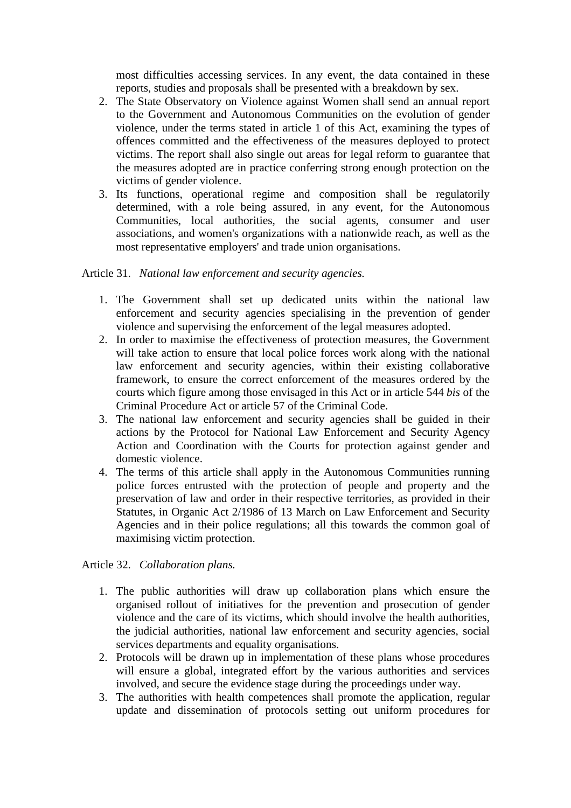most difficulties accessing services. In any event, the data contained in these reports, studies and proposals shall be presented with a breakdown by sex.

- 2. The State Observatory on Violence against Women shall send an annual report to the Government and Autonomous Communities on the evolution of gender violence, under the terms stated in article 1 of this Act, examining the types of offences committed and the effectiveness of the measures deployed to protect victims. The report shall also single out areas for legal reform to guarantee that the measures adopted are in practice conferring strong enough protection on the victims of gender violence.
- 3. Its functions, operational regime and composition shall be regulatorily determined, with a role being assured, in any event, for the Autonomous Communities, local authorities, the social agents, consumer and user associations, and women's organizations with a nationwide reach, as well as the most representative employers' and trade union organisations.

# Article 31. *National law enforcement and security agencies.*

- 1. The Government shall set up dedicated units within the national law enforcement and security agencies specialising in the prevention of gender violence and supervising the enforcement of the legal measures adopted.
- 2. In order to maximise the effectiveness of protection measures, the Government will take action to ensure that local police forces work along with the national law enforcement and security agencies, within their existing collaborative framework, to ensure the correct enforcement of the measures ordered by the courts which figure among those envisaged in this Act or in article 544 *bis* of the Criminal Procedure Act or article 57 of the Criminal Code.
- 3. The national law enforcement and security agencies shall be guided in their actions by the Protocol for National Law Enforcement and Security Agency Action and Coordination with the Courts for protection against gender and domestic violence.
- 4. The terms of this article shall apply in the Autonomous Communities running police forces entrusted with the protection of people and property and the preservation of law and order in their respective territories, as provided in their Statutes, in Organic Act 2/1986 of 13 March on Law Enforcement and Security Agencies and in their police regulations; all this towards the common goal of maximising victim protection.

# Article 32. *Collaboration plans.*

- 1. The public authorities will draw up collaboration plans which ensure the organised rollout of initiatives for the prevention and prosecution of gender violence and the care of its victims, which should involve the health authorities, the judicial authorities, national law enforcement and security agencies, social services departments and equality organisations.
- 2. Protocols will be drawn up in implementation of these plans whose procedures will ensure a global, integrated effort by the various authorities and services involved, and secure the evidence stage during the proceedings under way.
- 3. The authorities with health competences shall promote the application, regular update and dissemination of protocols setting out uniform procedures for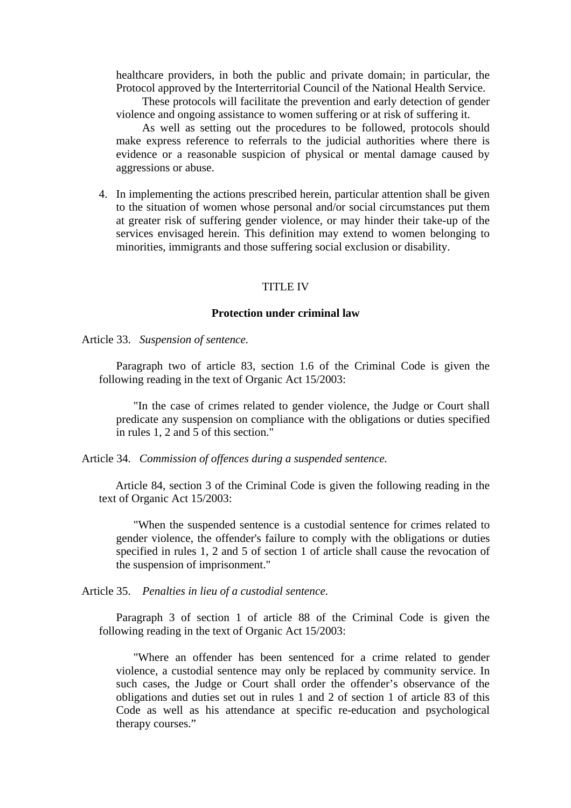healthcare providers, in both the public and private domain; in particular, the Protocol approved by the Interterritorial Council of the National Health Service.

These protocols will facilitate the prevention and early detection of gender violence and ongoing assistance to women suffering or at risk of suffering it.

As well as setting out the procedures to be followed, protocols should make express reference to referrals to the judicial authorities where there is evidence or a reasonable suspicion of physical or mental damage caused by aggressions or abuse.

4. In implementing the actions prescribed herein, particular attention shall be given to the situation of women whose personal and/or social circumstances put them at greater risk of suffering gender violence, or may hinder their take-up of the services envisaged herein. This definition may extend to women belonging to minorities, immigrants and those suffering social exclusion or disability.

#### TITLE IV

### **Protection under criminal law**

Article 33. *Suspension of sentence.*

Paragraph two of article 83, section 1.6 of the Criminal Code is given the following reading in the text of Organic Act 15/2003:

"In the case of crimes related to gender violence, the Judge or Court shall predicate any suspension on compliance with the obligations or duties specified in rules 1, 2 and 5 of this section."

Article 34. *Commission of offences during a suspended sentence.*

 Article 84, section 3 of the Criminal Code is given the following reading in the text of Organic Act 15/2003:

"When the suspended sentence is a custodial sentence for crimes related to gender violence, the offender's failure to comply with the obligations or duties specified in rules 1, 2 and 5 of section 1 of article shall cause the revocation of the suspension of imprisonment."

Article 35. *Penalties in lieu of a custodial sentence.*

Paragraph 3 of section 1 of article 88 of the Criminal Code is given the following reading in the text of Organic Act 15/2003:

"Where an offender has been sentenced for a crime related to gender violence, a custodial sentence may only be replaced by community service. In such cases, the Judge or Court shall order the offender's observance of the obligations and duties set out in rules 1 and 2 of section 1 of article 83 of this Code as well as his attendance at specific re-education and psychological therapy courses."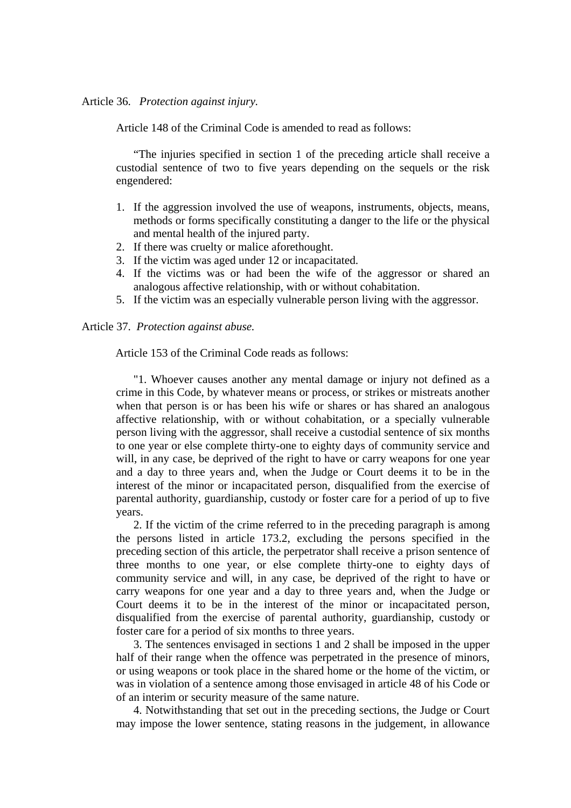#### Article 36. *Protection against injury.*

Article 148 of the Criminal Code is amended to read as follows:

"The injuries specified in section 1 of the preceding article shall receive a custodial sentence of two to five years depending on the sequels or the risk engendered:

- 1. If the aggression involved the use of weapons, instruments, objects, means, methods or forms specifically constituting a danger to the life or the physical and mental health of the injured party.
- 2. If there was cruelty or malice aforethought.
- 3. If the victim was aged under 12 or incapacitated.
- 4. If the victims was or had been the wife of the aggressor or shared an analogous affective relationship, with or without cohabitation.
- 5. If the victim was an especially vulnerable person living with the aggressor.

Article 37. *Protection against abuse.*

Article 153 of the Criminal Code reads as follows:

"1. Whoever causes another any mental damage or injury not defined as a crime in this Code, by whatever means or process, or strikes or mistreats another when that person is or has been his wife or shares or has shared an analogous affective relationship, with or without cohabitation, or a specially vulnerable person living with the aggressor, shall receive a custodial sentence of six months to one year or else complete thirty-one to eighty days of community service and will, in any case, be deprived of the right to have or carry weapons for one year and a day to three years and, when the Judge or Court deems it to be in the interest of the minor or incapacitated person, disqualified from the exercise of parental authority, guardianship, custody or foster care for a period of up to five years.

2. If the victim of the crime referred to in the preceding paragraph is among the persons listed in article 173.2, excluding the persons specified in the preceding section of this article, the perpetrator shall receive a prison sentence of three months to one year, or else complete thirty-one to eighty days of community service and will, in any case, be deprived of the right to have or carry weapons for one year and a day to three years and, when the Judge or Court deems it to be in the interest of the minor or incapacitated person, disqualified from the exercise of parental authority, guardianship, custody or foster care for a period of six months to three years.

3. The sentences envisaged in sections 1 and 2 shall be imposed in the upper half of their range when the offence was perpetrated in the presence of minors, or using weapons or took place in the shared home or the home of the victim, or was in violation of a sentence among those envisaged in article 48 of his Code or of an interim or security measure of the same nature.

4. Notwithstanding that set out in the preceding sections, the Judge or Court may impose the lower sentence, stating reasons in the judgement, in allowance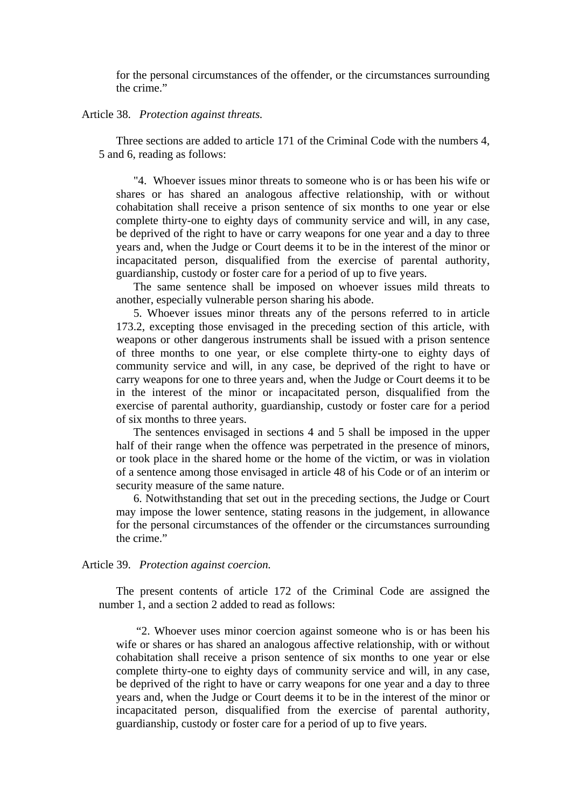for the personal circumstances of the offender, or the circumstances surrounding the crime."

#### Article 38. *Protection against threats.*

Three sections are added to article 171 of the Criminal Code with the numbers 4, 5 and 6, reading as follows:

"4. Whoever issues minor threats to someone who is or has been his wife or shares or has shared an analogous affective relationship, with or without cohabitation shall receive a prison sentence of six months to one year or else complete thirty-one to eighty days of community service and will, in any case, be deprived of the right to have or carry weapons for one year and a day to three years and, when the Judge or Court deems it to be in the interest of the minor or incapacitated person, disqualified from the exercise of parental authority, guardianship, custody or foster care for a period of up to five years.

The same sentence shall be imposed on whoever issues mild threats to another, especially vulnerable person sharing his abode.

5. Whoever issues minor threats any of the persons referred to in article 173.2, excepting those envisaged in the preceding section of this article, with weapons or other dangerous instruments shall be issued with a prison sentence of three months to one year, or else complete thirty-one to eighty days of community service and will, in any case, be deprived of the right to have or carry weapons for one to three years and, when the Judge or Court deems it to be in the interest of the minor or incapacitated person, disqualified from the exercise of parental authority, guardianship, custody or foster care for a period of six months to three years.

The sentences envisaged in sections 4 and 5 shall be imposed in the upper half of their range when the offence was perpetrated in the presence of minors, or took place in the shared home or the home of the victim, or was in violation of a sentence among those envisaged in article 48 of his Code or of an interim or security measure of the same nature.

6. Notwithstanding that set out in the preceding sections, the Judge or Court may impose the lower sentence, stating reasons in the judgement, in allowance for the personal circumstances of the offender or the circumstances surrounding the crime."

#### Article 39. *Protection against coercion.*

The present contents of article 172 of the Criminal Code are assigned the number 1, and a section 2 added to read as follows:

 "2. Whoever uses minor coercion against someone who is or has been his wife or shares or has shared an analogous affective relationship, with or without cohabitation shall receive a prison sentence of six months to one year or else complete thirty-one to eighty days of community service and will, in any case, be deprived of the right to have or carry weapons for one year and a day to three years and, when the Judge or Court deems it to be in the interest of the minor or incapacitated person, disqualified from the exercise of parental authority, guardianship, custody or foster care for a period of up to five years.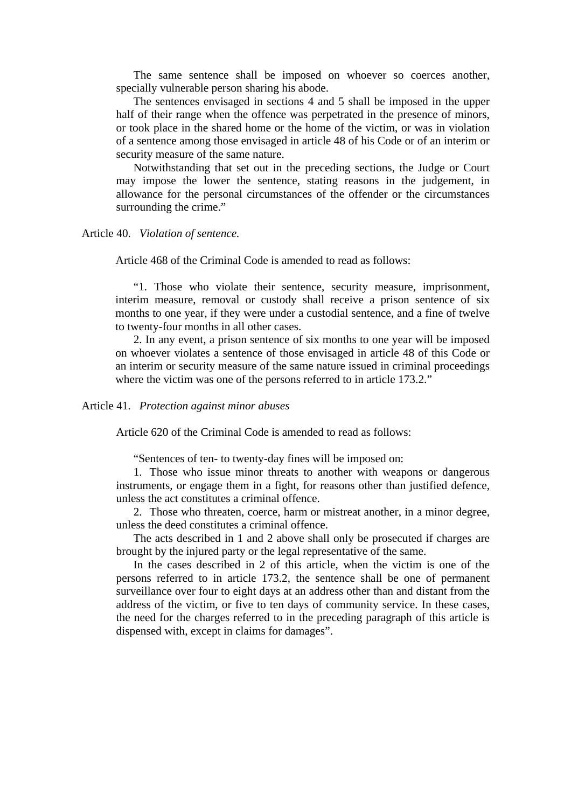The same sentence shall be imposed on whoever so coerces another, specially vulnerable person sharing his abode.

 The sentences envisaged in sections 4 and 5 shall be imposed in the upper half of their range when the offence was perpetrated in the presence of minors, or took place in the shared home or the home of the victim, or was in violation of a sentence among those envisaged in article 48 of his Code or of an interim or security measure of the same nature.

 Notwithstanding that set out in the preceding sections, the Judge or Court may impose the lower the sentence, stating reasons in the judgement, in allowance for the personal circumstances of the offender or the circumstances surrounding the crime."

Article 40. *Violation of sentence.*

Article 468 of the Criminal Code is amended to read as follows:

"1. Those who violate their sentence, security measure, imprisonment, interim measure, removal or custody shall receive a prison sentence of six months to one year, if they were under a custodial sentence, and a fine of twelve to twenty-four months in all other cases.

2. In any event, a prison sentence of six months to one year will be imposed on whoever violates a sentence of those envisaged in article 48 of this Code or an interim or security measure of the same nature issued in criminal proceedings where the victim was one of the persons referred to in article 173.2."

### Article 41. *Protection against minor abuses*

Article 620 of the Criminal Code is amended to read as follows:

"Sentences of ten- to twenty-day fines will be imposed on:

1. Those who issue minor threats to another with weapons or dangerous instruments, or engage them in a fight, for reasons other than justified defence, unless the act constitutes a criminal offence.

2. Those who threaten, coerce, harm or mistreat another, in a minor degree, unless the deed constitutes a criminal offence.

The acts described in 1 and 2 above shall only be prosecuted if charges are brought by the injured party or the legal representative of the same.

In the cases described in 2 of this article, when the victim is one of the persons referred to in article 173.2, the sentence shall be one of permanent surveillance over four to eight days at an address other than and distant from the address of the victim, or five to ten days of community service. In these cases, the need for the charges referred to in the preceding paragraph of this article is dispensed with, except in claims for damages".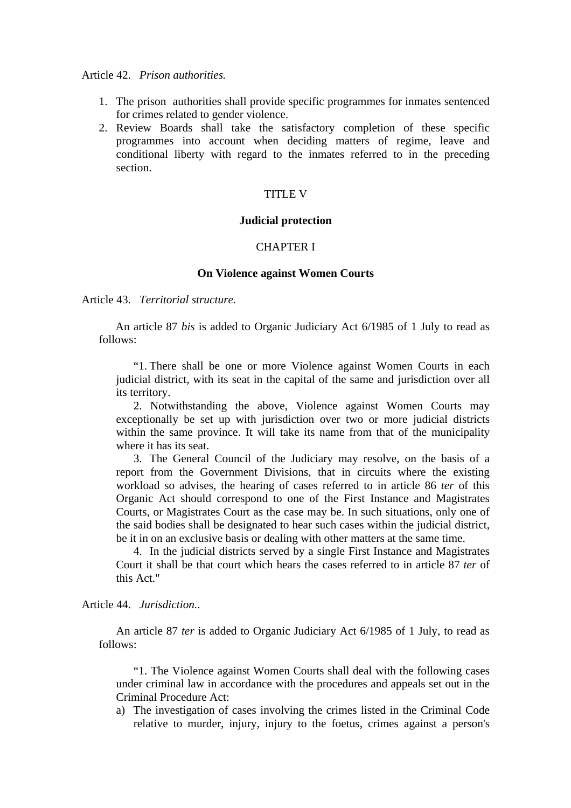### Article 42. *Prison authorities.*

- 1. The prison authorities shall provide specific programmes for inmates sentenced for crimes related to gender violence.
- 2. Review Boards shall take the satisfactory completion of these specific programmes into account when deciding matters of regime, leave and conditional liberty with regard to the inmates referred to in the preceding section.

### TITLE V

# **Judicial protection**

# CHAPTER I

#### **On Violence against Women Courts**

Article 43. *Territorial structure.*

 An article 87 *bis* is added to Organic Judiciary Act 6/1985 of 1 July to read as follows:

"1. There shall be one or more Violence against Women Courts in each judicial district, with its seat in the capital of the same and jurisdiction over all its territory.

2. Notwithstanding the above, Violence against Women Courts may exceptionally be set up with jurisdiction over two or more judicial districts within the same province. It will take its name from that of the municipality where it has its seat.

3. The General Council of the Judiciary may resolve, on the basis of a report from the Government Divisions, that in circuits where the existing workload so advises, the hearing of cases referred to in article 86 *ter* of this Organic Act should correspond to one of the First Instance and Magistrates Courts, or Magistrates Court as the case may be. In such situations, only one of the said bodies shall be designated to hear such cases within the judicial district, be it in on an exclusive basis or dealing with other matters at the same time.

4. In the judicial districts served by a single First Instance and Magistrates Court it shall be that court which hears the cases referred to in article 87 *ter* of this Act."

Article 44. *Jurisdiction.*.

An article 87 *ter* is added to Organic Judiciary Act 6/1985 of 1 July, to read as follows:

"1. The Violence against Women Courts shall deal with the following cases under criminal law in accordance with the procedures and appeals set out in the Criminal Procedure Act:

a) The investigation of cases involving the crimes listed in the Criminal Code relative to murder, injury, injury to the foetus, crimes against a person's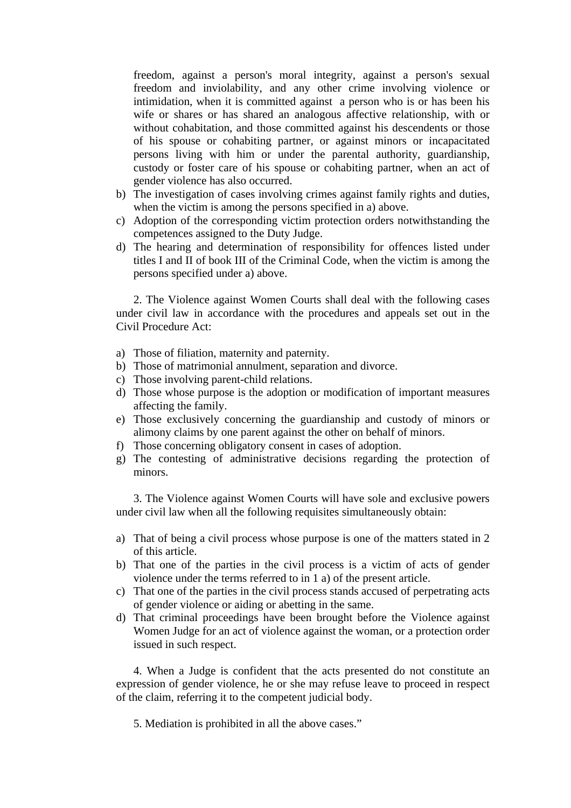freedom, against a person's moral integrity, against a person's sexual freedom and inviolability, and any other crime involving violence or intimidation, when it is committed against a person who is or has been his wife or shares or has shared an analogous affective relationship, with or without cohabitation, and those committed against his descendents or those of his spouse or cohabiting partner, or against minors or incapacitated persons living with him or under the parental authority, guardianship, custody or foster care of his spouse or cohabiting partner, when an act of gender violence has also occurred.

- b) The investigation of cases involving crimes against family rights and duties, when the victim is among the persons specified in a) above.
- c) Adoption of the corresponding victim protection orders notwithstanding the competences assigned to the Duty Judge.
- d) The hearing and determination of responsibility for offences listed under titles I and II of book III of the Criminal Code, when the victim is among the persons specified under a) above.

2. The Violence against Women Courts shall deal with the following cases under civil law in accordance with the procedures and appeals set out in the Civil Procedure Act:

- a) Those of filiation, maternity and paternity.
- b) Those of matrimonial annulment, separation and divorce.
- c) Those involving parent-child relations.
- d) Those whose purpose is the adoption or modification of important measures affecting the family.
- e) Those exclusively concerning the guardianship and custody of minors or alimony claims by one parent against the other on behalf of minors.
- f) Those concerning obligatory consent in cases of adoption.
- g) The contesting of administrative decisions regarding the protection of minors.

3. The Violence against Women Courts will have sole and exclusive powers under civil law when all the following requisites simultaneously obtain:

- a) That of being a civil process whose purpose is one of the matters stated in 2 of this article.
- b) That one of the parties in the civil process is a victim of acts of gender violence under the terms referred to in 1 a) of the present article.
- c) That one of the parties in the civil process stands accused of perpetrating acts of gender violence or aiding or abetting in the same.
- d) That criminal proceedings have been brought before the Violence against Women Judge for an act of violence against the woman, or a protection order issued in such respect.

4. When a Judge is confident that the acts presented do not constitute an expression of gender violence, he or she may refuse leave to proceed in respect of the claim, referring it to the competent judicial body.

5. Mediation is prohibited in all the above cases."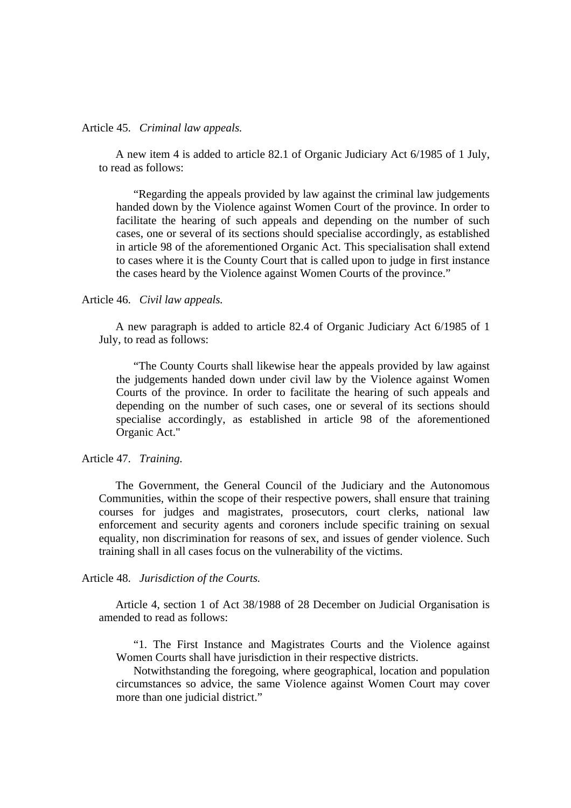#### Article 45. *Criminal law appeals.*

 A new item 4 is added to article 82.1 of Organic Judiciary Act 6/1985 of 1 July, to read as follows:

"Regarding the appeals provided by law against the criminal law judgements handed down by the Violence against Women Court of the province. In order to facilitate the hearing of such appeals and depending on the number of such cases, one or several of its sections should specialise accordingly, as established in article 98 of the aforementioned Organic Act. This specialisation shall extend to cases where it is the County Court that is called upon to judge in first instance the cases heard by the Violence against Women Courts of the province."

#### Article 46. *Civil law appeals.*

 A new paragraph is added to article 82.4 of Organic Judiciary Act 6/1985 of 1 July, to read as follows:

"The County Courts shall likewise hear the appeals provided by law against the judgements handed down under civil law by the Violence against Women Courts of the province. In order to facilitate the hearing of such appeals and depending on the number of such cases, one or several of its sections should specialise accordingly, as established in article 98 of the aforementioned Organic Act."

Article 47. *Training.*

 The Government, the General Council of the Judiciary and the Autonomous Communities, within the scope of their respective powers, shall ensure that training courses for judges and magistrates, prosecutors, court clerks, national law enforcement and security agents and coroners include specific training on sexual equality, non discrimination for reasons of sex, and issues of gender violence. Such training shall in all cases focus on the vulnerability of the victims.

Article 48. *Jurisdiction of the Courts.*

 Article 4, section 1 of Act 38/1988 of 28 December on Judicial Organisation is amended to read as follows:

"1. The First Instance and Magistrates Courts and the Violence against Women Courts shall have jurisdiction in their respective districts.

Notwithstanding the foregoing, where geographical, location and population circumstances so advice, the same Violence against Women Court may cover more than one judicial district."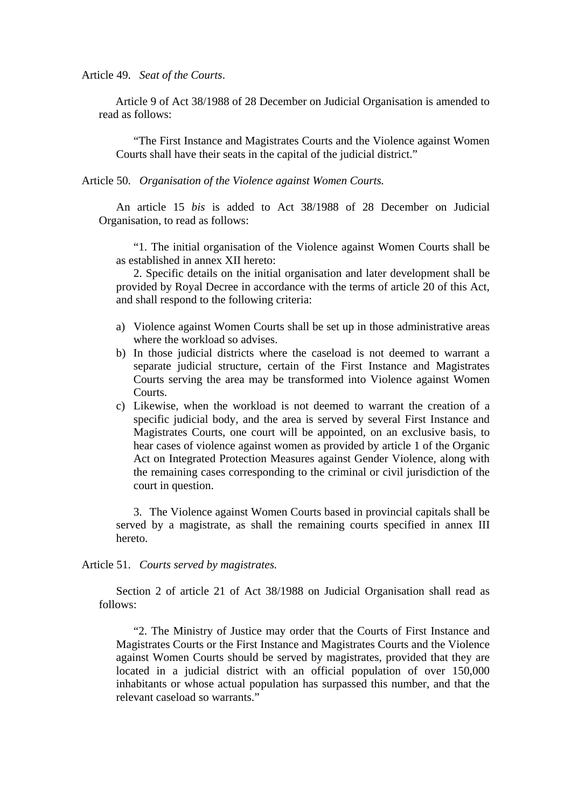Article 49. *Seat of the Courts*.

Article 9 of Act 38/1988 of 28 December on Judicial Organisation is amended to read as follows:

"The First Instance and Magistrates Courts and the Violence against Women Courts shall have their seats in the capital of the judicial district."

Article 50. *Organisation of the Violence against Women Courts.*

An article 15 *bis* is added to Act 38/1988 of 28 December on Judicial Organisation, to read as follows:

"1. The initial organisation of the Violence against Women Courts shall be as established in annex XII hereto:

2. Specific details on the initial organisation and later development shall be provided by Royal Decree in accordance with the terms of article 20 of this Act, and shall respond to the following criteria:

- a) Violence against Women Courts shall be set up in those administrative areas where the workload so advises.
- b) In those judicial districts where the caseload is not deemed to warrant a separate judicial structure, certain of the First Instance and Magistrates Courts serving the area may be transformed into Violence against Women Courts.
- c) Likewise, when the workload is not deemed to warrant the creation of a specific judicial body, and the area is served by several First Instance and Magistrates Courts, one court will be appointed, on an exclusive basis, to hear cases of violence against women as provided by article 1 of the Organic Act on Integrated Protection Measures against Gender Violence, along with the remaining cases corresponding to the criminal or civil jurisdiction of the court in question.

3. The Violence against Women Courts based in provincial capitals shall be served by a magistrate, as shall the remaining courts specified in annex III hereto.

Article 51. *Courts served by magistrates.*

Section 2 of article 21 of Act 38/1988 on Judicial Organisation shall read as follows:

"2. The Ministry of Justice may order that the Courts of First Instance and Magistrates Courts or the First Instance and Magistrates Courts and the Violence against Women Courts should be served by magistrates, provided that they are located in a judicial district with an official population of over 150,000 inhabitants or whose actual population has surpassed this number, and that the relevant caseload so warrants."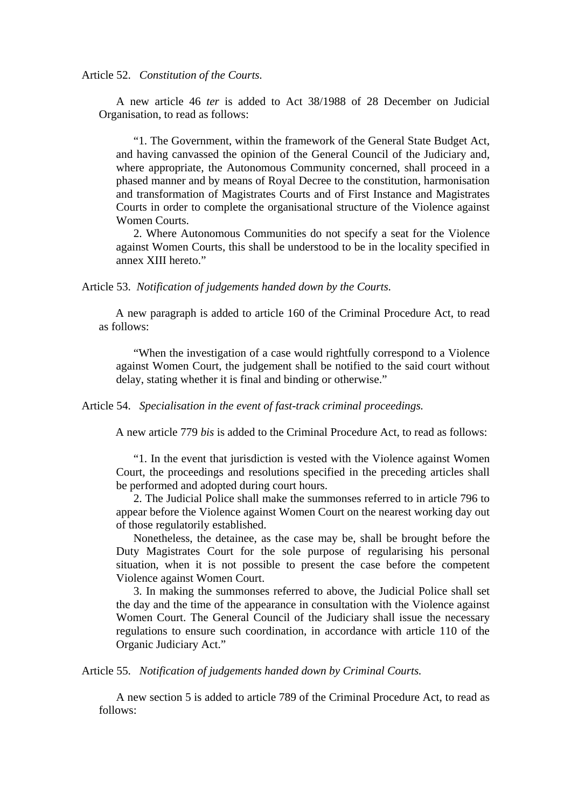Article 52. *Constitution of the Courts.*

A new article 46 *ter* is added to Act 38/1988 of 28 December on Judicial Organisation, to read as follows:

"1. The Government, within the framework of the General State Budget Act, and having canvassed the opinion of the General Council of the Judiciary and, where appropriate, the Autonomous Community concerned, shall proceed in a phased manner and by means of Royal Decree to the constitution, harmonisation and transformation of Magistrates Courts and of First Instance and Magistrates Courts in order to complete the organisational structure of the Violence against Women Courts.

2. Where Autonomous Communities do not specify a seat for the Violence against Women Courts, this shall be understood to be in the locality specified in annex XIII hereto."

Article 53. *Notification of judgements handed down by the Courts.*

 A new paragraph is added to article 160 of the Criminal Procedure Act, to read as follows:

"When the investigation of a case would rightfully correspond to a Violence against Women Court, the judgement shall be notified to the said court without delay, stating whether it is final and binding or otherwise."

Article 54. *Specialisation in the event of fast-track criminal proceedings.*

A new article 779 *bis* is added to the Criminal Procedure Act, to read as follows:

"1. In the event that jurisdiction is vested with the Violence against Women Court, the proceedings and resolutions specified in the preceding articles shall be performed and adopted during court hours.

2. The Judicial Police shall make the summonses referred to in article 796 to appear before the Violence against Women Court on the nearest working day out of those regulatorily established.

Nonetheless, the detainee, as the case may be, shall be brought before the Duty Magistrates Court for the sole purpose of regularising his personal situation, when it is not possible to present the case before the competent Violence against Women Court.

3. In making the summonses referred to above, the Judicial Police shall set the day and the time of the appearance in consultation with the Violence against Women Court. The General Council of the Judiciary shall issue the necessary regulations to ensure such coordination, in accordance with article 110 of the Organic Judiciary Act."

Article 55. *Notification of judgements handed down by Criminal Courts.*

A new section 5 is added to article 789 of the Criminal Procedure Act, to read as follows: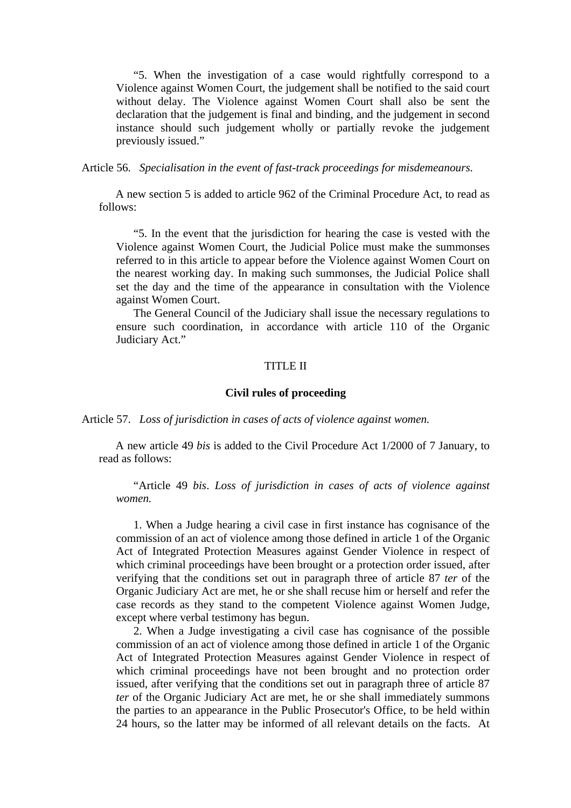"5. When the investigation of a case would rightfully correspond to a Violence against Women Court, the judgement shall be notified to the said court without delay. The Violence against Women Court shall also be sent the declaration that the judgement is final and binding, and the judgement in second instance should such judgement wholly or partially revoke the judgement previously issued."

Article 56. *Specialisation in the event of fast-track proceedings for misdemeanours.*

A new section 5 is added to article 962 of the Criminal Procedure Act, to read as follows:

"5. In the event that the jurisdiction for hearing the case is vested with the Violence against Women Court, the Judicial Police must make the summonses referred to in this article to appear before the Violence against Women Court on the nearest working day. In making such summonses, the Judicial Police shall set the day and the time of the appearance in consultation with the Violence against Women Court.

The General Council of the Judiciary shall issue the necessary regulations to ensure such coordination, in accordance with article 110 of the Organic Judiciary Act."

# TITLE II

#### **Civil rules of proceeding**

Article 57. *Loss of jurisdiction in cases of acts of violence against women.* 

A new article 49 *bis* is added to the Civil Procedure Act 1/2000 of 7 January, to read as follows:

"Article 49 *bis*. *Loss of jurisdiction in cases of acts of violence against women.* 

1. When a Judge hearing a civil case in first instance has cognisance of the commission of an act of violence among those defined in article 1 of the Organic Act of Integrated Protection Measures against Gender Violence in respect of which criminal proceedings have been brought or a protection order issued, after verifying that the conditions set out in paragraph three of article 87 *ter* of the Organic Judiciary Act are met, he or she shall recuse him or herself and refer the case records as they stand to the competent Violence against Women Judge, except where verbal testimony has begun.

2. When a Judge investigating a civil case has cognisance of the possible commission of an act of violence among those defined in article 1 of the Organic Act of Integrated Protection Measures against Gender Violence in respect of which criminal proceedings have not been brought and no protection order issued, after verifying that the conditions set out in paragraph three of article 87 *ter* of the Organic Judiciary Act are met, he or she shall immediately summons the parties to an appearance in the Public Prosecutor's Office, to be held within 24 hours, so the latter may be informed of all relevant details on the facts. At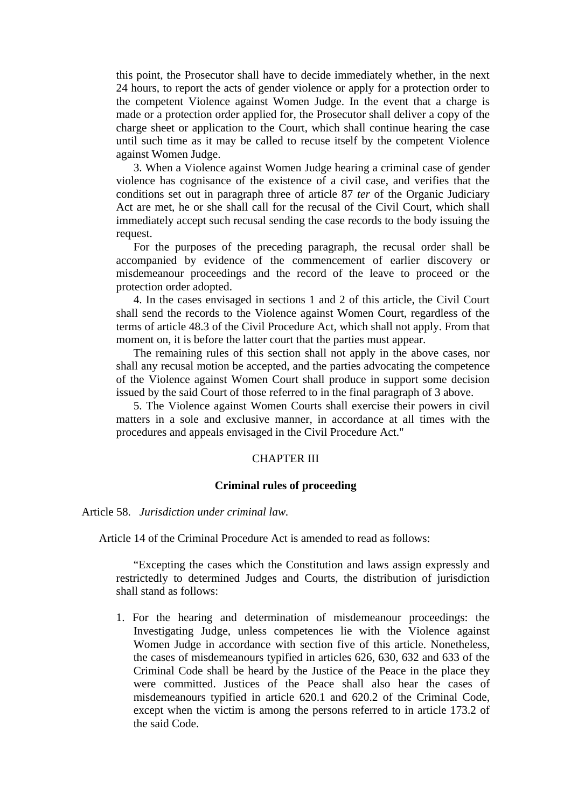this point, the Prosecutor shall have to decide immediately whether, in the next 24 hours, to report the acts of gender violence or apply for a protection order to the competent Violence against Women Judge. In the event that a charge is made or a protection order applied for, the Prosecutor shall deliver a copy of the charge sheet or application to the Court, which shall continue hearing the case until such time as it may be called to recuse itself by the competent Violence against Women Judge.

3. When a Violence against Women Judge hearing a criminal case of gender violence has cognisance of the existence of a civil case, and verifies that the conditions set out in paragraph three of article 87 *ter* of the Organic Judiciary Act are met, he or she shall call for the recusal of the Civil Court, which shall immediately accept such recusal sending the case records to the body issuing the request.

For the purposes of the preceding paragraph, the recusal order shall be accompanied by evidence of the commencement of earlier discovery or misdemeanour proceedings and the record of the leave to proceed or the protection order adopted.

4. In the cases envisaged in sections 1 and 2 of this article, the Civil Court shall send the records to the Violence against Women Court, regardless of the terms of article 48.3 of the Civil Procedure Act, which shall not apply. From that moment on, it is before the latter court that the parties must appear.

The remaining rules of this section shall not apply in the above cases, nor shall any recusal motion be accepted, and the parties advocating the competence of the Violence against Women Court shall produce in support some decision issued by the said Court of those referred to in the final paragraph of 3 above.

5. The Violence against Women Courts shall exercise their powers in civil matters in a sole and exclusive manner, in accordance at all times with the procedures and appeals envisaged in the Civil Procedure Act."

### CHAPTER III

#### **Criminal rules of proceeding**

Article 58. *Jurisdiction under criminal law.*

Article 14 of the Criminal Procedure Act is amended to read as follows:

"Excepting the cases which the Constitution and laws assign expressly and restrictedly to determined Judges and Courts, the distribution of jurisdiction shall stand as follows:

1. For the hearing and determination of misdemeanour proceedings: the Investigating Judge, unless competences lie with the Violence against Women Judge in accordance with section five of this article. Nonetheless, the cases of misdemeanours typified in articles 626, 630, 632 and 633 of the Criminal Code shall be heard by the Justice of the Peace in the place they were committed. Justices of the Peace shall also hear the cases of misdemeanours typified in article 620.1 and 620.2 of the Criminal Code, except when the victim is among the persons referred to in article 173.2 of the said Code.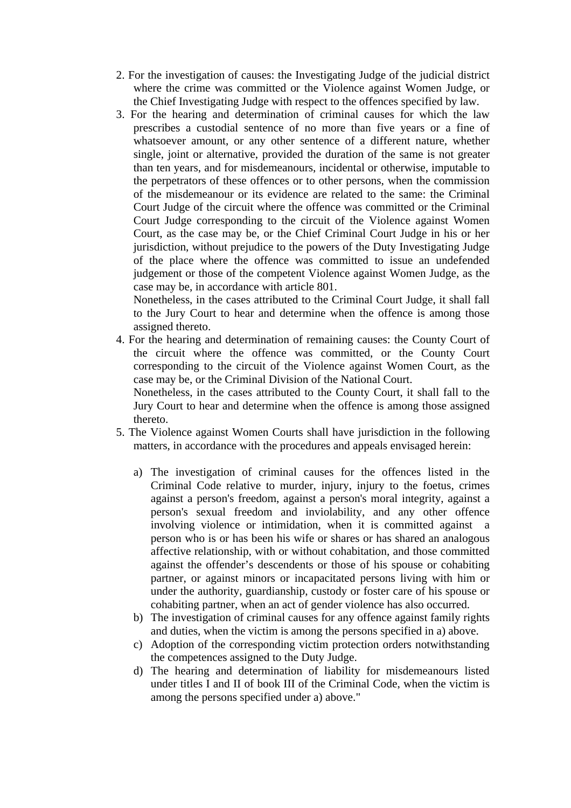- 2. For the investigation of causes: the Investigating Judge of the judicial district where the crime was committed or the Violence against Women Judge, or the Chief Investigating Judge with respect to the offences specified by law.
- 3. For the hearing and determination of criminal causes for which the law prescribes a custodial sentence of no more than five years or a fine of whatsoever amount, or any other sentence of a different nature, whether single, joint or alternative, provided the duration of the same is not greater than ten years, and for misdemeanours, incidental or otherwise, imputable to the perpetrators of these offences or to other persons, when the commission of the misdemeanour or its evidence are related to the same: the Criminal Court Judge of the circuit where the offence was committed or the Criminal Court Judge corresponding to the circuit of the Violence against Women Court, as the case may be, or the Chief Criminal Court Judge in his or her jurisdiction, without prejudice to the powers of the Duty Investigating Judge of the place where the offence was committed to issue an undefended judgement or those of the competent Violence against Women Judge, as the case may be, in accordance with article 801.

Nonetheless, in the cases attributed to the Criminal Court Judge, it shall fall to the Jury Court to hear and determine when the offence is among those assigned thereto.

4. For the hearing and determination of remaining causes: the County Court of the circuit where the offence was committed, or the County Court corresponding to the circuit of the Violence against Women Court, as the case may be, or the Criminal Division of the National Court.

Nonetheless, in the cases attributed to the County Court, it shall fall to the Jury Court to hear and determine when the offence is among those assigned thereto.

- 5. The Violence against Women Courts shall have jurisdiction in the following matters, in accordance with the procedures and appeals envisaged herein:
	- a) The investigation of criminal causes for the offences listed in the Criminal Code relative to murder, injury, injury to the foetus, crimes against a person's freedom, against a person's moral integrity, against a person's sexual freedom and inviolability, and any other offence involving violence or intimidation, when it is committed against a person who is or has been his wife or shares or has shared an analogous affective relationship, with or without cohabitation, and those committed against the offender's descendents or those of his spouse or cohabiting partner, or against minors or incapacitated persons living with him or under the authority, guardianship, custody or foster care of his spouse or cohabiting partner, when an act of gender violence has also occurred.
	- b) The investigation of criminal causes for any offence against family rights and duties, when the victim is among the persons specified in a) above.
	- c) Adoption of the corresponding victim protection orders notwithstanding the competences assigned to the Duty Judge.
	- d) The hearing and determination of liability for misdemeanours listed under titles I and II of book III of the Criminal Code, when the victim is among the persons specified under a) above."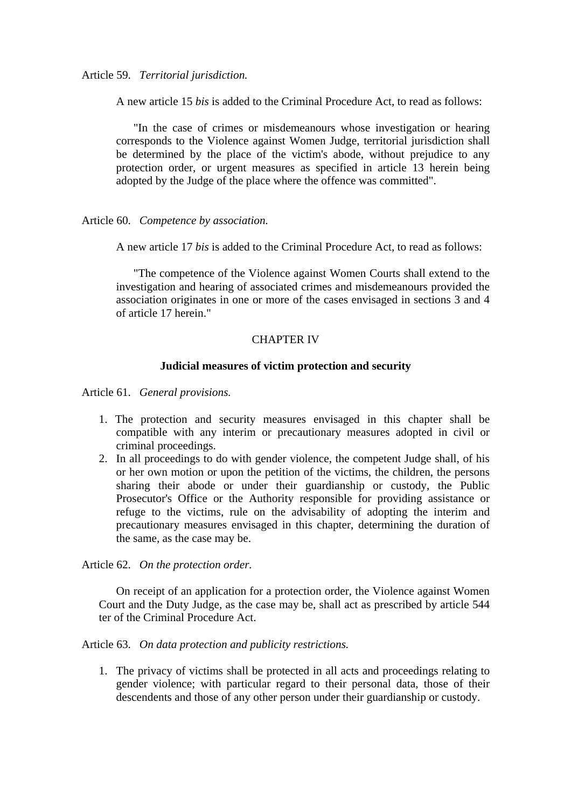Article 59. *Territorial jurisdiction.*

A new article 15 *bis* is added to the Criminal Procedure Act, to read as follows:

"In the case of crimes or misdemeanours whose investigation or hearing corresponds to the Violence against Women Judge, territorial jurisdiction shall be determined by the place of the victim's abode, without prejudice to any protection order, or urgent measures as specified in article 13 herein being adopted by the Judge of the place where the offence was committed".

Article 60. *Competence by association.* 

A new article 17 *bis* is added to the Criminal Procedure Act, to read as follows:

"The competence of the Violence against Women Courts shall extend to the investigation and hearing of associated crimes and misdemeanours provided the association originates in one or more of the cases envisaged in sections 3 and 4 of article 17 herein."

# CHAPTER IV

### **Judicial measures of victim protection and security**

Article 61. *General provisions.*

- 1. The protection and security measures envisaged in this chapter shall be compatible with any interim or precautionary measures adopted in civil or criminal proceedings.
- 2. In all proceedings to do with gender violence, the competent Judge shall, of his or her own motion or upon the petition of the victims, the children, the persons sharing their abode or under their guardianship or custody, the Public Prosecutor's Office or the Authority responsible for providing assistance or refuge to the victims, rule on the advisability of adopting the interim and precautionary measures envisaged in this chapter, determining the duration of the same, as the case may be.

Article 62. *On the protection order.*

On receipt of an application for a protection order, the Violence against Women Court and the Duty Judge, as the case may be, shall act as prescribed by article 544 ter of the Criminal Procedure Act.

Article 63. *On data protection and publicity restrictions.*

1. The privacy of victims shall be protected in all acts and proceedings relating to gender violence; with particular regard to their personal data, those of their descendents and those of any other person under their guardianship or custody.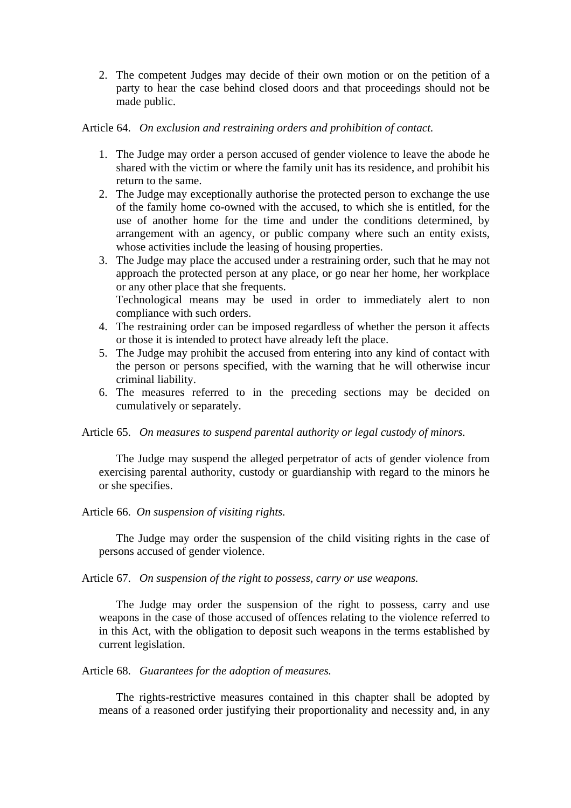2. The competent Judges may decide of their own motion or on the petition of a party to hear the case behind closed doors and that proceedings should not be made public.

Article 64. *On exclusion and restraining orders and prohibition of contact.*

- 1. The Judge may order a person accused of gender violence to leave the abode he shared with the victim or where the family unit has its residence, and prohibit his return to the same.
- 2. The Judge may exceptionally authorise the protected person to exchange the use of the family home co-owned with the accused, to which she is entitled, for the use of another home for the time and under the conditions determined, by arrangement with an agency, or public company where such an entity exists, whose activities include the leasing of housing properties.
- 3. The Judge may place the accused under a restraining order, such that he may not approach the protected person at any place, or go near her home, her workplace or any other place that she frequents. Technological means may be used in order to immediately alert to non compliance with such orders.
- 4. The restraining order can be imposed regardless of whether the person it affects or those it is intended to protect have already left the place.
- 5. The Judge may prohibit the accused from entering into any kind of contact with the person or persons specified, with the warning that he will otherwise incur criminal liability.
- 6. The measures referred to in the preceding sections may be decided on cumulatively or separately.

Article 65. *On measures to suspend parental authority or legal custody of minors.* 

The Judge may suspend the alleged perpetrator of acts of gender violence from exercising parental authority, custody or guardianship with regard to the minors he or she specifies.

Article 66. *On suspension of visiting rights.*

The Judge may order the suspension of the child visiting rights in the case of persons accused of gender violence.

Article 67. *On suspension of the right to possess, carry or use weapons.*

The Judge may order the suspension of the right to possess, carry and use weapons in the case of those accused of offences relating to the violence referred to in this Act, with the obligation to deposit such weapons in the terms established by current legislation.

Article 68. *Guarantees for the adoption of measures.*

The rights-restrictive measures contained in this chapter shall be adopted by means of a reasoned order justifying their proportionality and necessity and, in any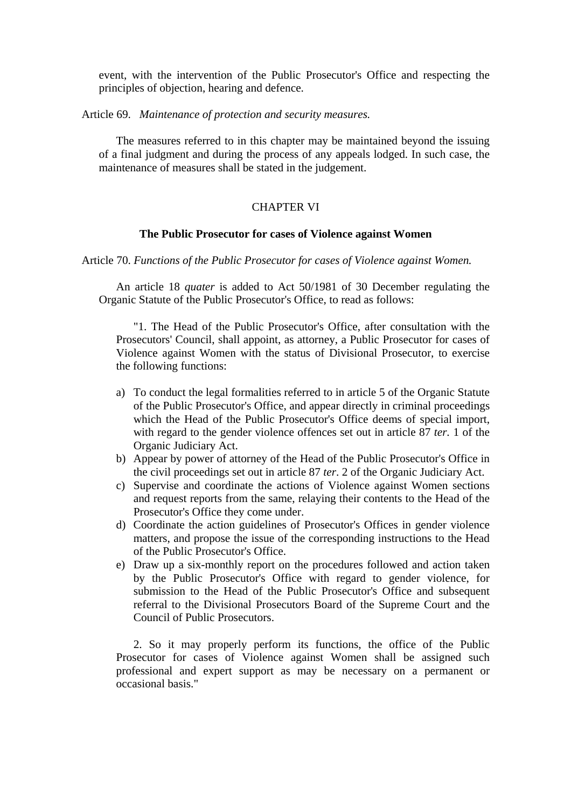event, with the intervention of the Public Prosecutor's Office and respecting the principles of objection, hearing and defence.

Article 69. *Maintenance of protection and security measures.* 

The measures referred to in this chapter may be maintained beyond the issuing of a final judgment and during the process of any appeals lodged. In such case, the maintenance of measures shall be stated in the judgement.

# CHAPTER VI

# **The Public Prosecutor for cases of Violence against Women**

Article 70. *Functions of the Public Prosecutor for cases of Violence against Women.* 

An article 18 *quater* is added to Act 50/1981 of 30 December regulating the Organic Statute of the Public Prosecutor's Office, to read as follows:

"1. The Head of the Public Prosecutor's Office, after consultation with the Prosecutors' Council, shall appoint, as attorney, a Public Prosecutor for cases of Violence against Women with the status of Divisional Prosecutor, to exercise the following functions:

- a) To conduct the legal formalities referred to in article 5 of the Organic Statute of the Public Prosecutor's Office, and appear directly in criminal proceedings which the Head of the Public Prosecutor's Office deems of special import, with regard to the gender violence offences set out in article 87 *ter.* 1 of the Organic Judiciary Act.
- b) Appear by power of attorney of the Head of the Public Prosecutor's Office in the civil proceedings set out in article 87 *ter*. 2 of the Organic Judiciary Act.
- c) Supervise and coordinate the actions of Violence against Women sections and request reports from the same, relaying their contents to the Head of the Prosecutor's Office they come under.
- d) Coordinate the action guidelines of Prosecutor's Offices in gender violence matters, and propose the issue of the corresponding instructions to the Head of the Public Prosecutor's Office.
- e) Draw up a six-monthly report on the procedures followed and action taken by the Public Prosecutor's Office with regard to gender violence, for submission to the Head of the Public Prosecutor's Office and subsequent referral to the Divisional Prosecutors Board of the Supreme Court and the Council of Public Prosecutors.

2. So it may properly perform its functions, the office of the Public Prosecutor for cases of Violence against Women shall be assigned such professional and expert support as may be necessary on a permanent or occasional basis."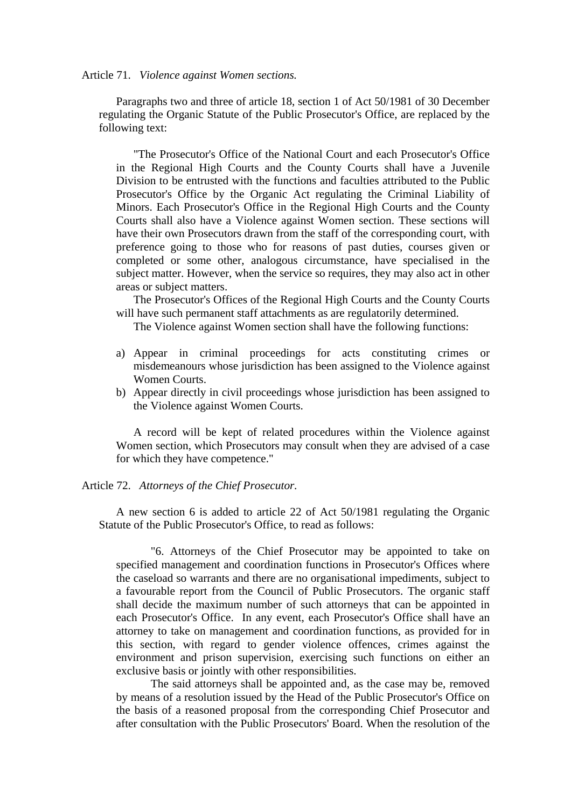#### Article 71. *Violence against Women sections.*

Paragraphs two and three of article 18, section 1 of Act 50/1981 of 30 December regulating the Organic Statute of the Public Prosecutor's Office, are replaced by the following text:

"The Prosecutor's Office of the National Court and each Prosecutor's Office in the Regional High Courts and the County Courts shall have a Juvenile Division to be entrusted with the functions and faculties attributed to the Public Prosecutor's Office by the Organic Act regulating the Criminal Liability of Minors. Each Prosecutor's Office in the Regional High Courts and the County Courts shall also have a Violence against Women section. These sections will have their own Prosecutors drawn from the staff of the corresponding court, with preference going to those who for reasons of past duties, courses given or completed or some other, analogous circumstance, have specialised in the subject matter. However, when the service so requires, they may also act in other areas or subject matters.

The Prosecutor's Offices of the Regional High Courts and the County Courts will have such permanent staff attachments as are regulatorily determined.

The Violence against Women section shall have the following functions:

- a) Appear in criminal proceedings for acts constituting crimes or misdemeanours whose jurisdiction has been assigned to the Violence against Women Courts.
- b) Appear directly in civil proceedings whose jurisdiction has been assigned to the Violence against Women Courts.

A record will be kept of related procedures within the Violence against Women section, which Prosecutors may consult when they are advised of a case for which they have competence."

### Article 72. *Attorneys of the Chief Prosecutor.*

A new section 6 is added to article 22 of Act 50/1981 regulating the Organic Statute of the Public Prosecutor's Office, to read as follows:

"6. Attorneys of the Chief Prosecutor may be appointed to take on specified management and coordination functions in Prosecutor's Offices where the caseload so warrants and there are no organisational impediments, subject to a favourable report from the Council of Public Prosecutors. The organic staff shall decide the maximum number of such attorneys that can be appointed in each Prosecutor's Office. In any event, each Prosecutor's Office shall have an attorney to take on management and coordination functions, as provided for in this section, with regard to gender violence offences, crimes against the environment and prison supervision, exercising such functions on either an exclusive basis or jointly with other responsibilities.

The said attorneys shall be appointed and, as the case may be, removed by means of a resolution issued by the Head of the Public Prosecutor's Office on the basis of a reasoned proposal from the corresponding Chief Prosecutor and after consultation with the Public Prosecutors' Board. When the resolution of the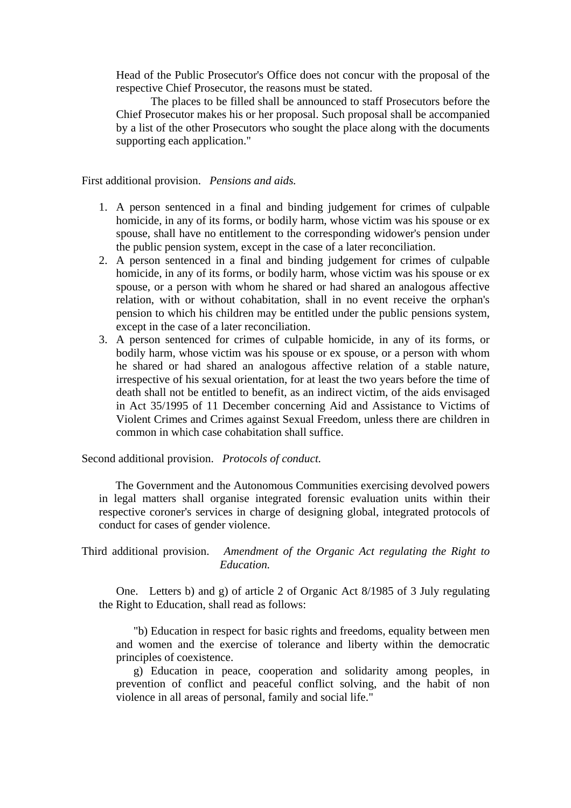Head of the Public Prosecutor's Office does not concur with the proposal of the respective Chief Prosecutor, the reasons must be stated.

The places to be filled shall be announced to staff Prosecutors before the Chief Prosecutor makes his or her proposal. Such proposal shall be accompanied by a list of the other Prosecutors who sought the place along with the documents supporting each application."

First additional provision. *Pensions and aids.*

- 1. A person sentenced in a final and binding judgement for crimes of culpable homicide, in any of its forms, or bodily harm, whose victim was his spouse or ex spouse, shall have no entitlement to the corresponding widower's pension under the public pension system, except in the case of a later reconciliation.
- 2. A person sentenced in a final and binding judgement for crimes of culpable homicide, in any of its forms, or bodily harm, whose victim was his spouse or ex spouse, or a person with whom he shared or had shared an analogous affective relation, with or without cohabitation, shall in no event receive the orphan's pension to which his children may be entitled under the public pensions system, except in the case of a later reconciliation.
- 3. A person sentenced for crimes of culpable homicide, in any of its forms, or bodily harm, whose victim was his spouse or ex spouse, or a person with whom he shared or had shared an analogous affective relation of a stable nature, irrespective of his sexual orientation, for at least the two years before the time of death shall not be entitled to benefit, as an indirect victim, of the aids envisaged in Act 35/1995 of 11 December concerning Aid and Assistance to Victims of Violent Crimes and Crimes against Sexual Freedom, unless there are children in common in which case cohabitation shall suffice.

Second additional provision. *Protocols of conduct.*

 The Government and the Autonomous Communities exercising devolved powers in legal matters shall organise integrated forensic evaluation units within their respective coroner's services in charge of designing global, integrated protocols of conduct for cases of gender violence.

# Third additional provision. *Amendment of the Organic Act regulating the Right to Education.*

One. Letters b) and g) of article 2 of Organic Act 8/1985 of 3 July regulating the Right to Education, shall read as follows:

"b) Education in respect for basic rights and freedoms, equality between men and women and the exercise of tolerance and liberty within the democratic principles of coexistence.

g) Education in peace, cooperation and solidarity among peoples, in prevention of conflict and peaceful conflict solving, and the habit of non violence in all areas of personal, family and social life."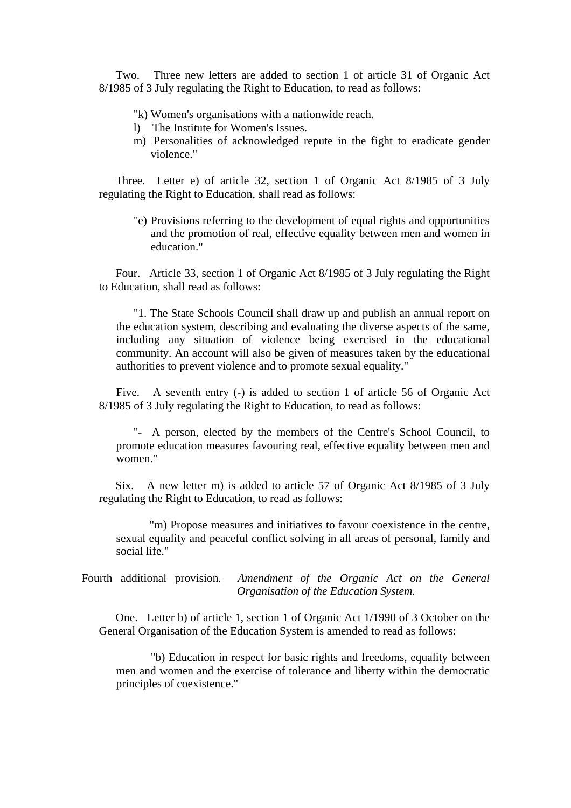Two. Three new letters are added to section 1 of article 31 of Organic Act 8/1985 of 3 July regulating the Right to Education, to read as follows:

"k) Women's organisations with a nationwide reach.

- l) The Institute for Women's Issues.
- m) Personalities of acknowledged repute in the fight to eradicate gender violence."

Three. Letter e) of article 32, section 1 of Organic Act 8/1985 of 3 July regulating the Right to Education, shall read as follows:

"e) Provisions referring to the development of equal rights and opportunities and the promotion of real, effective equality between men and women in education."

Four. Article 33, section 1 of Organic Act 8/1985 of 3 July regulating the Right to Education, shall read as follows:

"1. The State Schools Council shall draw up and publish an annual report on the education system, describing and evaluating the diverse aspects of the same, including any situation of violence being exercised in the educational community. An account will also be given of measures taken by the educational authorities to prevent violence and to promote sexual equality."

Five. A seventh entry (-) is added to section 1 of article 56 of Organic Act 8/1985 of 3 July regulating the Right to Education, to read as follows:

"- A person, elected by the members of the Centre's School Council, to promote education measures favouring real, effective equality between men and women."

Six. A new letter m) is added to article 57 of Organic Act 8/1985 of 3 July regulating the Right to Education, to read as follows:

 "m) Propose measures and initiatives to favour coexistence in the centre, sexual equality and peaceful conflict solving in all areas of personal, family and social life."

Fourth additional provision. *Amendment of the Organic Act on the General Organisation of the Education System.*

One. Letter b) of article 1, section 1 of Organic Act 1/1990 of 3 October on the General Organisation of the Education System is amended to read as follows:

"b) Education in respect for basic rights and freedoms, equality between men and women and the exercise of tolerance and liberty within the democratic principles of coexistence."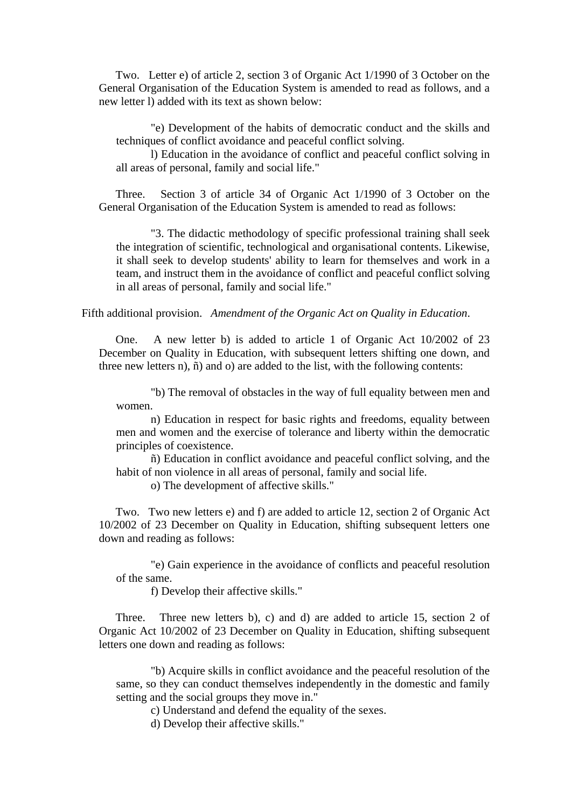Two. Letter e) of article 2, section 3 of Organic Act 1/1990 of 3 October on the General Organisation of the Education System is amended to read as follows, and a new letter l) added with its text as shown below:

"e) Development of the habits of democratic conduct and the skills and techniques of conflict avoidance and peaceful conflict solving.

l) Education in the avoidance of conflict and peaceful conflict solving in all areas of personal, family and social life."

Three. Section 3 of article 34 of Organic Act 1/1990 of 3 October on the General Organisation of the Education System is amended to read as follows:

"3. The didactic methodology of specific professional training shall seek the integration of scientific, technological and organisational contents. Likewise, it shall seek to develop students' ability to learn for themselves and work in a team, and instruct them in the avoidance of conflict and peaceful conflict solving in all areas of personal, family and social life."

Fifth additional provision. *Amendment of the Organic Act on Quality in Education*.

One. A new letter b) is added to article 1 of Organic Act 10/2002 of 23 December on Quality in Education, with subsequent letters shifting one down, and three new letters n), ñ) and o) are added to the list, with the following contents:

"b) The removal of obstacles in the way of full equality between men and women.

n) Education in respect for basic rights and freedoms, equality between men and women and the exercise of tolerance and liberty within the democratic principles of coexistence.

ñ) Education in conflict avoidance and peaceful conflict solving, and the habit of non violence in all areas of personal, family and social life.

o) The development of affective skills."

Two. Two new letters e) and f) are added to article 12, section 2 of Organic Act 10/2002 of 23 December on Quality in Education, shifting subsequent letters one down and reading as follows:

"e) Gain experience in the avoidance of conflicts and peaceful resolution of the same.

f) Develop their affective skills."

Three. Three new letters b), c) and d) are added to article 15, section 2 of Organic Act 10/2002 of 23 December on Quality in Education, shifting subsequent letters one down and reading as follows:

"b) Acquire skills in conflict avoidance and the peaceful resolution of the same, so they can conduct themselves independently in the domestic and family setting and the social groups they move in."

c) Understand and defend the equality of the sexes.

d) Develop their affective skills."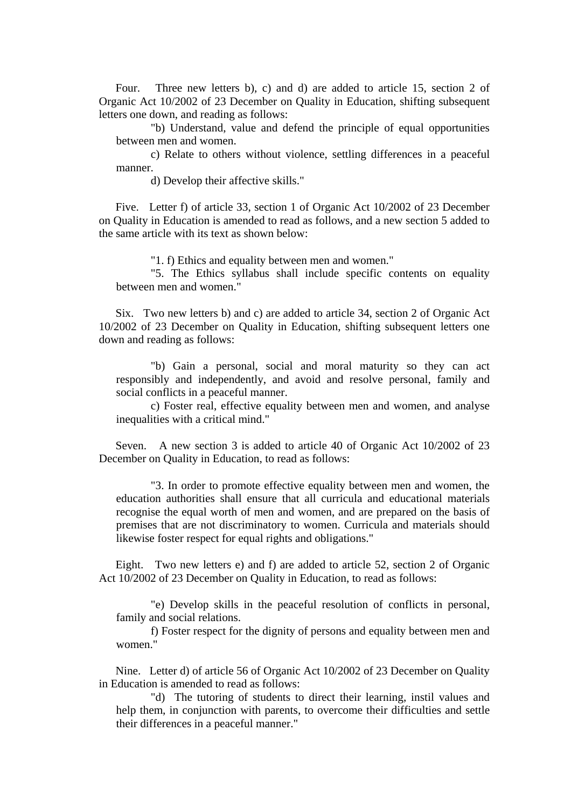Four. Three new letters b), c) and d) are added to article 15, section 2 of Organic Act 10/2002 of 23 December on Quality in Education, shifting subsequent letters one down, and reading as follows:

"b) Understand, value and defend the principle of equal opportunities between men and women.

c) Relate to others without violence, settling differences in a peaceful manner.

d) Develop their affective skills."

Five. Letter f) of article 33, section 1 of Organic Act 10/2002 of 23 December on Quality in Education is amended to read as follows, and a new section 5 added to the same article with its text as shown below:

"1. f) Ethics and equality between men and women."

"5. The Ethics syllabus shall include specific contents on equality between men and women."

Six. Two new letters b) and c) are added to article 34, section 2 of Organic Act 10/2002 of 23 December on Quality in Education, shifting subsequent letters one down and reading as follows:

"b) Gain a personal, social and moral maturity so they can act responsibly and independently, and avoid and resolve personal, family and social conflicts in a peaceful manner.

c) Foster real, effective equality between men and women, and analyse inequalities with a critical mind."

Seven. A new section 3 is added to article 40 of Organic Act 10/2002 of 23 December on Quality in Education, to read as follows:

"3. In order to promote effective equality between men and women, the education authorities shall ensure that all curricula and educational materials recognise the equal worth of men and women, and are prepared on the basis of premises that are not discriminatory to women. Curricula and materials should likewise foster respect for equal rights and obligations."

Eight. Two new letters e) and f) are added to article 52, section 2 of Organic Act 10/2002 of 23 December on Quality in Education, to read as follows:

"e) Develop skills in the peaceful resolution of conflicts in personal, family and social relations.

f) Foster respect for the dignity of persons and equality between men and women."

Nine. Letter d) of article 56 of Organic Act 10/2002 of 23 December on Quality in Education is amended to read as follows:

"d) The tutoring of students to direct their learning, instil values and help them, in conjunction with parents, to overcome their difficulties and settle their differences in a peaceful manner."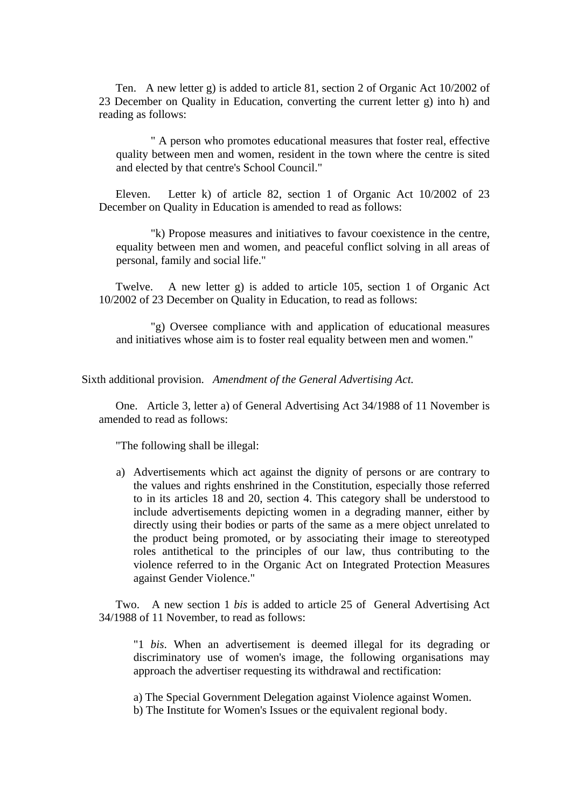Ten. A new letter g) is added to article 81, section 2 of Organic Act 10/2002 of 23 December on Quality in Education, converting the current letter g) into h) and reading as follows:

" A person who promotes educational measures that foster real, effective quality between men and women, resident in the town where the centre is sited and elected by that centre's School Council."

Eleven. Letter k) of article 82, section 1 of Organic Act 10/2002 of 23 December on Quality in Education is amended to read as follows:

"k) Propose measures and initiatives to favour coexistence in the centre, equality between men and women, and peaceful conflict solving in all areas of personal, family and social life."

Twelve. A new letter g) is added to article 105, section 1 of Organic Act 10/2002 of 23 December on Quality in Education, to read as follows:

"g) Oversee compliance with and application of educational measures and initiatives whose aim is to foster real equality between men and women."

Sixth additional provision. *Amendment of the General Advertising Act.*

One. Article 3, letter a) of General Advertising Act 34/1988 of 11 November is amended to read as follows:

"The following shall be illegal:

a) Advertisements which act against the dignity of persons or are contrary to the values and rights enshrined in the Constitution, especially those referred to in its articles 18 and 20, section 4. This category shall be understood to include advertisements depicting women in a degrading manner, either by directly using their bodies or parts of the same as a mere object unrelated to the product being promoted, or by associating their image to stereotyped roles antithetical to the principles of our law, thus contributing to the violence referred to in the Organic Act on Integrated Protection Measures against Gender Violence."

Two. A new section 1 *bis* is added to article 25 of General Advertising Act 34/1988 of 11 November, to read as follows:

 "1 *bis*. When an advertisement is deemed illegal for its degrading or discriminatory use of women's image, the following organisations may approach the advertiser requesting its withdrawal and rectification:

a) The Special Government Delegation against Violence against Women.

b) The Institute for Women's Issues or the equivalent regional body.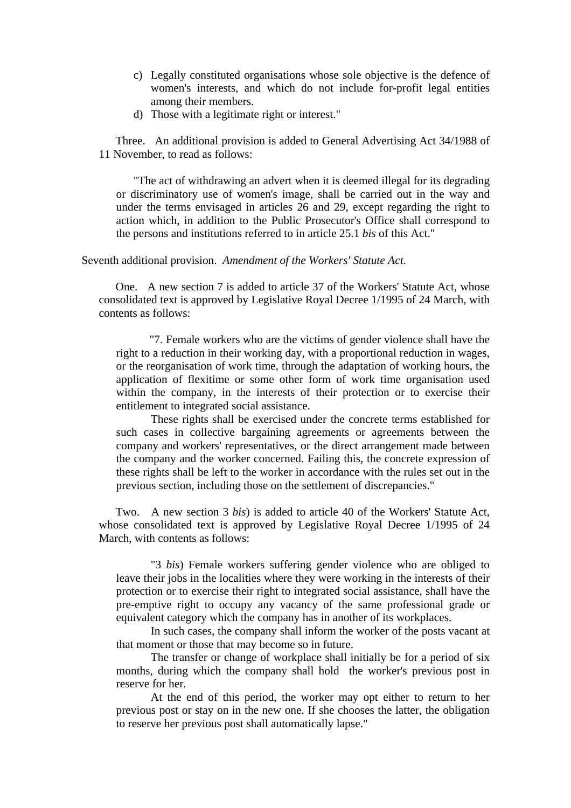- c) Legally constituted organisations whose sole objective is the defence of women's interests, and which do not include for-profit legal entities among their members.
- d) Those with a legitimate right or interest."

Three. An additional provision is added to General Advertising Act 34/1988 of 11 November, to read as follows:

"The act of withdrawing an advert when it is deemed illegal for its degrading or discriminatory use of women's image, shall be carried out in the way and under the terms envisaged in articles 26 and 29, except regarding the right to action which, in addition to the Public Prosecutor's Office shall correspond to the persons and institutions referred to in article 25.1 *bis* of this Act."

### Seventh additional provision. *Amendment of the Workers' Statute Act*.

One. A new section 7 is added to article 37 of the Workers' Statute Act, whose consolidated text is approved by Legislative Royal Decree 1/1995 of 24 March, with contents as follows:

 "7. Female workers who are the victims of gender violence shall have the right to a reduction in their working day, with a proportional reduction in wages, or the reorganisation of work time, through the adaptation of working hours, the application of flexitime or some other form of work time organisation used within the company, in the interests of their protection or to exercise their entitlement to integrated social assistance.

These rights shall be exercised under the concrete terms established for such cases in collective bargaining agreements or agreements between the company and workers' representatives, or the direct arrangement made between the company and the worker concerned. Failing this, the concrete expression of these rights shall be left to the worker in accordance with the rules set out in the previous section, including those on the settlement of discrepancies."

Two. A new section 3 *bis*) is added to article 40 of the Workers' Statute Act, whose consolidated text is approved by Legislative Royal Decree 1/1995 of 24 March, with contents as follows:

"3 *bis*) Female workers suffering gender violence who are obliged to leave their jobs in the localities where they were working in the interests of their protection or to exercise their right to integrated social assistance, shall have the pre-emptive right to occupy any vacancy of the same professional grade or equivalent category which the company has in another of its workplaces.

In such cases, the company shall inform the worker of the posts vacant at that moment or those that may become so in future.

The transfer or change of workplace shall initially be for a period of six months, during which the company shall hold the worker's previous post in reserve for her.

At the end of this period, the worker may opt either to return to her previous post or stay on in the new one. If she chooses the latter, the obligation to reserve her previous post shall automatically lapse."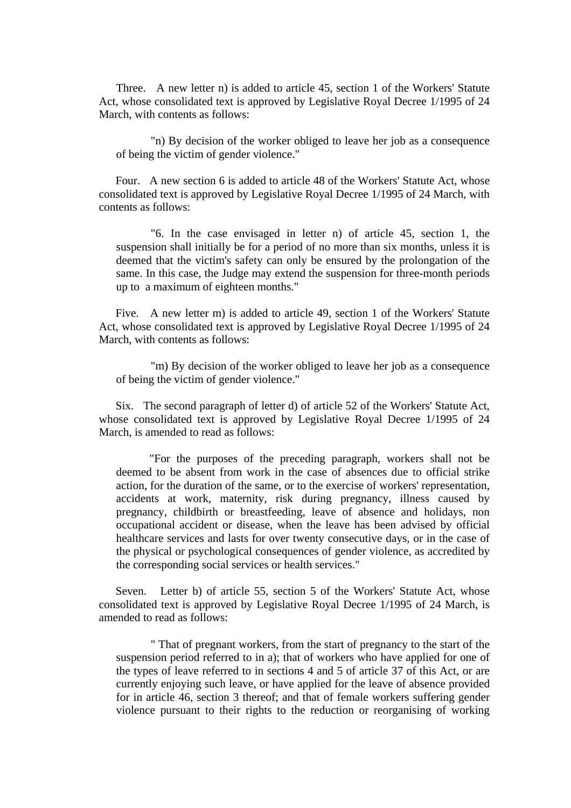Three. A new letter n) is added to article 45, section 1 of the Workers' Statute Act, whose consolidated text is approved by Legislative Royal Decree 1/1995 of 24 March, with contents as follows:

"n) By decision of the worker obliged to leave her job as a consequence of being the victim of gender violence."

Four. A new section 6 is added to article 48 of the Workers' Statute Act, whose consolidated text is approved by Legislative Royal Decree 1/1995 of 24 March, with contents as follows:

"6. In the case envisaged in letter n) of article 45, section 1, the suspension shall initially be for a period of no more than six months, unless it is deemed that the victim's safety can only be ensured by the prolongation of the same. In this case, the Judge may extend the suspension for three-month periods up to a maximum of eighteen months."

Five. A new letter m) is added to article 49, section 1 of the Workers' Statute Act, whose consolidated text is approved by Legislative Royal Decree 1/1995 of 24 March, with contents as follows:

"m) By decision of the worker obliged to leave her job as a consequence of being the victim of gender violence."

Six. The second paragraph of letter d) of article 52 of the Workers' Statute Act, whose consolidated text is approved by Legislative Royal Decree 1/1995 of 24 March, is amended to read as follows:

 "For the purposes of the preceding paragraph, workers shall not be deemed to be absent from work in the case of absences due to official strike action, for the duration of the same, or to the exercise of workers' representation, accidents at work, maternity, risk during pregnancy, illness caused by pregnancy, childbirth or breastfeeding, leave of absence and holidays, non occupational accident or disease, when the leave has been advised by official healthcare services and lasts for over twenty consecutive days, or in the case of the physical or psychological consequences of gender violence, as accredited by the corresponding social services or health services."

Seven. Letter b) of article 55, section 5 of the Workers' Statute Act, whose consolidated text is approved by Legislative Royal Decree 1/1995 of 24 March, is amended to read as follows:

" That of pregnant workers, from the start of pregnancy to the start of the suspension period referred to in a); that of workers who have applied for one of the types of leave referred to in sections 4 and 5 of article 37 of this Act, or are currently enjoying such leave, or have applied for the leave of absence provided for in article 46, section 3 thereof; and that of female workers suffering gender violence pursuant to their rights to the reduction or reorganising of working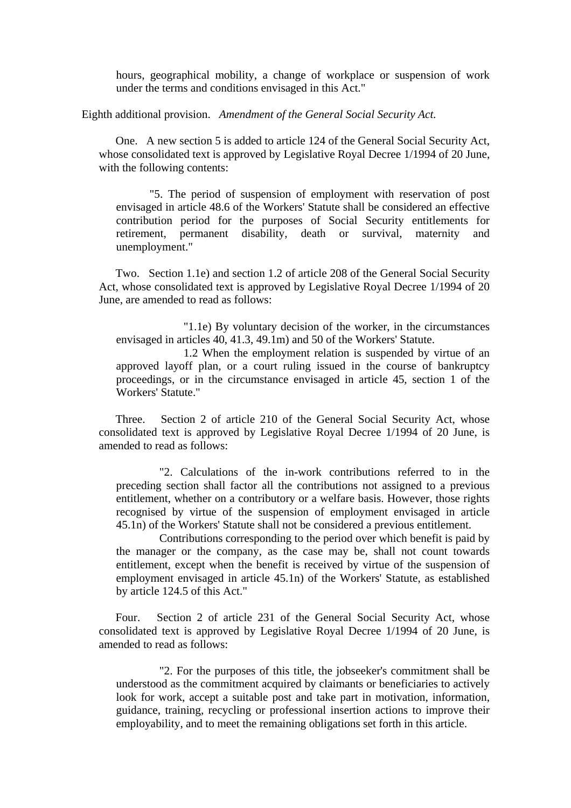hours, geographical mobility, a change of workplace or suspension of work under the terms and conditions envisaged in this Act."

Eighth additional provision. *Amendment of the General Social Security Act.*

One. A new section 5 is added to article 124 of the General Social Security Act, whose consolidated text is approved by Legislative Royal Decree 1/1994 of 20 June, with the following contents:

 "5. The period of suspension of employment with reservation of post envisaged in article 48.6 of the Workers' Statute shall be considered an effective contribution period for the purposes of Social Security entitlements for retirement, permanent disability, death or survival, maternity and unemployment."

Two. Section 1.1e) and section 1.2 of article 208 of the General Social Security Act, whose consolidated text is approved by Legislative Royal Decree 1/1994 of 20 June, are amended to read as follows:

 "1.1e) By voluntary decision of the worker, in the circumstances envisaged in articles 40, 41.3, 49.1m) and 50 of the Workers' Statute.

 1.2 When the employment relation is suspended by virtue of an approved layoff plan, or a court ruling issued in the course of bankruptcy proceedings, or in the circumstance envisaged in article 45, section 1 of the Workers' Statute."

Three. Section 2 of article 210 of the General Social Security Act, whose consolidated text is approved by Legislative Royal Decree 1/1994 of 20 June, is amended to read as follows:

"2. Calculations of the in-work contributions referred to in the preceding section shall factor all the contributions not assigned to a previous entitlement, whether on a contributory or a welfare basis. However, those rights recognised by virtue of the suspension of employment envisaged in article 45.1n) of the Workers' Statute shall not be considered a previous entitlement.

Contributions corresponding to the period over which benefit is paid by the manager or the company, as the case may be, shall not count towards entitlement, except when the benefit is received by virtue of the suspension of employment envisaged in article 45.1n) of the Workers' Statute, as established by article 124.5 of this Act."

Four. Section 2 of article 231 of the General Social Security Act, whose consolidated text is approved by Legislative Royal Decree 1/1994 of 20 June, is amended to read as follows:

"2. For the purposes of this title, the jobseeker's commitment shall be understood as the commitment acquired by claimants or beneficiaries to actively look for work, accept a suitable post and take part in motivation, information, guidance, training, recycling or professional insertion actions to improve their employability, and to meet the remaining obligations set forth in this article.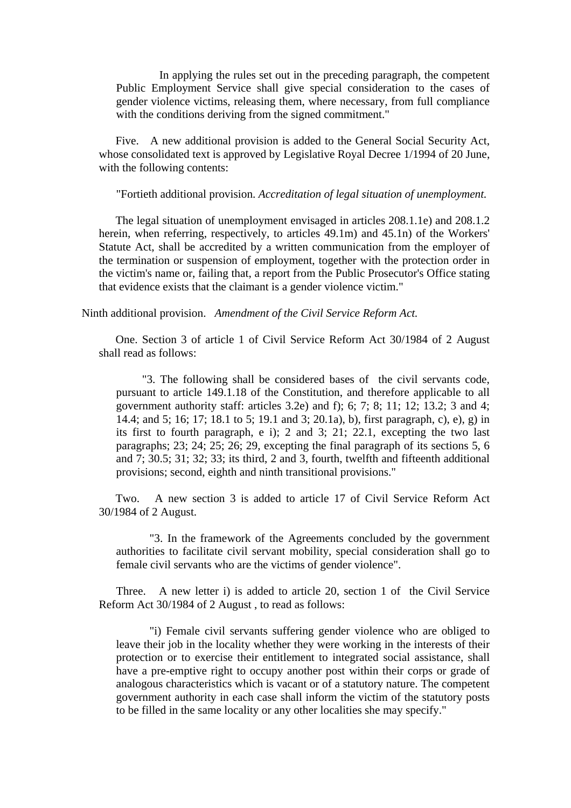In applying the rules set out in the preceding paragraph, the competent Public Employment Service shall give special consideration to the cases of gender violence victims, releasing them, where necessary, from full compliance with the conditions deriving from the signed commitment."

Five. A new additional provision is added to the General Social Security Act, whose consolidated text is approved by Legislative Royal Decree 1/1994 of 20 June, with the following contents:

"Fortieth additional provision. *Accreditation of legal situation of unemployment.*

 The legal situation of unemployment envisaged in articles 208.1.1e) and 208.1.2 herein, when referring, respectively, to articles 49.1m) and 45.1n) of the Workers' Statute Act, shall be accredited by a written communication from the employer of the termination or suspension of employment, together with the protection order in the victim's name or, failing that, a report from the Public Prosecutor's Office stating that evidence exists that the claimant is a gender violence victim."

Ninth additional provision. *Amendment of the Civil Service Reform Act.*

One. Section 3 of article 1 of Civil Service Reform Act 30/1984 of 2 August shall read as follows:

"3. The following shall be considered bases of the civil servants code, pursuant to article 149.1.18 of the Constitution, and therefore applicable to all government authority staff: articles 3.2e) and f); 6; 7; 8; 11; 12; 13.2; 3 and 4; 14.4; and 5; 16; 17; 18.1 to 5; 19.1 and 3; 20.1a), b), first paragraph, c), e), g) in its first to fourth paragraph, e i); 2 and 3; 21; 22.1, excepting the two last paragraphs; 23; 24; 25; 26; 29, excepting the final paragraph of its sections 5, 6 and 7; 30.5; 31; 32; 33; its third, 2 and 3, fourth, twelfth and fifteenth additional provisions; second, eighth and ninth transitional provisions."

Two. A new section 3 is added to article 17 of Civil Service Reform Act 30/1984 of 2 August.

 "3. In the framework of the Agreements concluded by the government authorities to facilitate civil servant mobility, special consideration shall go to female civil servants who are the victims of gender violence".

Three. A new letter i) is added to article 20, section 1 of the Civil Service Reform Act 30/1984 of 2 August , to read as follows:

 "i) Female civil servants suffering gender violence who are obliged to leave their job in the locality whether they were working in the interests of their protection or to exercise their entitlement to integrated social assistance, shall have a pre-emptive right to occupy another post within their corps or grade of analogous characteristics which is vacant or of a statutory nature. The competent government authority in each case shall inform the victim of the statutory posts to be filled in the same locality or any other localities she may specify."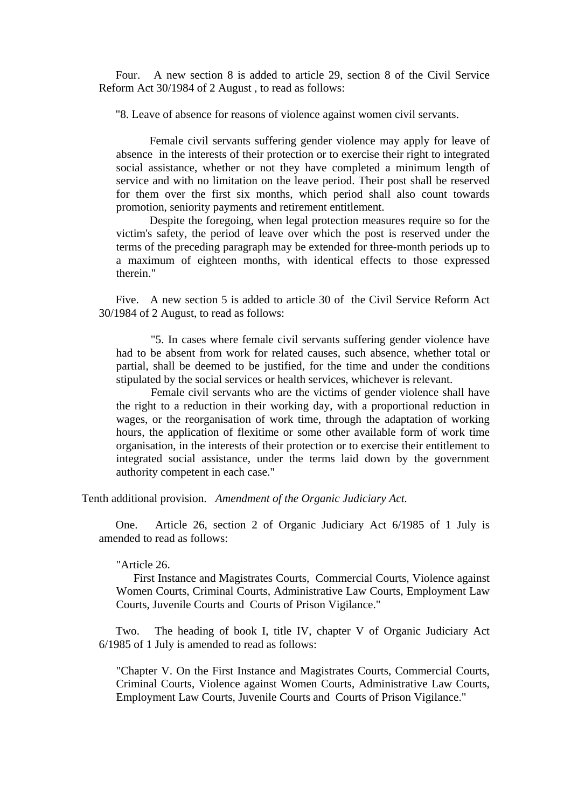Four. A new section 8 is added to article 29, section 8 of the Civil Service Reform Act 30/1984 of 2 August , to read as follows:

"8. Leave of absence for reasons of violence against women civil servants.

 Female civil servants suffering gender violence may apply for leave of absence in the interests of their protection or to exercise their right to integrated social assistance, whether or not they have completed a minimum length of service and with no limitation on the leave period. Their post shall be reserved for them over the first six months, which period shall also count towards promotion, seniority payments and retirement entitlement.

 Despite the foregoing, when legal protection measures require so for the victim's safety, the period of leave over which the post is reserved under the terms of the preceding paragraph may be extended for three-month periods up to a maximum of eighteen months, with identical effects to those expressed therein."

Five. A new section 5 is added to article 30 of the Civil Service Reform Act 30/1984 of 2 August, to read as follows:

"5. In cases where female civil servants suffering gender violence have had to be absent from work for related causes, such absence, whether total or partial, shall be deemed to be justified, for the time and under the conditions stipulated by the social services or health services, whichever is relevant.

Female civil servants who are the victims of gender violence shall have the right to a reduction in their working day, with a proportional reduction in wages, or the reorganisation of work time, through the adaptation of working hours, the application of flexitime or some other available form of work time organisation, in the interests of their protection or to exercise their entitlement to integrated social assistance, under the terms laid down by the government authority competent in each case."

Tenth additional provision. *Amendment of the Organic Judiciary Act.*

One. Article 26, section 2 of Organic Judiciary Act 6/1985 of 1 July is amended to read as follows:

### "Article 26.

First Instance and Magistrates Courts, Commercial Courts, Violence against Women Courts, Criminal Courts, Administrative Law Courts, Employment Law Courts, Juvenile Courts and Courts of Prison Vigilance."

Two. The heading of book I, title IV, chapter V of Organic Judiciary Act 6/1985 of 1 July is amended to read as follows:

"Chapter V. On the First Instance and Magistrates Courts, Commercial Courts, Criminal Courts, Violence against Women Courts, Administrative Law Courts, Employment Law Courts, Juvenile Courts and Courts of Prison Vigilance."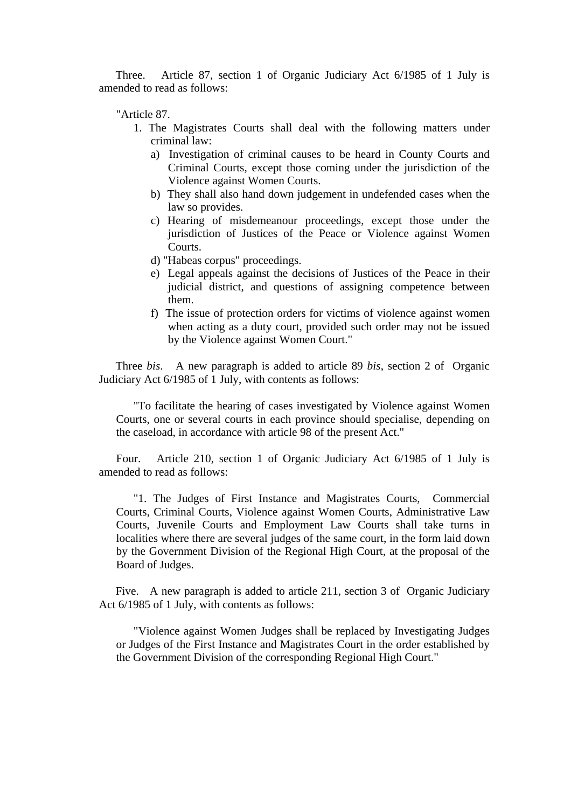Three. Article 87, section 1 of Organic Judiciary Act 6/1985 of 1 July is amended to read as follows:

"Article 87.

- 1. The Magistrates Courts shall deal with the following matters under criminal law:
	- a) Investigation of criminal causes to be heard in County Courts and Criminal Courts, except those coming under the jurisdiction of the Violence against Women Courts.
	- b) They shall also hand down judgement in undefended cases when the law so provides.
	- c) Hearing of misdemeanour proceedings, except those under the jurisdiction of Justices of the Peace or Violence against Women Courts.
	- d) "Habeas corpus" proceedings.
	- e) Legal appeals against the decisions of Justices of the Peace in their judicial district, and questions of assigning competence between them.
	- f) The issue of protection orders for victims of violence against women when acting as a duty court, provided such order may not be issued by the Violence against Women Court."

Three *bis*. A new paragraph is added to article 89 *bis*, section 2 of Organic Judiciary Act 6/1985 of 1 July, with contents as follows:

"To facilitate the hearing of cases investigated by Violence against Women Courts, one or several courts in each province should specialise, depending on the caseload, in accordance with article 98 of the present Act."

Four. Article 210, section 1 of Organic Judiciary Act 6/1985 of 1 July is amended to read as follows:

"1. The Judges of First Instance and Magistrates Courts, Commercial Courts, Criminal Courts, Violence against Women Courts, Administrative Law Courts, Juvenile Courts and Employment Law Courts shall take turns in localities where there are several judges of the same court, in the form laid down by the Government Division of the Regional High Court, at the proposal of the Board of Judges.

Five. A new paragraph is added to article 211, section 3 of Organic Judiciary Act 6/1985 of 1 July, with contents as follows:

"Violence against Women Judges shall be replaced by Investigating Judges or Judges of the First Instance and Magistrates Court in the order established by the Government Division of the corresponding Regional High Court."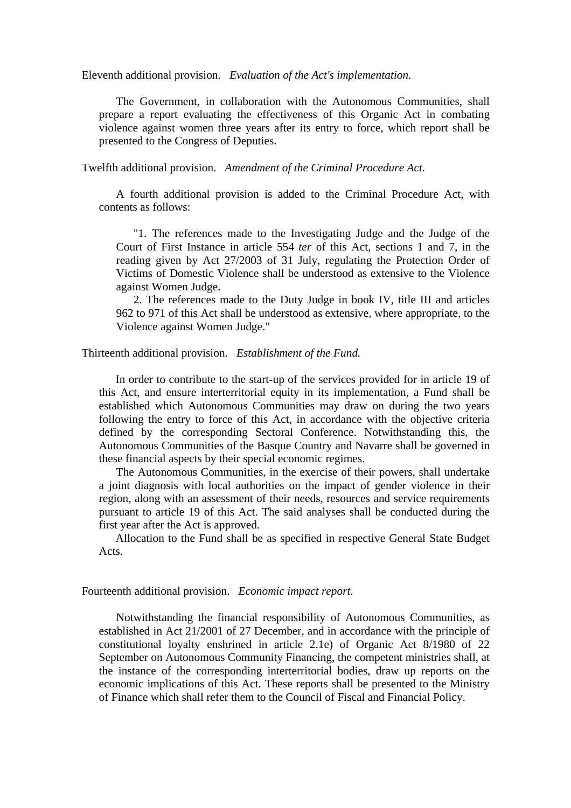Eleventh additional provision. *Evaluation of the Act's implementation.*

The Government, in collaboration with the Autonomous Communities, shall prepare a report evaluating the effectiveness of this Organic Act in combating violence against women three years after its entry to force, which report shall be presented to the Congress of Deputies.

Twelfth additional provision. *Amendment of the Criminal Procedure Act.*

A fourth additional provision is added to the Criminal Procedure Act, with contents as follows:

"1. The references made to the Investigating Judge and the Judge of the Court of First Instance in article 554 *ter* of this Act, sections 1 and 7, in the reading given by Act 27/2003 of 31 July, regulating the Protection Order of Victims of Domestic Violence shall be understood as extensive to the Violence against Women Judge.

2. The references made to the Duty Judge in book IV, title III and articles 962 to 971 of this Act shall be understood as extensive, where appropriate, to the Violence against Women Judge."

Thirteenth additional provision. *Establishment of the Fund.*

In order to contribute to the start-up of the services provided for in article 19 of this Act, and ensure interterritorial equity in its implementation, a Fund shall be established which Autonomous Communities may draw on during the two years following the entry to force of this Act, in accordance with the objective criteria defined by the corresponding Sectoral Conference. Notwithstanding this, the Autonomous Communities of the Basque Country and Navarre shall be governed in these financial aspects by their special economic regimes.

The Autonomous Communities, in the exercise of their powers, shall undertake a joint diagnosis with local authorities on the impact of gender violence in their region, along with an assessment of their needs, resources and service requirements pursuant to article 19 of this Act. The said analyses shall be conducted during the first year after the Act is approved.

Allocation to the Fund shall be as specified in respective General State Budget Acts.

Fourteenth additional provision. *Economic impact report.*

Notwithstanding the financial responsibility of Autonomous Communities, as established in Act 21/2001 of 27 December, and in accordance with the principle of constitutional loyalty enshrined in article 2.1e) of Organic Act 8/1980 of 22 September on Autonomous Community Financing, the competent ministries shall, at the instance of the corresponding interterritorial bodies, draw up reports on the economic implications of this Act. These reports shall be presented to the Ministry of Finance which shall refer them to the Council of Fiscal and Financial Policy.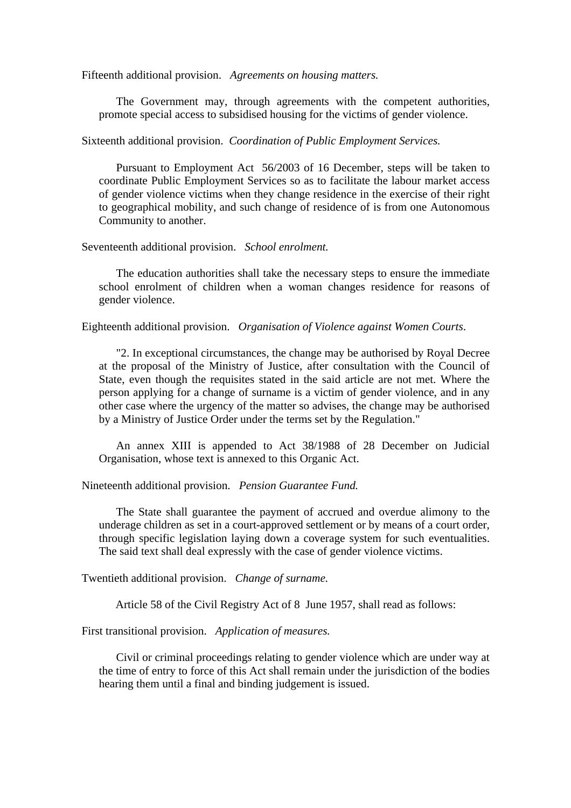Fifteenth additional provision. *Agreements on housing matters.*

The Government may, through agreements with the competent authorities, promote special access to subsidised housing for the victims of gender violence.

Sixteenth additional provision. *Coordination of Public Employment Services.*

Pursuant to Employment Act 56/2003 of 16 December, steps will be taken to coordinate Public Employment Services so as to facilitate the labour market access of gender violence victims when they change residence in the exercise of their right to geographical mobility, and such change of residence of is from one Autonomous Community to another.

Seventeenth additional provision. *School enrolment.*

The education authorities shall take the necessary steps to ensure the immediate school enrolment of children when a woman changes residence for reasons of gender violence.

Eighteenth additional provision. *Organisation of Violence against Women Courts*.

"2. In exceptional circumstances, the change may be authorised by Royal Decree at the proposal of the Ministry of Justice, after consultation with the Council of State, even though the requisites stated in the said article are not met. Where the person applying for a change of surname is a victim of gender violence, and in any other case where the urgency of the matter so advises, the change may be authorised by a Ministry of Justice Order under the terms set by the Regulation."

An annex XIII is appended to Act 38/1988 of 28 December on Judicial Organisation, whose text is annexed to this Organic Act.

Nineteenth additional provision. *Pension Guarantee Fund.*

The State shall guarantee the payment of accrued and overdue alimony to the underage children as set in a court-approved settlement or by means of a court order, through specific legislation laying down a coverage system for such eventualities. The said text shall deal expressly with the case of gender violence victims.

Twentieth additional provision. *Change of surname.*

Article 58 of the Civil Registry Act of 8 June 1957, shall read as follows:

First transitional provision. *Application of measures.*

Civil or criminal proceedings relating to gender violence which are under way at the time of entry to force of this Act shall remain under the jurisdiction of the bodies hearing them until a final and binding judgement is issued.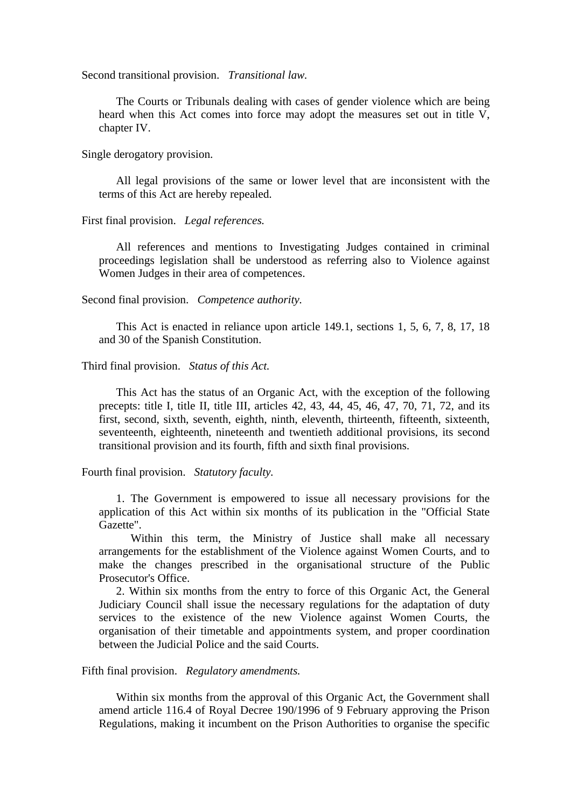Second transitional provision. *Transitional law.*

The Courts or Tribunals dealing with cases of gender violence which are being heard when this Act comes into force may adopt the measures set out in title V, chapter IV.

Single derogatory provision.

All legal provisions of the same or lower level that are inconsistent with the terms of this Act are hereby repealed.

First final provision. *Legal references.*

All references and mentions to Investigating Judges contained in criminal proceedings legislation shall be understood as referring also to Violence against Women Judges in their area of competences.

Second final provision. *Competence authority.*

This Act is enacted in reliance upon article 149.1, sections 1, 5, 6, 7, 8, 17, 18 and 30 of the Spanish Constitution.

Third final provision. *Status of this Act.*

This Act has the status of an Organic Act, with the exception of the following precepts: title I, title II, title III, articles 42, 43, 44, 45, 46, 47, 70, 71, 72, and its first, second, sixth, seventh, eighth, ninth, eleventh, thirteenth, fifteenth, sixteenth, seventeenth, eighteenth, nineteenth and twentieth additional provisions, its second transitional provision and its fourth, fifth and sixth final provisions.

Fourth final provision. *Statutory faculty.*

1. The Government is empowered to issue all necessary provisions for the application of this Act within six months of its publication in the "Official State Gazette".

 Within this term, the Ministry of Justice shall make all necessary arrangements for the establishment of the Violence against Women Courts, and to make the changes prescribed in the organisational structure of the Public Prosecutor's Office.

2. Within six months from the entry to force of this Organic Act, the General Judiciary Council shall issue the necessary regulations for the adaptation of duty services to the existence of the new Violence against Women Courts, the organisation of their timetable and appointments system, and proper coordination between the Judicial Police and the said Courts.

Fifth final provision. *Regulatory amendments.*

Within six months from the approval of this Organic Act, the Government shall amend article 116.4 of Royal Decree 190/1996 of 9 February approving the Prison Regulations, making it incumbent on the Prison Authorities to organise the specific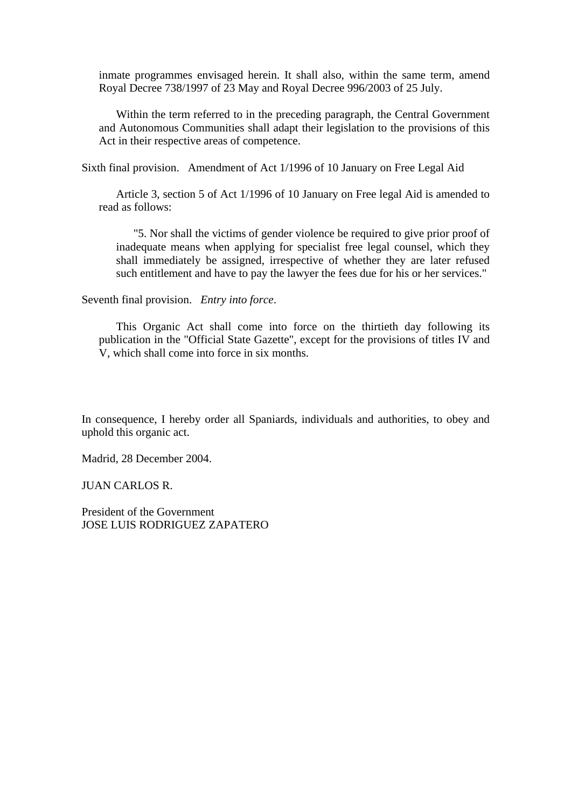inmate programmes envisaged herein. It shall also, within the same term, amend Royal Decree 738/1997 of 23 May and Royal Decree 996/2003 of 25 July.

Within the term referred to in the preceding paragraph, the Central Government and Autonomous Communities shall adapt their legislation to the provisions of this Act in their respective areas of competence.

Sixth final provision. Amendment of Act 1/1996 of 10 January on Free Legal Aid

Article 3, section 5 of Act 1/1996 of 10 January on Free legal Aid is amended to read as follows:

"5. Nor shall the victims of gender violence be required to give prior proof of inadequate means when applying for specialist free legal counsel, which they shall immediately be assigned, irrespective of whether they are later refused such entitlement and have to pay the lawyer the fees due for his or her services."

Seventh final provision. *Entry into force*.

This Organic Act shall come into force on the thirtieth day following its publication in the "Official State Gazette", except for the provisions of titles IV and V, which shall come into force in six months.

In consequence, I hereby order all Spaniards, individuals and authorities, to obey and uphold this organic act.

Madrid, 28 December 2004.

JUAN CARLOS R.

President of the Government JOSE LUIS RODRIGUEZ ZAPATERO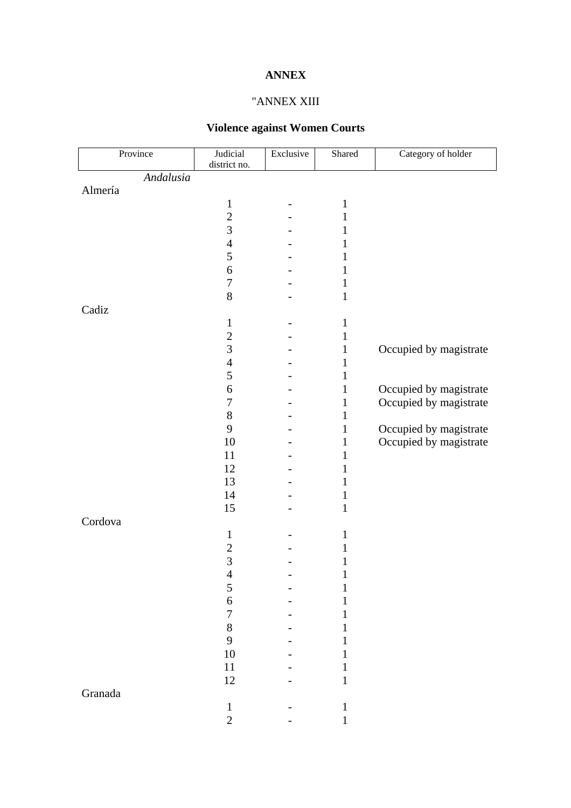# **ANNEX**

# "ANNEX XIII

# **Violence against Women Courts**

| Province  | Judicial         | Exclusive | Shared       | Category of holder     |
|-----------|------------------|-----------|--------------|------------------------|
| Andalusia | district no.     |           |              |                        |
| Almería   |                  |           |              |                        |
|           | $\mathbf{1}$     |           | $\mathbf{1}$ |                        |
|           | $\overline{2}$   |           | 1            |                        |
|           | 3                |           | 1            |                        |
|           | $\overline{4}$   |           | 1            |                        |
|           | 5                |           | 1            |                        |
|           | 6                |           | $\mathbf{1}$ |                        |
|           | $\boldsymbol{7}$ |           | $\mathbf{1}$ |                        |
|           | 8                |           | $\mathbf{1}$ |                        |
| Cadiz     |                  |           |              |                        |
|           | $\mathbf{1}$     |           | $\mathbf{1}$ |                        |
|           |                  |           |              |                        |
|           | $\overline{c}$   |           | $\mathbf{1}$ |                        |
|           | 3                |           | $\mathbf{1}$ | Occupied by magistrate |
|           | $\overline{4}$   |           | $\mathbf{1}$ |                        |
|           | 5                |           | $\mathbf{1}$ |                        |
|           | 6                |           | $\mathbf{1}$ | Occupied by magistrate |
|           | $\tau$           |           | $\mathbf{1}$ | Occupied by magistrate |
|           | $8\,$            |           | $\mathbf{1}$ |                        |
|           | 9                |           | $\mathbf{1}$ | Occupied by magistrate |
|           | 10               |           | $\mathbf{1}$ | Occupied by magistrate |
|           | 11               |           | $\mathbf{1}$ |                        |
|           | 12               |           | 1            |                        |
|           | 13               |           | $\mathbf{1}$ |                        |
|           | 14               |           | $\mathbf{1}$ |                        |
|           | 15               |           | $\mathbf{1}$ |                        |
| Cordova   |                  |           |              |                        |
|           | $\mathbf{1}$     |           | 1            |                        |
|           | $\overline{c}$   |           | 1            |                        |
|           | $\overline{3}$   |           | 1            |                        |
|           | $\overline{A}$   |           | $\mathbf{1}$ |                        |
|           | 5                |           | $\mathbf{1}$ |                        |
|           | 6                |           | 1            |                        |
|           | $\boldsymbol{7}$ |           | 1            |                        |
|           | 8                |           | 1            |                        |
|           | 9                |           |              |                        |
|           | 10               |           |              |                        |
|           | $11\,$           |           |              |                        |
|           | 12               |           | $\mathbf{1}$ |                        |
| Granada   |                  |           |              |                        |
|           | $\,1$            |           | $\mathbf{1}$ |                        |
|           | $\overline{c}$   |           | $\mathbf{1}$ |                        |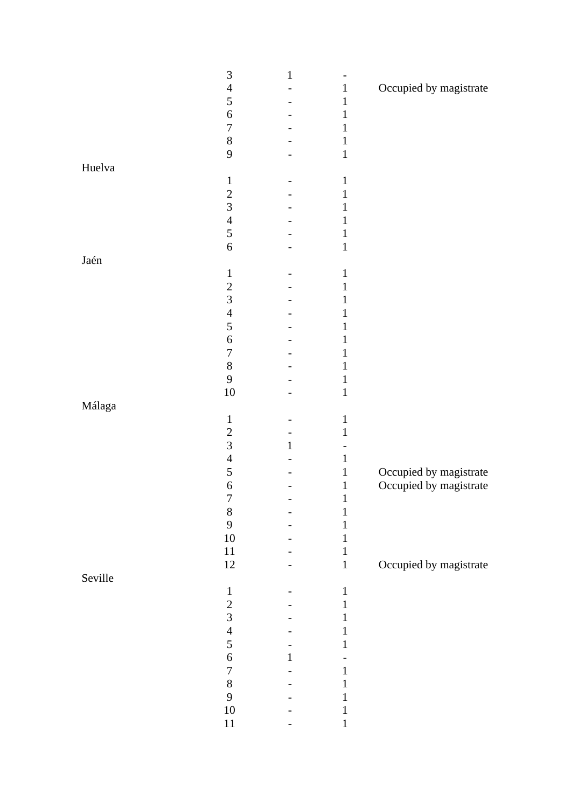| Occupied by magistrate<br>$\overline{4}$<br>$\mathbf{1}$<br>5<br>$\mathbf{1}$<br>$\sqrt{6}$<br>$\mathbf{1}$<br>$\boldsymbol{7}$<br>$\mathbf 1$<br>$8\,$<br>$\mathbf{1}$<br>9<br>$\mathbf 1$<br>Huelva<br>$\mathbf{1}$<br>$\mathbf{1}$<br>$\sqrt{2}$<br>$\mathbf{1}$<br>3<br>1<br>$\overline{4}$<br>$\mathbf{1}$<br>5<br>$\mathbf{1}$<br>6<br>$\mathbf 1$<br>Jaén<br>$\mathbf{1}$<br>$\mathbf 1$<br>$\overline{c}$<br>$\mathbf{1}$ |
|-----------------------------------------------------------------------------------------------------------------------------------------------------------------------------------------------------------------------------------------------------------------------------------------------------------------------------------------------------------------------------------------------------------------------------------|
|                                                                                                                                                                                                                                                                                                                                                                                                                                   |
|                                                                                                                                                                                                                                                                                                                                                                                                                                   |
|                                                                                                                                                                                                                                                                                                                                                                                                                                   |
|                                                                                                                                                                                                                                                                                                                                                                                                                                   |
|                                                                                                                                                                                                                                                                                                                                                                                                                                   |
|                                                                                                                                                                                                                                                                                                                                                                                                                                   |
|                                                                                                                                                                                                                                                                                                                                                                                                                                   |
|                                                                                                                                                                                                                                                                                                                                                                                                                                   |
|                                                                                                                                                                                                                                                                                                                                                                                                                                   |
|                                                                                                                                                                                                                                                                                                                                                                                                                                   |
|                                                                                                                                                                                                                                                                                                                                                                                                                                   |
|                                                                                                                                                                                                                                                                                                                                                                                                                                   |
|                                                                                                                                                                                                                                                                                                                                                                                                                                   |
|                                                                                                                                                                                                                                                                                                                                                                                                                                   |
|                                                                                                                                                                                                                                                                                                                                                                                                                                   |
|                                                                                                                                                                                                                                                                                                                                                                                                                                   |
| $\overline{3}$<br>1                                                                                                                                                                                                                                                                                                                                                                                                               |
| $\overline{4}$<br>$\mathbf 1$                                                                                                                                                                                                                                                                                                                                                                                                     |
| $\mathfrak s$<br>$\mathbf 1$                                                                                                                                                                                                                                                                                                                                                                                                      |
| $\sqrt{6}$                                                                                                                                                                                                                                                                                                                                                                                                                        |
| 1<br>$\boldsymbol{7}$<br>1                                                                                                                                                                                                                                                                                                                                                                                                        |
| $8\,$                                                                                                                                                                                                                                                                                                                                                                                                                             |
| 1<br>9                                                                                                                                                                                                                                                                                                                                                                                                                            |
| $\mathbf 1$                                                                                                                                                                                                                                                                                                                                                                                                                       |
| $10\,$<br>$\mathbf 1$                                                                                                                                                                                                                                                                                                                                                                                                             |
| Málaga                                                                                                                                                                                                                                                                                                                                                                                                                            |
| $\mathbf{1}$<br>$\mathbf{1}$                                                                                                                                                                                                                                                                                                                                                                                                      |
| $\sqrt{2}$<br>$\mathbf{1}$                                                                                                                                                                                                                                                                                                                                                                                                        |
| $\overline{3}$<br>$\mathbf{1}$                                                                                                                                                                                                                                                                                                                                                                                                    |
| $\overline{4}$<br>$\mathbf{1}$                                                                                                                                                                                                                                                                                                                                                                                                    |
| 5<br>Occupied by magistrate<br>$\mathbf{1}$                                                                                                                                                                                                                                                                                                                                                                                       |
| Occupied by magistrate<br>$\boldsymbol{6}$<br>$\mathbf{1}$                                                                                                                                                                                                                                                                                                                                                                        |
| $\boldsymbol{7}$<br>$\mathbf{1}$                                                                                                                                                                                                                                                                                                                                                                                                  |
| $8\,$<br>1                                                                                                                                                                                                                                                                                                                                                                                                                        |
| 9                                                                                                                                                                                                                                                                                                                                                                                                                                 |
| $10\,$<br>1                                                                                                                                                                                                                                                                                                                                                                                                                       |
| $11\,$<br>1                                                                                                                                                                                                                                                                                                                                                                                                                       |
| $12\,$<br>Occupied by magistrate<br>$\mathbf{1}$                                                                                                                                                                                                                                                                                                                                                                                  |
| Seville                                                                                                                                                                                                                                                                                                                                                                                                                           |
| $\mathbf{1}$<br>$\mathbf{1}$                                                                                                                                                                                                                                                                                                                                                                                                      |
| $\overline{c}$<br>1                                                                                                                                                                                                                                                                                                                                                                                                               |
| $\overline{3}$                                                                                                                                                                                                                                                                                                                                                                                                                    |
| $\overline{4}$<br>1                                                                                                                                                                                                                                                                                                                                                                                                               |
| 5<br>I                                                                                                                                                                                                                                                                                                                                                                                                                            |
| $\sqrt{6}$                                                                                                                                                                                                                                                                                                                                                                                                                        |
| $\boldsymbol{7}$<br>1                                                                                                                                                                                                                                                                                                                                                                                                             |
| $8\,$                                                                                                                                                                                                                                                                                                                                                                                                                             |
| 9<br>L                                                                                                                                                                                                                                                                                                                                                                                                                            |
| $10\,$<br>1                                                                                                                                                                                                                                                                                                                                                                                                                       |
| $11\,$<br>$\mathbf{1}$                                                                                                                                                                                                                                                                                                                                                                                                            |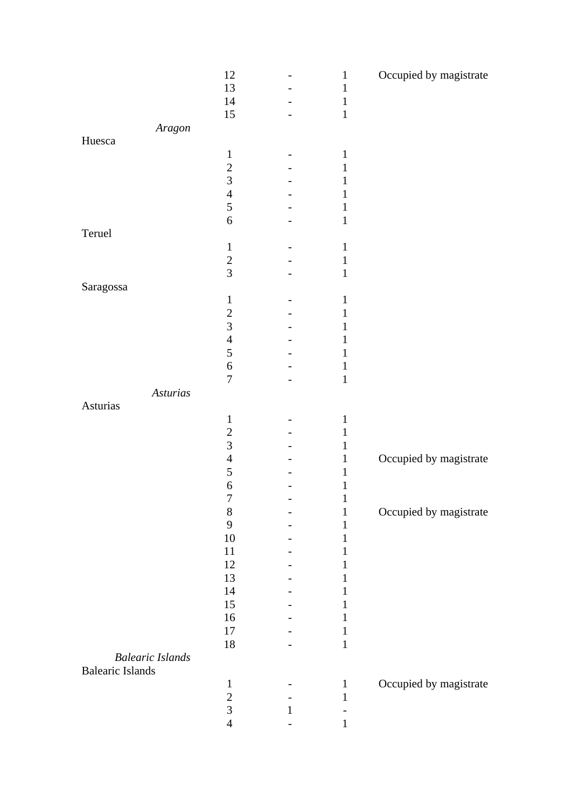|                                                    | 12               |   | $\mathbf{1}$ | Occupied by magistrate |
|----------------------------------------------------|------------------|---|--------------|------------------------|
|                                                    | 13               |   | 1            |                        |
|                                                    | 14               |   | $\mathbf{1}$ |                        |
|                                                    | 15               |   | $\mathbf{1}$ |                        |
| Aragon                                             |                  |   |              |                        |
| Huesca                                             |                  |   |              |                        |
|                                                    | $\mathbf{1}$     |   | $\mathbf{1}$ |                        |
|                                                    | $\overline{c}$   |   | 1            |                        |
|                                                    | $\overline{3}$   |   | 1            |                        |
|                                                    | $\overline{4}$   |   | 1            |                        |
|                                                    | 5                |   |              |                        |
|                                                    | $\boldsymbol{6}$ |   | 1            |                        |
| Teruel                                             |                  |   |              |                        |
|                                                    | $\mathbf{1}$     |   | $\mathbf{1}$ |                        |
|                                                    | $\overline{c}$   |   | $\mathbf 1$  |                        |
|                                                    | $\overline{3}$   |   | $\mathbf{1}$ |                        |
| Saragossa                                          |                  |   |              |                        |
|                                                    | $\mathbf{1}$     |   | 1            |                        |
|                                                    | $\overline{2}$   |   | 1            |                        |
|                                                    | 3                |   |              |                        |
|                                                    | $\overline{4}$   |   |              |                        |
|                                                    | 5                |   | I            |                        |
|                                                    | $\sqrt{6}$       |   | $\mathbf 1$  |                        |
|                                                    | $\overline{7}$   |   | $\mathbf 1$  |                        |
| Asturias                                           |                  |   |              |                        |
| Asturias                                           |                  |   |              |                        |
|                                                    | $\mathbf{1}$     |   | $\mathbf{1}$ |                        |
|                                                    | $\overline{c}$   |   | 1            |                        |
|                                                    | $\overline{3}$   |   | 1            |                        |
|                                                    | $\overline{4}$   |   | $\mathbf{1}$ | Occupied by magistrate |
|                                                    | 5                |   | 1            |                        |
|                                                    | $\boldsymbol{6}$ |   | $\mathbf 1$  |                        |
|                                                    | 7                |   |              |                        |
|                                                    | $\,8\,$          |   | 1            | Occupied by magistrate |
|                                                    | 9                |   |              |                        |
|                                                    | 10               |   |              |                        |
|                                                    | 11               |   | I            |                        |
|                                                    | 12               |   |              |                        |
|                                                    | 13               |   |              |                        |
|                                                    | 14               |   |              |                        |
|                                                    | 15               |   |              |                        |
|                                                    | 16               |   |              |                        |
|                                                    | 17               |   | 1            |                        |
|                                                    | 18               |   | $\mathbf{1}$ |                        |
| <b>Balearic Islands</b><br><b>Balearic Islands</b> |                  |   |              |                        |
|                                                    | $\mathbf{1}$     |   | $\mathbf{1}$ | Occupied by magistrate |
|                                                    | $\overline{c}$   |   | $\mathbf{1}$ |                        |
|                                                    | $\overline{3}$   | 1 |              |                        |
|                                                    | $\overline{4}$   |   | 1            |                        |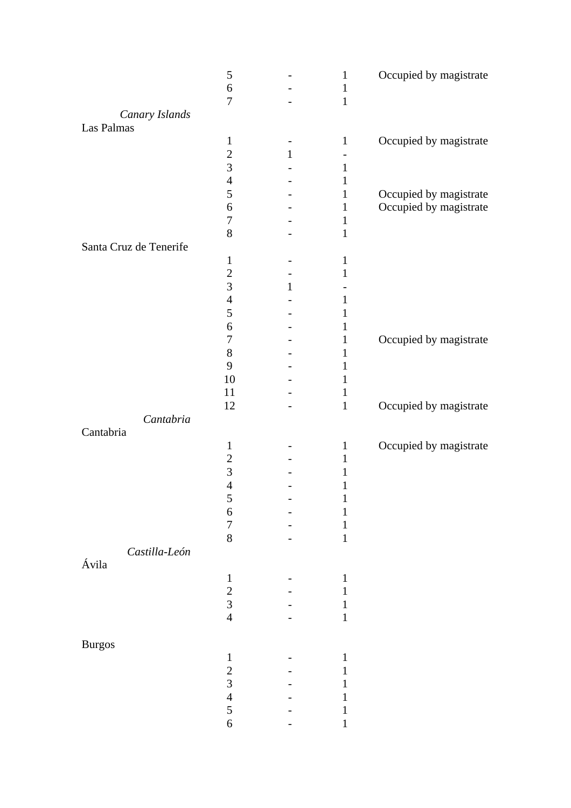|                        | 5<br>$\boldsymbol{6}$              |              | $\mathbf{1}$<br>$\mathbf{1}$ | Occupied by magistrate |
|------------------------|------------------------------------|--------------|------------------------------|------------------------|
|                        | 7                                  |              | $\mathbf{1}$                 |                        |
| Canary Islands         |                                    |              |                              |                        |
| Las Palmas             |                                    |              |                              |                        |
|                        | $\mathbf 1$                        |              | $\mathbf{1}$                 | Occupied by magistrate |
|                        | $\mathbf{2}$                       | $\mathbf{1}$ |                              |                        |
|                        | 3                                  |              | $\mathbf{1}$                 |                        |
|                        | $\overline{4}$                     |              | 1                            |                        |
|                        | $\mathfrak s$                      |              | $\mathbf{1}$                 | Occupied by magistrate |
|                        | $\sqrt{6}$                         |              | $\mathbf{1}$                 | Occupied by magistrate |
|                        | $\boldsymbol{7}$                   |              | 1                            |                        |
|                        | 8                                  |              | $\mathbf{1}$                 |                        |
| Santa Cruz de Tenerife |                                    |              |                              |                        |
|                        | $\mathbf{1}$                       |              | 1                            |                        |
|                        | $\overline{2}$                     |              | 1                            |                        |
|                        | 3                                  | $\mathbf{1}$ |                              |                        |
|                        | $\overline{4}$                     |              | 1                            |                        |
|                        | 5                                  |              | 1                            |                        |
|                        | 6                                  |              | 1                            |                        |
|                        | $\boldsymbol{7}$                   |              | $\mathbf{1}$                 | Occupied by magistrate |
|                        | $8\,$                              |              | 1                            |                        |
|                        | 9                                  |              | $\mathbf{1}$                 |                        |
|                        | 10                                 |              | $\mathbf{1}$                 |                        |
|                        | 11                                 |              | 1                            |                        |
|                        | 12                                 |              | $\mathbf{1}$                 | Occupied by magistrate |
| Cantabria              |                                    |              |                              |                        |
| Cantabria              |                                    |              |                              |                        |
|                        | $\mathbf{1}$                       |              | $\mathbf{1}$                 | Occupied by magistrate |
|                        |                                    |              | $\mathbf{1}$                 |                        |
|                        | $\boldsymbol{2}$<br>$\overline{3}$ |              |                              |                        |
|                        | $\overline{4}$                     |              | 1                            |                        |
|                        |                                    |              | $\mathbf{1}$                 |                        |
|                        | 5                                  |              | $\mathbf 1$                  |                        |
|                        | $\boldsymbol{6}$                   |              | 1                            |                        |
|                        | $\overline{7}$                     |              |                              |                        |
|                        | 8                                  |              | 1                            |                        |
| Castilla-León          |                                    |              |                              |                        |
| Ávila                  |                                    |              |                              |                        |
|                        | $\mathbf{1}$                       |              | 1                            |                        |
|                        | $\frac{2}{3}$                      |              | 1                            |                        |
|                        |                                    |              | 1                            |                        |
|                        | $\overline{4}$                     |              | 1                            |                        |
|                        |                                    |              |                              |                        |
| <b>Burgos</b>          |                                    |              |                              |                        |
|                        | $\mathbf{1}$                       |              | 1                            |                        |
|                        | $\sqrt{2}$                         |              | 1                            |                        |
|                        | $\overline{3}$                     |              |                              |                        |
|                        | $\overline{4}$                     |              |                              |                        |
|                        | 5                                  |              |                              |                        |
|                        | $\boldsymbol{6}$                   |              | 1                            |                        |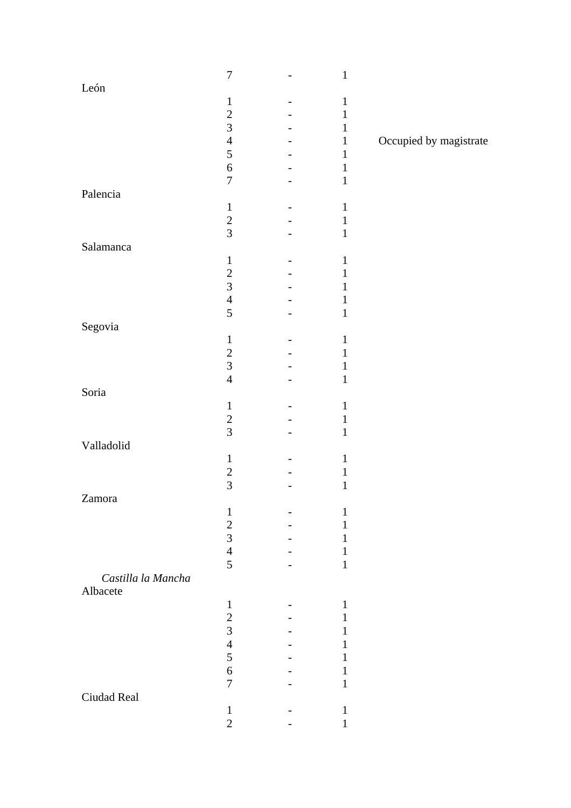|                    | $\boldsymbol{7}$ | $\mathbf{1}$ |                        |
|--------------------|------------------|--------------|------------------------|
| ${\rm Leon}$       |                  |              |                        |
|                    | $\mathbf{1}$     | $\mathbf 1$  |                        |
|                    | $\overline{c}$   | $\mathbf{1}$ |                        |
|                    | $\overline{3}$   | $\mathbf{1}$ |                        |
|                    | $\overline{4}$   | $\mathbf{1}$ | Occupied by magistrate |
|                    | 5                | $\mathbf{1}$ |                        |
|                    | $\sqrt{6}$       | $\mathbf{1}$ |                        |
|                    | $\overline{7}$   | $\mathbf 1$  |                        |
| Palencia           |                  |              |                        |
|                    | $\mathbf{1}$     | $\,1\,$      |                        |
|                    | $\overline{c}$   | $\,1$        |                        |
|                    | $\overline{3}$   | $\,1\,$      |                        |
| Salamanca          |                  |              |                        |
|                    | $\mathbf{1}$     | $\mathbf 1$  |                        |
|                    | $\overline{c}$   | $\mathbf{1}$ |                        |
|                    | $\overline{3}$   | 1            |                        |
|                    | $\overline{4}$   | $\mathbf{1}$ |                        |
|                    | 5                | $\,1\,$      |                        |
| Segovia            |                  |              |                        |
|                    | $\mathbf{1}$     | $\mathbf 1$  |                        |
|                    |                  | $\mathbf 1$  |                        |
|                    | $\frac{2}{3}$    | $\mathbf{1}$ |                        |
|                    | $\overline{4}$   | $\mathbf 1$  |                        |
| Soria              |                  |              |                        |
|                    | $\mathbf{1}$     | $\mathbf{1}$ |                        |
|                    |                  | $\mathbf{1}$ |                        |
|                    | $\frac{2}{3}$    | $\mathbf 1$  |                        |
| Valladolid         |                  |              |                        |
|                    | $\mathbf 1$      | $\mathbf{1}$ |                        |
|                    |                  | $\mathbf{1}$ |                        |
|                    | $\frac{2}{3}$    | $\mathbf 1$  |                        |
| Zamora             |                  |              |                        |
|                    | $\mathbf{1}$     | $\mathbf{1}$ |                        |
|                    |                  | 1            |                        |
|                    | $\frac{2}{3}$    | 1            |                        |
|                    | $\overline{4}$   | 1            |                        |
|                    | 5                | $\mathbf{1}$ |                        |
| Castilla la Mancha |                  |              |                        |
| Albacete           |                  |              |                        |
|                    | $\mathbf{1}$     | $\mathbf{1}$ |                        |
|                    | $\overline{c}$   | $\mathbf{1}$ |                        |
|                    | $\overline{3}$   | 1            |                        |
|                    | $\overline{4}$   | I            |                        |
|                    | 5                | 1            |                        |
|                    | $\sqrt{6}$       | 1            |                        |
|                    | $\overline{7}$   | $\mathbf{1}$ |                        |
| Ciudad Real        |                  |              |                        |
|                    | $\mathbf{1}$     | $\mathbf 1$  |                        |
|                    | $\overline{2}$   | 1            |                        |
|                    |                  |              |                        |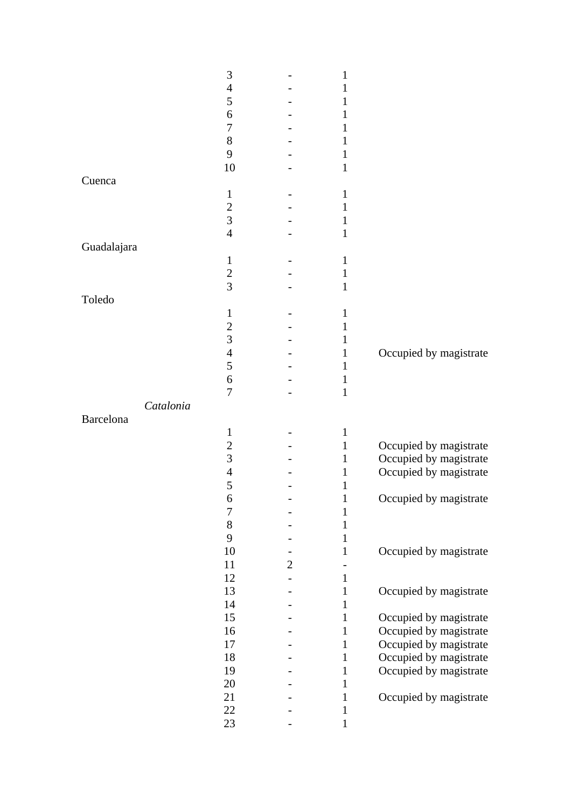|             | 3                |              | 1                            |                        |
|-------------|------------------|--------------|------------------------------|------------------------|
|             | $\overline{4}$   |              | 1                            |                        |
|             | 5                |              |                              |                        |
|             | 6                |              | 1                            |                        |
|             | 7                |              | 1                            |                        |
|             | $8\,$            |              | 1                            |                        |
|             | 9                |              | 1                            |                        |
|             | 10               |              | 1                            |                        |
| Cuenca      |                  |              |                              |                        |
|             | $\mathbf{1}$     |              | 1                            |                        |
|             | $\mathfrak{2}$   |              | 1                            |                        |
|             | 3                |              | 1                            |                        |
|             | $\overline{4}$   |              | $\mathbf{1}$                 |                        |
| Guadalajara |                  |              |                              |                        |
|             | $\mathbf 1$      |              | 1                            |                        |
|             | $\mathbf{2}$     |              | $\mathbf{1}$                 |                        |
|             | $\overline{3}$   |              | 1                            |                        |
| Toledo      |                  |              |                              |                        |
|             | $\mathbf{1}$     |              | 1                            |                        |
|             | $\boldsymbol{2}$ |              | 1                            |                        |
|             | 3                |              | 1                            |                        |
|             | $\overline{4}$   |              | 1                            | Occupied by magistrate |
|             | 5                |              | 1                            |                        |
|             | 6                |              | 1                            |                        |
|             | 7                |              | $\mathbf{1}$                 |                        |
|             |                  |              |                              |                        |
| Catalonia   |                  |              |                              |                        |
| Barcelona   |                  |              |                              |                        |
|             | 1                |              | 1                            |                        |
|             | $\mathbf{2}$     |              | $\mathbf{1}$                 | Occupied by magistrate |
|             | 3                |              | 1                            | Occupied by magistrate |
|             | $\overline{4}$   |              | $\mathbf{1}$                 | Occupied by magistrate |
|             | 5                |              | 1                            |                        |
|             | $\boldsymbol{6}$ |              | $\mathbf{1}$                 | Occupied by magistrate |
|             | $\overline{7}$   |              | $\mathbf{1}$                 |                        |
|             | $8\,$            |              | $\mathbf{1}$                 |                        |
|             | 9                |              | $\mathbf{1}$                 |                        |
|             | 10               |              | $\mathbf{1}$                 | Occupied by magistrate |
|             | 11               | $\mathbf{2}$ | -                            |                        |
|             | 12               |              | $\mathbf{1}$                 |                        |
|             | 13               |              | $\mathbf{1}$                 | Occupied by magistrate |
|             | 14               |              | $\mathbf{1}$                 |                        |
|             | 15               |              | $\mathbf{1}$                 | Occupied by magistrate |
|             | 16               |              | $\mathbf{1}$                 | Occupied by magistrate |
|             | 17               |              | $\mathbf{1}$                 | Occupied by magistrate |
|             | 18               |              | $\mathbf{1}$                 | Occupied by magistrate |
|             | 19               |              | $\mathbf 1$                  | Occupied by magistrate |
|             | $20\,$           |              | $\mathbf{1}$                 |                        |
|             | 21               |              | $\,1\,$                      | Occupied by magistrate |
|             | $22\,$<br>23     |              | $\mathbf{1}$<br>$\mathbf{1}$ |                        |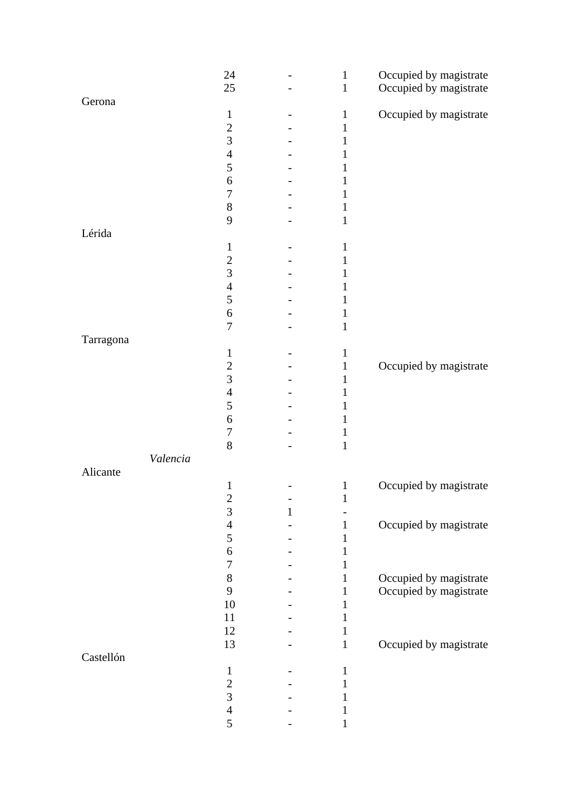|           |          | 24               |   | $\mathbf 1$  | Occupied by magistrate |
|-----------|----------|------------------|---|--------------|------------------------|
|           |          | 25               |   | $\mathbf 1$  | Occupied by magistrate |
| Gerona    |          |                  |   |              |                        |
|           |          | $\mathbf{1}$     |   | $\mathbf{1}$ | Occupied by magistrate |
|           |          | $\overline{2}$   |   | $\mathbf{1}$ |                        |
|           |          | 3                |   | 1            |                        |
|           |          | $\overline{4}$   |   | 1            |                        |
|           |          | 5                |   | 1            |                        |
|           |          | 6                |   | 1            |                        |
|           |          | $\boldsymbol{7}$ |   | 1            |                        |
|           |          | $8\,$            |   | 1            |                        |
|           |          | 9                |   | $\mathbf{1}$ |                        |
| Lérida    |          |                  |   |              |                        |
|           |          | $\mathbf{1}$     |   | $\mathbf 1$  |                        |
|           |          | $\overline{2}$   |   | 1            |                        |
|           |          | 3                |   | 1            |                        |
|           |          | $\overline{4}$   |   | 1            |                        |
|           |          | 5                |   | 1            |                        |
|           |          | 6                |   | 1            |                        |
|           |          | 7                |   | 1            |                        |
| Tarragona |          |                  |   |              |                        |
|           |          | $\mathbf{1}$     |   | $\mathbf{1}$ |                        |
|           |          | $\overline{c}$   |   | $\mathbf{1}$ | Occupied by magistrate |
|           |          | $\overline{3}$   |   | 1            |                        |
|           |          | $\overline{4}$   |   | $\mathbf{1}$ |                        |
|           |          | 5                |   | 1            |                        |
|           |          | 6                |   | $\mathbf 1$  |                        |
|           |          | $\boldsymbol{7}$ |   | 1            |                        |
|           |          | 8                |   | $\mathbf{1}$ |                        |
|           | Valencia |                  |   |              |                        |
| Alicante  |          |                  |   |              |                        |
|           |          | $\mathbf{1}$     |   | $\mathbf 1$  | Occupied by magistrate |
|           |          | $\overline{c}$   |   | $\mathbf{1}$ |                        |
|           |          | 3                | 1 |              |                        |
|           |          | $\overline{4}$   |   | $\mathbf{1}$ | Occupied by magistrate |
|           |          | 5                |   | 1            |                        |
|           |          | 6                |   | 1            |                        |
|           |          | $\boldsymbol{7}$ |   | 1            |                        |
|           |          | $8\,$            |   | $\mathbf{1}$ | Occupied by magistrate |
|           |          | 9                |   | $\mathbf{1}$ | Occupied by magistrate |
|           |          | 10               |   | $\mathbf{1}$ |                        |
|           |          | 11               |   | 1            |                        |
|           |          | 12               |   | 1            |                        |
|           |          | 13               |   | $\mathbf{1}$ | Occupied by magistrate |
| Castellón |          |                  |   |              |                        |
|           |          | $\mathbf{1}$     |   | 1            |                        |
|           |          | $\sqrt{2}$       |   | 1            |                        |
|           |          | $\overline{3}$   |   | $\mathbf 1$  |                        |
|           |          | $\overline{4}$   |   | 1            |                        |
|           |          | 5                |   | 1            |                        |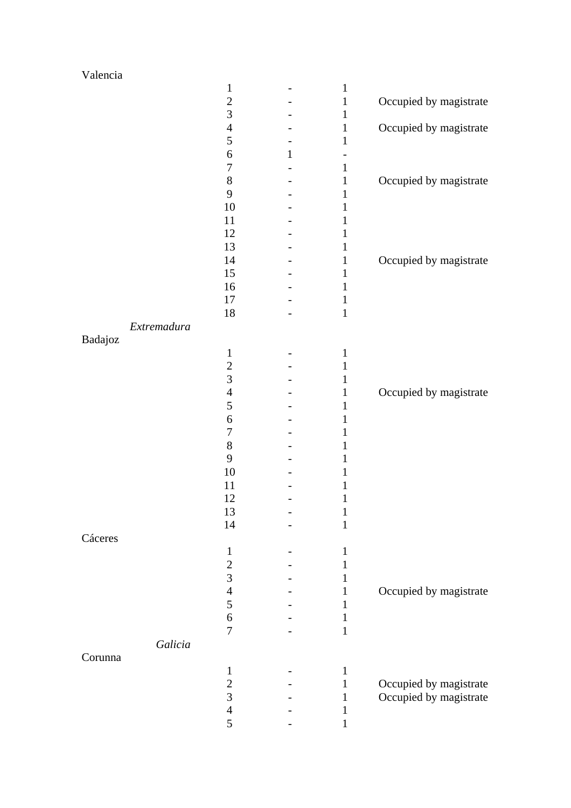| Valencia    |                |   |              |                        |
|-------------|----------------|---|--------------|------------------------|
|             | $\mathbf{1}$   |   | $\mathbf{1}$ |                        |
|             | $\overline{2}$ |   | $\mathbf{1}$ | Occupied by magistrate |
|             | $\overline{3}$ |   | $\mathbf{1}$ |                        |
|             | $\overline{4}$ |   | $\mathbf{1}$ | Occupied by magistrate |
|             | 5              |   | 1            |                        |
|             | 6              | 1 |              |                        |
|             | 7              |   | $\mathbf{1}$ |                        |
|             | 8              |   | $\mathbf{1}$ | Occupied by magistrate |
|             | 9              |   | 1            |                        |
|             | 10             |   | 1            |                        |
|             | 11             |   | 1            |                        |
|             | 12             |   | 1            |                        |
|             | 13             |   | 1            |                        |
|             | 14             |   | 1            | Occupied by magistrate |
|             | 15             |   | 1            |                        |
|             | 16             |   | 1            |                        |
|             | 17             |   | $\mathbf 1$  |                        |
|             | 18             |   | $\mathbf{1}$ |                        |
| Extremadura |                |   |              |                        |
| Badajoz     |                |   |              |                        |
|             | $\mathbf{1}$   |   | $\mathbf{1}$ |                        |
|             | $\overline{c}$ |   | 1            |                        |
|             | $\overline{3}$ |   | 1            |                        |
|             | $\overline{4}$ |   | $\mathbf 1$  | Occupied by magistrate |
|             | 5              |   | 1            |                        |
|             | 6              |   | 1            |                        |
|             | 7              |   | 1            |                        |
|             | $8\,$          |   | 1            |                        |
|             | 9              |   | I            |                        |
|             | 10             |   | 1            |                        |
|             | 11             |   | 1            |                        |
|             | 12             |   | $\mathbf{1}$ |                        |
|             | 13             |   | $\mathbf{1}$ |                        |
|             | 14             |   | $\mathbf 1$  |                        |
| Cáceres     |                |   |              |                        |
|             | $\mathbf{1}$   |   | 1            |                        |
|             | $\overline{2}$ |   | 1            |                        |
|             | 3              |   | 1            |                        |
|             | $\overline{4}$ |   | 1            | Occupied by magistrate |
|             | 5              |   | 1            |                        |
|             | 6              |   | 1            |                        |
|             | 7              |   | $\mathbf{1}$ |                        |
| Galicia     |                |   |              |                        |
| Corunna     |                |   |              |                        |
|             | $\mathbf{1}$   |   | $\mathbf{1}$ |                        |
|             | $\overline{c}$ |   | 1            | Occupied by magistrate |
|             | $\overline{3}$ |   | 1            | Occupied by magistrate |
|             | $\overline{4}$ |   | 1            |                        |
|             | 5              |   | 1            |                        |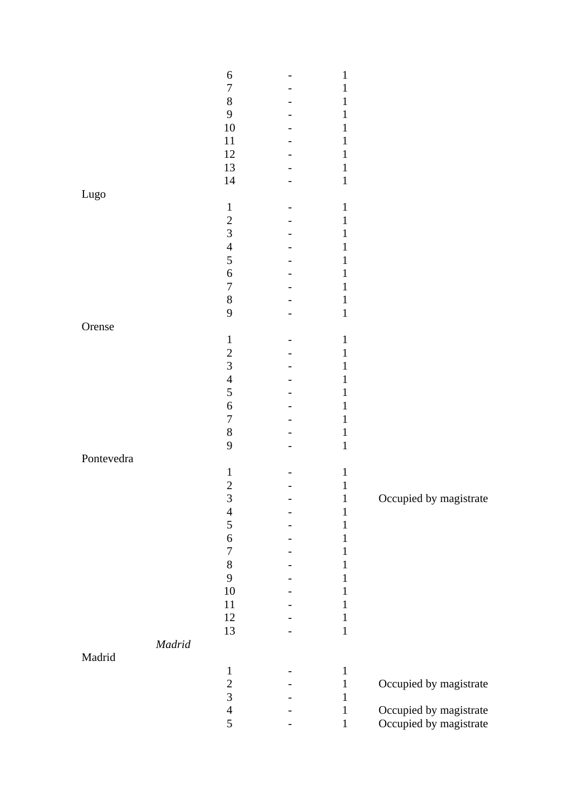|            |                                                                                                                                                                                                                                                                                                                                                                                                                                                                                           | 6                | 1            |                        |
|------------|-------------------------------------------------------------------------------------------------------------------------------------------------------------------------------------------------------------------------------------------------------------------------------------------------------------------------------------------------------------------------------------------------------------------------------------------------------------------------------------------|------------------|--------------|------------------------|
|            |                                                                                                                                                                                                                                                                                                                                                                                                                                                                                           | $\boldsymbol{7}$ | 1            |                        |
|            |                                                                                                                                                                                                                                                                                                                                                                                                                                                                                           | $8\,$            | 1            |                        |
|            |                                                                                                                                                                                                                                                                                                                                                                                                                                                                                           | 9                | 1            |                        |
|            |                                                                                                                                                                                                                                                                                                                                                                                                                                                                                           | $10\,$           | 1            |                        |
|            |                                                                                                                                                                                                                                                                                                                                                                                                                                                                                           | 11               | 1            |                        |
|            |                                                                                                                                                                                                                                                                                                                                                                                                                                                                                           | 12               | 1            |                        |
|            |                                                                                                                                                                                                                                                                                                                                                                                                                                                                                           | 13               | 1            |                        |
|            |                                                                                                                                                                                                                                                                                                                                                                                                                                                                                           | 14               | $\mathbf{1}$ |                        |
| Lugo       |                                                                                                                                                                                                                                                                                                                                                                                                                                                                                           |                  |              |                        |
|            |                                                                                                                                                                                                                                                                                                                                                                                                                                                                                           | $\mathbf{1}$     | $\mathbf{1}$ |                        |
|            |                                                                                                                                                                                                                                                                                                                                                                                                                                                                                           | $\overline{c}$   | 1            |                        |
|            |                                                                                                                                                                                                                                                                                                                                                                                                                                                                                           | $\overline{3}$   | 1            |                        |
|            |                                                                                                                                                                                                                                                                                                                                                                                                                                                                                           | $\overline{4}$   | 1            |                        |
|            |                                                                                                                                                                                                                                                                                                                                                                                                                                                                                           | 5                | 1            |                        |
|            |                                                                                                                                                                                                                                                                                                                                                                                                                                                                                           | $\boldsymbol{6}$ | 1            |                        |
|            |                                                                                                                                                                                                                                                                                                                                                                                                                                                                                           | $\overline{7}$   | 1            |                        |
|            |                                                                                                                                                                                                                                                                                                                                                                                                                                                                                           | $8\,$            |              |                        |
|            |                                                                                                                                                                                                                                                                                                                                                                                                                                                                                           | 9                | 1            |                        |
|            |                                                                                                                                                                                                                                                                                                                                                                                                                                                                                           |                  | $\mathbf 1$  |                        |
| Orense     |                                                                                                                                                                                                                                                                                                                                                                                                                                                                                           |                  |              |                        |
|            |                                                                                                                                                                                                                                                                                                                                                                                                                                                                                           | $\mathbf{1}$     | $\mathbf{1}$ |                        |
|            |                                                                                                                                                                                                                                                                                                                                                                                                                                                                                           | $\overline{c}$   | 1            |                        |
|            |                                                                                                                                                                                                                                                                                                                                                                                                                                                                                           | $\overline{3}$   | 1            |                        |
|            |                                                                                                                                                                                                                                                                                                                                                                                                                                                                                           | $\overline{4}$   | 1            |                        |
|            |                                                                                                                                                                                                                                                                                                                                                                                                                                                                                           | 5                | 1            |                        |
|            |                                                                                                                                                                                                                                                                                                                                                                                                                                                                                           | $\boldsymbol{6}$ | 1            |                        |
|            |                                                                                                                                                                                                                                                                                                                                                                                                                                                                                           | $\overline{7}$   | 1            |                        |
|            |                                                                                                                                                                                                                                                                                                                                                                                                                                                                                           | $8\,$            | 1            |                        |
|            |                                                                                                                                                                                                                                                                                                                                                                                                                                                                                           | 9                | $\mathbf 1$  |                        |
| Pontevedra |                                                                                                                                                                                                                                                                                                                                                                                                                                                                                           |                  |              |                        |
|            |                                                                                                                                                                                                                                                                                                                                                                                                                                                                                           | $\mathbf{1}$     | $\mathbf{1}$ |                        |
|            |                                                                                                                                                                                                                                                                                                                                                                                                                                                                                           | $\overline{2}$   | $\mathbf{1}$ |                        |
|            |                                                                                                                                                                                                                                                                                                                                                                                                                                                                                           | 3                | $\mathbf 1$  | Occupied by magistrate |
|            |                                                                                                                                                                                                                                                                                                                                                                                                                                                                                           | $\overline{4}$   | $\mathbf 1$  |                        |
|            |                                                                                                                                                                                                                                                                                                                                                                                                                                                                                           | 5                | $\,1\,$      |                        |
|            |                                                                                                                                                                                                                                                                                                                                                                                                                                                                                           | $\sqrt{6}$       | $\mathbf{1}$ |                        |
|            |                                                                                                                                                                                                                                                                                                                                                                                                                                                                                           | $\boldsymbol{7}$ | $\mathbf{1}$ |                        |
|            |                                                                                                                                                                                                                                                                                                                                                                                                                                                                                           | $8\,$            | $\mathbf{1}$ |                        |
|            |                                                                                                                                                                                                                                                                                                                                                                                                                                                                                           | 9                | $\mathbf{1}$ |                        |
|            |                                                                                                                                                                                                                                                                                                                                                                                                                                                                                           | $10\,$           | $\mathbf{1}$ |                        |
|            |                                                                                                                                                                                                                                                                                                                                                                                                                                                                                           | 11               | $\mathbf{1}$ |                        |
|            |                                                                                                                                                                                                                                                                                                                                                                                                                                                                                           | $12\,$           | $\mathbf{1}$ |                        |
|            |                                                                                                                                                                                                                                                                                                                                                                                                                                                                                           | 13               | $\mathbf{1}$ |                        |
|            | $Madrid% \[ \operatorname*{R}\nolimits \left( \mathcal{A}^{(n)}\right) \leq\operatorname*{R}\nolimits \qquad \qquad \mathcal{A}^{(n)}\left( \mathcal{A}^{(n)}\right) =\operatorname*{R}\nolimits \qquad \qquad \mathcal{A}^{(n)}\left( \mathcal{A}^{(n)}\right) =\operatorname*{R}\nolimits \qquad \qquad \mathcal{A}^{(n)}\left( \mathcal{A}^{(n)}\right) =\operatorname*{R}\nolimits \qquad \qquad \mathcal{A}^{(n)}\left( \mathcal{A}^{(n)}\right) =\operatorname*{R}\nolimits \qquad$ |                  |              |                        |
| Madrid     |                                                                                                                                                                                                                                                                                                                                                                                                                                                                                           |                  |              |                        |
|            |                                                                                                                                                                                                                                                                                                                                                                                                                                                                                           | $\mathbf{1}$     | $\mathbf{1}$ |                        |
|            |                                                                                                                                                                                                                                                                                                                                                                                                                                                                                           |                  | $\mathbf{1}$ | Occupied by magistrate |
|            |                                                                                                                                                                                                                                                                                                                                                                                                                                                                                           | $\frac{2}{3}$    | $\mathbf{1}$ |                        |
|            |                                                                                                                                                                                                                                                                                                                                                                                                                                                                                           | $\overline{4}$   | $\mathbf 1$  | Occupied by magistrate |
|            |                                                                                                                                                                                                                                                                                                                                                                                                                                                                                           | 5                | $\mathbf 1$  | Occupied by magistrate |
|            |                                                                                                                                                                                                                                                                                                                                                                                                                                                                                           |                  |              |                        |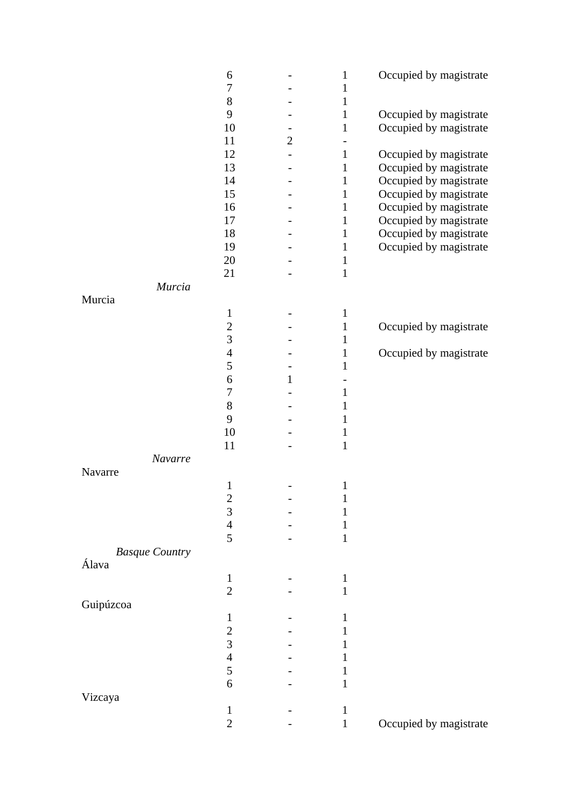|                       | 6                       |                | $\mathbf{1}$                 | Occupied by magistrate |
|-----------------------|-------------------------|----------------|------------------------------|------------------------|
|                       | $\boldsymbol{7}$        |                | $\mathbf{1}$                 |                        |
|                       | $8\,$                   |                | $\mathbf{1}$                 |                        |
|                       | 9                       |                | $\mathbf{1}$                 | Occupied by magistrate |
|                       | 10                      |                | $\mathbf 1$                  | Occupied by magistrate |
|                       | 11                      | $\overline{2}$ |                              |                        |
|                       | 12                      |                | $\mathbf{1}$                 | Occupied by magistrate |
|                       | 13                      |                | $\mathbf{1}$                 | Occupied by magistrate |
|                       | 14                      |                | $\mathbf{1}$                 | Occupied by magistrate |
|                       | 15                      |                | $\mathbf{1}$                 | Occupied by magistrate |
|                       | 16                      |                | $\mathbf{1}$                 | Occupied by magistrate |
|                       | 17                      |                | $\mathbf{1}$                 | Occupied by magistrate |
|                       | 18                      |                | $\mathbf{1}$                 | Occupied by magistrate |
|                       | 19                      |                | $\mathbf{1}$                 | Occupied by magistrate |
|                       | 20                      |                | $\mathbf{1}$                 |                        |
|                       | 21                      |                | $\mathbf{1}$                 |                        |
| Murcia                |                         |                |                              |                        |
| Murcia                | $\mathbf{1}$            |                | $\mathbf{1}$                 |                        |
|                       | $\overline{c}$          |                |                              |                        |
|                       | $\overline{3}$          |                | $\mathbf{1}$<br>$\mathbf{1}$ | Occupied by magistrate |
|                       | $\overline{4}$          |                | $\mathbf{1}$                 | Occupied by magistrate |
|                       | 5                       |                | $\mathbf{1}$                 |                        |
|                       | $\boldsymbol{6}$        | 1              |                              |                        |
|                       | $\boldsymbol{7}$        |                | 1                            |                        |
|                       | $8\,$                   |                | 1                            |                        |
|                       | 9                       |                | 1                            |                        |
|                       | 10                      |                | 1                            |                        |
|                       | 11                      |                | $\mathbf{1}$                 |                        |
| Navarre               |                         |                |                              |                        |
| Navarre               |                         |                |                              |                        |
|                       | $\mathbf{1}$            |                | $\mathbf{1}$                 |                        |
|                       | $\overline{\mathbf{c}}$ |                | $\mathbf{1}$                 |                        |
|                       | $\overline{3}$          |                | 1                            |                        |
|                       | $\overline{4}$          |                | 1                            |                        |
|                       | 5                       |                | $\mathbf{1}$                 |                        |
| <b>Basque Country</b> |                         |                |                              |                        |
| Álava                 |                         |                |                              |                        |
|                       | $\mathbf{1}$            |                | $\mathbf{1}$                 |                        |
|                       | $\overline{2}$          |                | $\mathbf{1}$                 |                        |
| Guipúzcoa             |                         |                |                              |                        |
|                       | 1                       |                | 1                            |                        |
|                       | $\overline{c}$          |                | I                            |                        |
|                       | 3                       |                | ı                            |                        |
|                       | $\overline{4}$<br>5     |                | I                            |                        |
|                       |                         |                | 1                            |                        |
|                       | 6                       |                | 1                            |                        |
| Vizcaya               | $\mathbf{1}$            |                | $\mathbf{1}$                 |                        |
|                       | $\mathbf{2}$            |                | $\mathbf 1$                  | Occupied by magistrate |
|                       |                         |                |                              |                        |